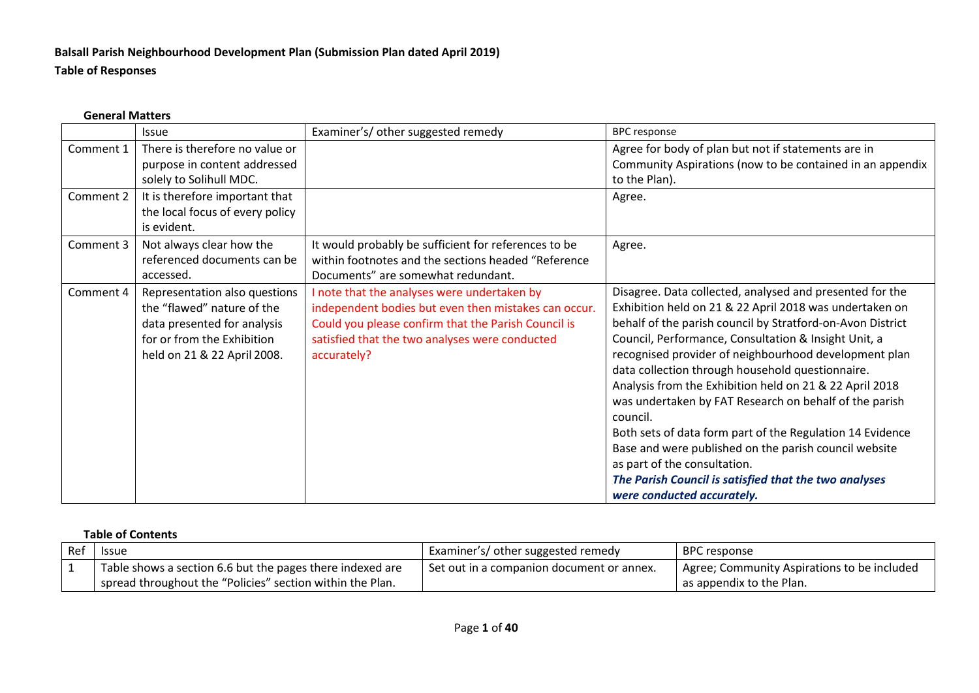# **Balsall Parish Neighbourhood Development Plan (Submission Plan dated April 2019) Table of Responses**

#### **General Matters**

|           | <b>Issue</b>                    | Examiner's/ other suggested remedy                   | <b>BPC</b> response                                        |
|-----------|---------------------------------|------------------------------------------------------|------------------------------------------------------------|
| Comment 1 | There is therefore no value or  |                                                      | Agree for body of plan but not if statements are in        |
|           | purpose in content addressed    |                                                      | Community Aspirations (now to be contained in an appendix  |
|           | solely to Solihull MDC.         |                                                      | to the Plan).                                              |
| Comment 2 | It is therefore important that  |                                                      | Agree.                                                     |
|           | the local focus of every policy |                                                      |                                                            |
|           | is evident.                     |                                                      |                                                            |
| Comment 3 | Not always clear how the        | It would probably be sufficient for references to be | Agree.                                                     |
|           | referenced documents can be     | within footnotes and the sections headed "Reference  |                                                            |
|           | accessed.                       | Documents" are somewhat redundant.                   |                                                            |
| Comment 4 | Representation also questions   | I note that the analyses were undertaken by          | Disagree. Data collected, analysed and presented for the   |
|           | the "flawed" nature of the      | independent bodies but even then mistakes can occur. | Exhibition held on 21 & 22 April 2018 was undertaken on    |
|           | data presented for analysis     | Could you please confirm that the Parish Council is  | behalf of the parish council by Stratford-on-Avon District |
|           | for or from the Exhibition      | satisfied that the two analyses were conducted       | Council, Performance, Consultation & Insight Unit, a       |
|           | held on 21 & 22 April 2008.     | accurately?                                          | recognised provider of neighbourhood development plan      |
|           |                                 |                                                      | data collection through household questionnaire.           |
|           |                                 |                                                      | Analysis from the Exhibition held on 21 & 22 April 2018    |
|           |                                 |                                                      | was undertaken by FAT Research on behalf of the parish     |
|           |                                 |                                                      | council.                                                   |
|           |                                 |                                                      | Both sets of data form part of the Regulation 14 Evidence  |
|           |                                 |                                                      | Base and were published on the parish council website      |
|           |                                 |                                                      | as part of the consultation.                               |
|           |                                 |                                                      | The Parish Council is satisfied that the two analyses      |
|           |                                 |                                                      | were conducted accurately.                                 |

### **Table of Contents**

| Ref | Issue                                                                                                                  | Examiner's/ other suggested remedy          | BPC response                                                            |
|-----|------------------------------------------------------------------------------------------------------------------------|---------------------------------------------|-------------------------------------------------------------------------|
|     | Table shows a section 6.6 but the pages there indexed are<br>spread throughout the "Policies" section within the Plan. | I Set out in a companion document or annex. | Agree; Community Aspirations to be included<br>as appendix to the Plan. |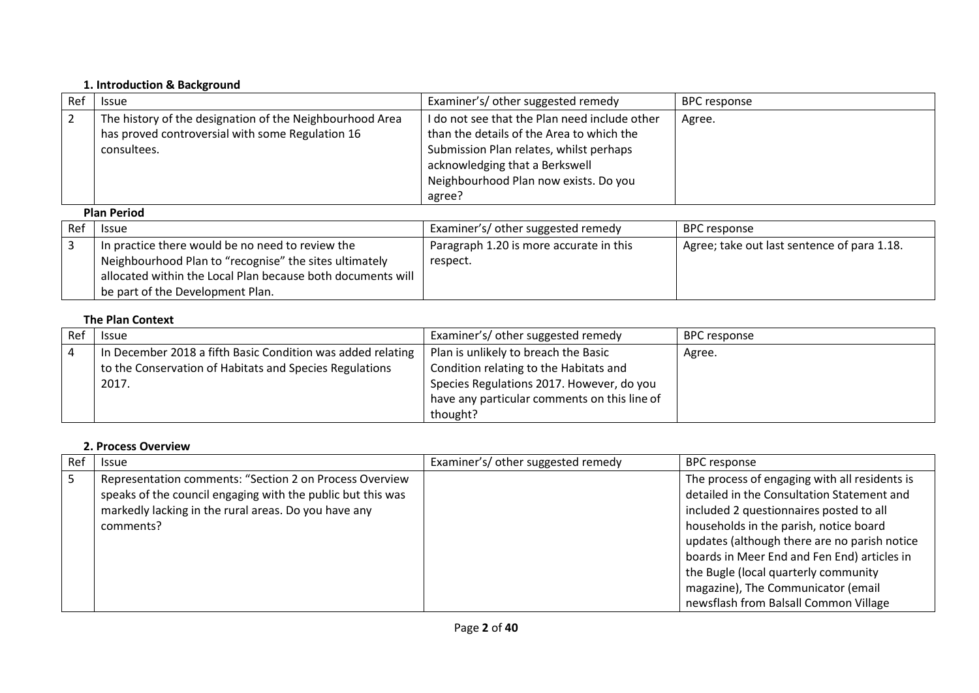#### **1. Introduction & Background**

| Ref | <b>Issue</b>                                                                                                                | Examiner's/ other suggested remedy                                                                                                                                                                                         | BPC response        |  |
|-----|-----------------------------------------------------------------------------------------------------------------------------|----------------------------------------------------------------------------------------------------------------------------------------------------------------------------------------------------------------------------|---------------------|--|
| -2  | The history of the designation of the Neighbourhood Area<br>has proved controversial with some Regulation 16<br>consultees. | I do not see that the Plan need include other<br>than the details of the Area to which the<br>Submission Plan relates, whilst perhaps<br>acknowledging that a Berkswell<br>Neighbourhood Plan now exists. Do you<br>agree? | Agree.              |  |
|     | <b>Plan Period</b>                                                                                                          |                                                                                                                                                                                                                            |                     |  |
| Ref | <b>Issue</b>                                                                                                                | Examiner's/ other suggested remedy                                                                                                                                                                                         | <b>BPC</b> response |  |

| i Ref | <b>Issue</b>                                                | Examiner's/ other suggested remedy      | <b>BPC</b> response                         |
|-------|-------------------------------------------------------------|-----------------------------------------|---------------------------------------------|
|       | In practice there would be no need to review the            | Paragraph 1.20 is more accurate in this | Agree; take out last sentence of para 1.18. |
|       | Neighbourhood Plan to "recognise" the sites ultimately      | respect.                                |                                             |
|       | allocated within the Local Plan because both documents will |                                         |                                             |
|       | be part of the Development Plan.                            |                                         |                                             |

# **The Plan Context**

| Re <sup>.</sup> | <b>Issue</b>                                                | Examiner's/ other suggested remedy           | BPC response |
|-----------------|-------------------------------------------------------------|----------------------------------------------|--------------|
|                 | In December 2018 a fifth Basic Condition was added relating | Plan is unlikely to breach the Basic         | Agree.       |
|                 | to the Conservation of Habitats and Species Regulations     | Condition relating to the Habitats and       |              |
|                 | 2017.                                                       | Species Regulations 2017. However, do you    |              |
|                 |                                                             | have any particular comments on this line of |              |
|                 |                                                             | thought?                                     |              |

#### **2. Process Overview**

| Ref | <b>Issue</b>                                                                                                                                                                                | Examiner's/ other suggested remedy | <b>BPC</b> response                                                                                                                                                                                                                                                             |
|-----|---------------------------------------------------------------------------------------------------------------------------------------------------------------------------------------------|------------------------------------|---------------------------------------------------------------------------------------------------------------------------------------------------------------------------------------------------------------------------------------------------------------------------------|
| - 5 | Representation comments: "Section 2 on Process Overview<br>speaks of the council engaging with the public but this was<br>markedly lacking in the rural areas. Do you have any<br>comments? |                                    | The process of engaging with all residents is<br>detailed in the Consultation Statement and<br>included 2 questionnaires posted to all<br>households in the parish, notice board<br>updates (although there are no parish notice<br>boards in Meer End and Fen End) articles in |
|     |                                                                                                                                                                                             |                                    | the Bugle (local quarterly community<br>magazine), The Communicator (email<br>newsflash from Balsall Common Village                                                                                                                                                             |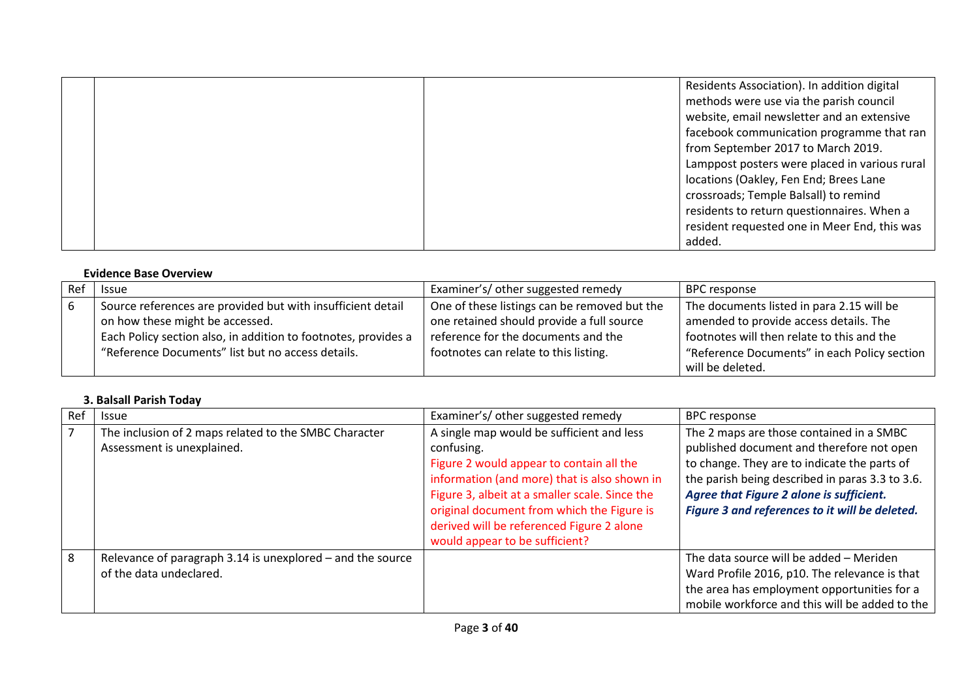|  | Residents Association). In addition digital   |
|--|-----------------------------------------------|
|  | methods were use via the parish council       |
|  | website, email newsletter and an extensive    |
|  | facebook communication programme that ran     |
|  | from September 2017 to March 2019.            |
|  | Lamppost posters were placed in various rural |
|  | locations (Oakley, Fen End; Brees Lane        |
|  | crossroads; Temple Balsall) to remind         |
|  | residents to return questionnaires. When a    |
|  | resident requested one in Meer End, this was  |
|  | added.                                        |

#### **Evidence Base Overview**

| <b>Issue</b>                                                   | Examiner's/ other suggested remedy           | <b>BPC</b> response                          |
|----------------------------------------------------------------|----------------------------------------------|----------------------------------------------|
| Source references are provided but with insufficient detail    | One of these listings can be removed but the | The documents listed in para 2.15 will be    |
| on how these might be accessed.                                | one retained should provide a full source    | amended to provide access details. The       |
| Each Policy section also, in addition to footnotes, provides a | reference for the documents and the          | footnotes will then relate to this and the   |
| "Reference Documents" list but no access details.              | footnotes can relate to this listing.        | "Reference Documents" in each Policy section |
|                                                                |                                              | will be deleted.                             |

# **3. Balsall Parish Today**

| Ref | <b>Issue</b>                                                                          | Examiner's/ other suggested remedy                                                                                                                                                                                                                                                                                                 | <b>BPC response</b>                                                                                                                                                                                                                                                                    |
|-----|---------------------------------------------------------------------------------------|------------------------------------------------------------------------------------------------------------------------------------------------------------------------------------------------------------------------------------------------------------------------------------------------------------------------------------|----------------------------------------------------------------------------------------------------------------------------------------------------------------------------------------------------------------------------------------------------------------------------------------|
| 7   | The inclusion of 2 maps related to the SMBC Character<br>Assessment is unexplained.   | A single map would be sufficient and less<br>confusing.<br>Figure 2 would appear to contain all the<br>information (and more) that is also shown in<br>Figure 3, albeit at a smaller scale. Since the<br>original document from which the Figure is<br>derived will be referenced Figure 2 alone<br>would appear to be sufficient? | The 2 maps are those contained in a SMBC<br>published document and therefore not open<br>to change. They are to indicate the parts of<br>the parish being described in paras 3.3 to 3.6.<br>Agree that Figure 2 alone is sufficient.<br>Figure 3 and references to it will be deleted. |
| 8   | Relevance of paragraph 3.14 is unexplored – and the source<br>of the data undeclared. |                                                                                                                                                                                                                                                                                                                                    | The data source will be added - Meriden<br>Ward Profile 2016, p10. The relevance is that<br>the area has employment opportunities for a<br>mobile workforce and this will be added to the                                                                                              |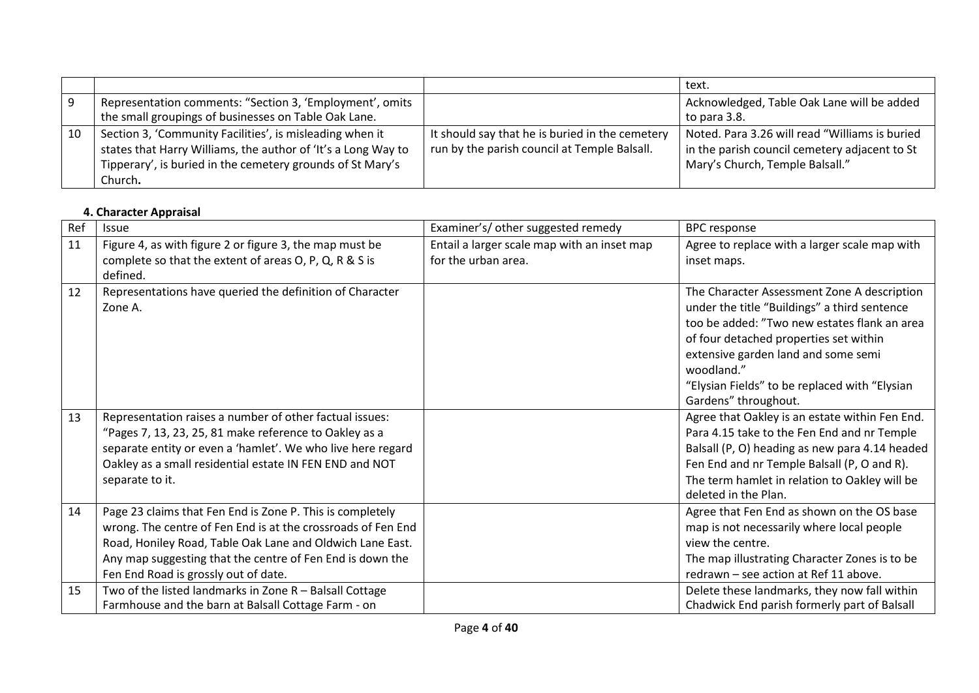|    |                                                                                                                                                                                                    |                                                                                                 | text.                                                                                                                              |
|----|----------------------------------------------------------------------------------------------------------------------------------------------------------------------------------------------------|-------------------------------------------------------------------------------------------------|------------------------------------------------------------------------------------------------------------------------------------|
|    | Representation comments: "Section 3, 'Employment', omits<br>the small groupings of businesses on Table Oak Lane.                                                                                   |                                                                                                 | Acknowledged, Table Oak Lane will be added<br>to para 3.8.                                                                         |
| 10 | Section 3, 'Community Facilities', is misleading when it<br>states that Harry Williams, the author of 'It's a Long Way to<br>Tipperary', is buried in the cemetery grounds of St Mary's<br>Church. | It should say that he is buried in the cemetery<br>run by the parish council at Temple Balsall. | Noted. Para 3.26 will read "Williams is buried<br>in the parish council cemetery adjacent to St<br>Mary's Church, Temple Balsall." |

# **4. Character Appraisal**

| Ref | Issue                                                        | Examiner's/ other suggested remedy          | <b>BPC</b> response                            |
|-----|--------------------------------------------------------------|---------------------------------------------|------------------------------------------------|
| 11  | Figure 4, as with figure 2 or figure 3, the map must be      | Entail a larger scale map with an inset map | Agree to replace with a larger scale map with  |
|     | complete so that the extent of areas O, P, Q, R & S is       | for the urban area.                         | inset maps.                                    |
|     | defined.                                                     |                                             |                                                |
| 12  | Representations have queried the definition of Character     |                                             | The Character Assessment Zone A description    |
|     | Zone A.                                                      |                                             | under the title "Buildings" a third sentence   |
|     |                                                              |                                             | too be added: "Two new estates flank an area   |
|     |                                                              |                                             | of four detached properties set within         |
|     |                                                              |                                             | extensive garden land and some semi            |
|     |                                                              |                                             | woodland."                                     |
|     |                                                              |                                             | "Elysian Fields" to be replaced with "Elysian  |
|     |                                                              |                                             | Gardens" throughout.                           |
| 13  | Representation raises a number of other factual issues:      |                                             | Agree that Oakley is an estate within Fen End. |
|     | "Pages 7, 13, 23, 25, 81 make reference to Oakley as a       |                                             | Para 4.15 take to the Fen End and nr Temple    |
|     | separate entity or even a 'hamlet'. We who live here regard  |                                             | Balsall (P, O) heading as new para 4.14 headed |
|     | Oakley as a small residential estate IN FEN END and NOT      |                                             | Fen End and nr Temple Balsall (P, O and R).    |
|     | separate to it.                                              |                                             | The term hamlet in relation to Oakley will be  |
|     |                                                              |                                             | deleted in the Plan.                           |
| 14  | Page 23 claims that Fen End is Zone P. This is completely    |                                             | Agree that Fen End as shown on the OS base     |
|     | wrong. The centre of Fen End is at the crossroads of Fen End |                                             | map is not necessarily where local people      |
|     | Road, Honiley Road, Table Oak Lane and Oldwich Lane East.    |                                             | view the centre.                               |
|     | Any map suggesting that the centre of Fen End is down the    |                                             | The map illustrating Character Zones is to be  |
|     | Fen End Road is grossly out of date.                         |                                             | redrawn - see action at Ref 11 above.          |
| 15  | Two of the listed landmarks in Zone R - Balsall Cottage      |                                             | Delete these landmarks, they now fall within   |
|     | Farmhouse and the barn at Balsall Cottage Farm - on          |                                             | Chadwick End parish formerly part of Balsall   |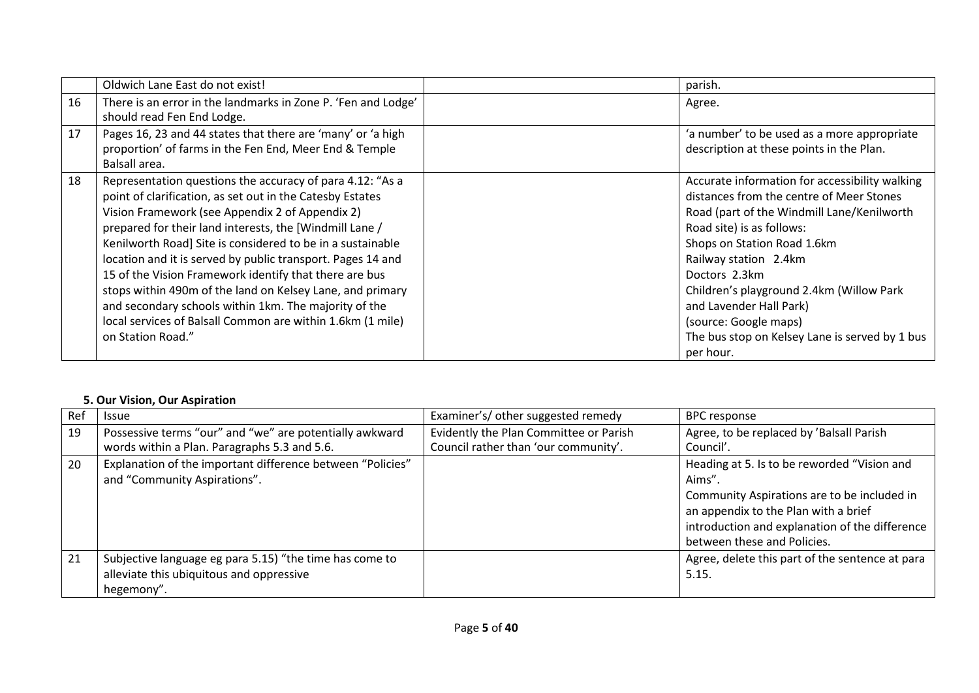|    | Oldwich Lane East do not exist!                                                             | parish.                                        |
|----|---------------------------------------------------------------------------------------------|------------------------------------------------|
| 16 | There is an error in the landmarks in Zone P. 'Fen and Lodge'<br>should read Fen End Lodge. | Agree.                                         |
| 17 | Pages 16, 23 and 44 states that there are 'many' or 'a high                                 | 'a number' to be used as a more appropriate    |
|    | proportion' of farms in the Fen End, Meer End & Temple<br>Balsall area.                     | description at these points in the Plan.       |
| 18 | Representation questions the accuracy of para 4.12: "As a                                   | Accurate information for accessibility walking |
|    | point of clarification, as set out in the Catesby Estates                                   | distances from the centre of Meer Stones       |
|    | Vision Framework (see Appendix 2 of Appendix 2)                                             | Road (part of the Windmill Lane/Kenilworth     |
|    | prepared for their land interests, the [Windmill Lane /                                     | Road site) is as follows:                      |
|    | Kenilworth Road] Site is considered to be in a sustainable                                  | Shops on Station Road 1.6km                    |
|    | location and it is served by public transport. Pages 14 and                                 | Railway station 2.4km                          |
|    | 15 of the Vision Framework identify that there are bus                                      | Doctors 2.3km                                  |
|    | stops within 490m of the land on Kelsey Lane, and primary                                   | Children's playground 2.4km (Willow Park       |
|    | and secondary schools within 1km. The majority of the                                       | and Lavender Hall Park)                        |
|    | local services of Balsall Common are within 1.6km (1 mile)                                  | (source: Google maps)                          |
|    | on Station Road."                                                                           | The bus stop on Kelsey Lane is served by 1 bus |
|    |                                                                                             | per hour.                                      |

#### **5. Our Vision, Our Aspiration**

| Ref | <b>Issue</b>                                                                                                      | Examiner's/ other suggested remedy                                             | <b>BPC</b> response                                                                                                                                                                                                           |
|-----|-------------------------------------------------------------------------------------------------------------------|--------------------------------------------------------------------------------|-------------------------------------------------------------------------------------------------------------------------------------------------------------------------------------------------------------------------------|
| 19  | Possessive terms "our" and "we" are potentially awkward<br>words within a Plan. Paragraphs 5.3 and 5.6.           | Evidently the Plan Committee or Parish<br>Council rather than 'our community'. | Agree, to be replaced by 'Balsall Parish<br>Council'.                                                                                                                                                                         |
| 20  | Explanation of the important difference between "Policies"<br>and "Community Aspirations".                        |                                                                                | Heading at 5. Is to be reworded "Vision and<br>Aims".<br>Community Aspirations are to be included in<br>an appendix to the Plan with a brief<br>introduction and explanation of the difference<br>between these and Policies. |
| 21  | Subjective language eg para 5.15) "the time has come to<br>alleviate this ubiquitous and oppressive<br>hegemony". |                                                                                | Agree, delete this part of the sentence at para<br>5.15.                                                                                                                                                                      |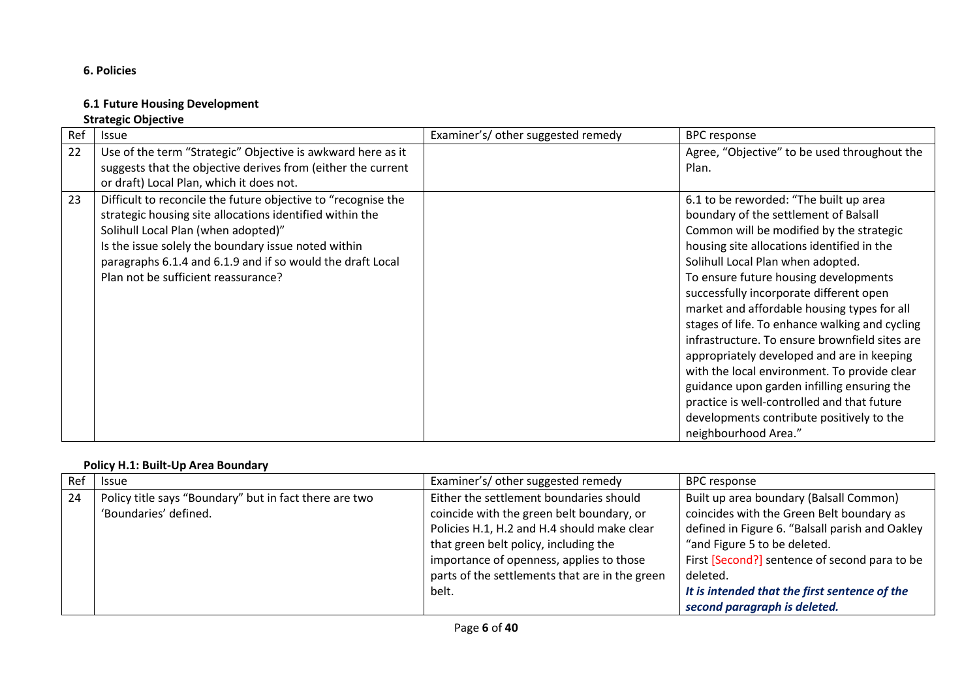# **6. Policies**

## **6.1 Future Housing Development Strategic Objective**

| Ref | <b>Issue</b>                                                  | Examiner's/ other suggested remedy | <b>BPC response</b>                            |
|-----|---------------------------------------------------------------|------------------------------------|------------------------------------------------|
| 22  | Use of the term "Strategic" Objective is awkward here as it   |                                    | Agree, "Objective" to be used throughout the   |
|     | suggests that the objective derives from (either the current  |                                    | Plan.                                          |
|     | or draft) Local Plan, which it does not.                      |                                    |                                                |
| 23  | Difficult to reconcile the future objective to "recognise the |                                    | 6.1 to be reworded: "The built up area         |
|     | strategic housing site allocations identified within the      |                                    | boundary of the settlement of Balsall          |
|     | Solihull Local Plan (when adopted)"                           |                                    | Common will be modified by the strategic       |
|     | Is the issue solely the boundary issue noted within           |                                    | housing site allocations identified in the     |
|     | paragraphs 6.1.4 and 6.1.9 and if so would the draft Local    |                                    | Solihull Local Plan when adopted.              |
|     | Plan not be sufficient reassurance?                           |                                    | To ensure future housing developments          |
|     |                                                               |                                    | successfully incorporate different open        |
|     |                                                               |                                    | market and affordable housing types for all    |
|     |                                                               |                                    | stages of life. To enhance walking and cycling |
|     |                                                               |                                    | infrastructure. To ensure brownfield sites are |
|     |                                                               |                                    | appropriately developed and are in keeping     |
|     |                                                               |                                    | with the local environment. To provide clear   |
|     |                                                               |                                    | guidance upon garden infilling ensuring the    |
|     |                                                               |                                    | practice is well-controlled and that future    |
|     |                                                               |                                    | developments contribute positively to the      |
|     |                                                               |                                    | neighbourhood Area."                           |

#### **Policy H.1: Built-Up Area Boundary**

| Ref | <b>Issue</b>                                           | Examiner's/other suggested remedy              | <b>BPC</b> response                             |
|-----|--------------------------------------------------------|------------------------------------------------|-------------------------------------------------|
| -24 | Policy title says "Boundary" but in fact there are two | Either the settlement boundaries should        | Built up area boundary (Balsall Common)         |
|     | 'Boundaries' defined.                                  | coincide with the green belt boundary, or      | coincides with the Green Belt boundary as       |
|     |                                                        | Policies H.1, H.2 and H.4 should make clear    | defined in Figure 6. "Balsall parish and Oakley |
|     |                                                        | that green belt policy, including the          | "and Figure 5 to be deleted.                    |
|     |                                                        | importance of openness, applies to those       | First [Second?] sentence of second para to be   |
|     |                                                        | parts of the settlements that are in the green | deleted.                                        |
|     |                                                        | belt.                                          | It is intended that the first sentence of the   |
|     |                                                        |                                                | second paragraph is deleted.                    |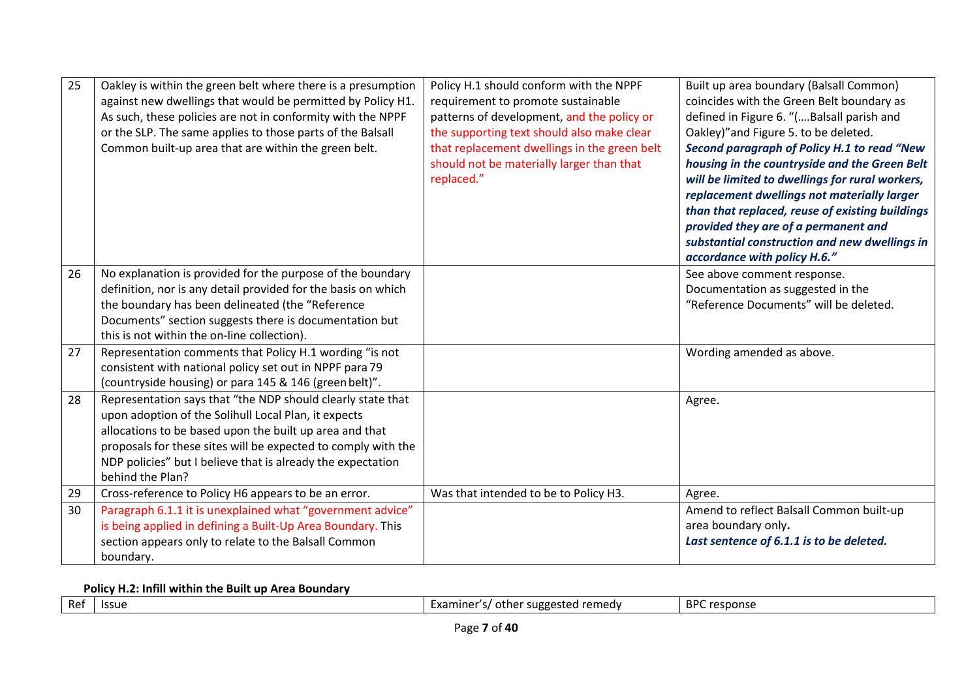| 25 | Oakley is within the green belt where there is a presumption<br>against new dwellings that would be permitted by Policy H1.<br>As such, these policies are not in conformity with the NPPF<br>or the SLP. The same applies to those parts of the Balsall<br>Common built-up area that are within the green belt.                   | Policy H.1 should conform with the NPPF<br>requirement to promote sustainable<br>patterns of development, and the policy or<br>the supporting text should also make clear<br>that replacement dwellings in the green belt<br>should not be materially larger than that<br>replaced." | Built up area boundary (Balsall Common)<br>coincides with the Green Belt boundary as<br>defined in Figure 6. "(Balsall parish and<br>Oakley)" and Figure 5. to be deleted.<br>Second paragraph of Policy H.1 to read "New<br>housing in the countryside and the Green Belt<br>will be limited to dwellings for rural workers,<br>replacement dwellings not materially larger<br>than that replaced, reuse of existing buildings<br>provided they are of a permanent and<br>substantial construction and new dwellings in<br>accordance with policy H.6." |
|----|------------------------------------------------------------------------------------------------------------------------------------------------------------------------------------------------------------------------------------------------------------------------------------------------------------------------------------|--------------------------------------------------------------------------------------------------------------------------------------------------------------------------------------------------------------------------------------------------------------------------------------|----------------------------------------------------------------------------------------------------------------------------------------------------------------------------------------------------------------------------------------------------------------------------------------------------------------------------------------------------------------------------------------------------------------------------------------------------------------------------------------------------------------------------------------------------------|
| 26 | No explanation is provided for the purpose of the boundary<br>definition, nor is any detail provided for the basis on which<br>the boundary has been delineated (the "Reference<br>Documents" section suggests there is documentation but<br>this is not within the on-line collection).                                           |                                                                                                                                                                                                                                                                                      | See above comment response.<br>Documentation as suggested in the<br>"Reference Documents" will be deleted.                                                                                                                                                                                                                                                                                                                                                                                                                                               |
| 27 | Representation comments that Policy H.1 wording "is not<br>consistent with national policy set out in NPPF para 79<br>(countryside housing) or para 145 & 146 (green belt)".                                                                                                                                                       |                                                                                                                                                                                                                                                                                      | Wording amended as above.                                                                                                                                                                                                                                                                                                                                                                                                                                                                                                                                |
| 28 | Representation says that "the NDP should clearly state that<br>upon adoption of the Solihull Local Plan, it expects<br>allocations to be based upon the built up area and that<br>proposals for these sites will be expected to comply with the<br>NDP policies" but I believe that is already the expectation<br>behind the Plan? |                                                                                                                                                                                                                                                                                      | Agree.                                                                                                                                                                                                                                                                                                                                                                                                                                                                                                                                                   |
| 29 | Cross-reference to Policy H6 appears to be an error.                                                                                                                                                                                                                                                                               | Was that intended to be to Policy H3.                                                                                                                                                                                                                                                | Agree.                                                                                                                                                                                                                                                                                                                                                                                                                                                                                                                                                   |
| 30 | Paragraph 6.1.1 it is unexplained what "government advice"<br>is being applied in defining a Built-Up Area Boundary. This<br>section appears only to relate to the Balsall Common<br>boundary.                                                                                                                                     |                                                                                                                                                                                                                                                                                      | Amend to reflect Balsall Common built-up<br>area boundary only.<br>Last sentence of 6.1.1 is to be deleted.                                                                                                                                                                                                                                                                                                                                                                                                                                              |

**Policy H.2: Infill within the Built up Area Boundary**

| Ref | <b>Issue</b> | l remedv<br>suggested<br>. other<br>-xaminer<br>. | <b>RPC</b><br>response |
|-----|--------------|---------------------------------------------------|------------------------|
|     |              |                                                   |                        |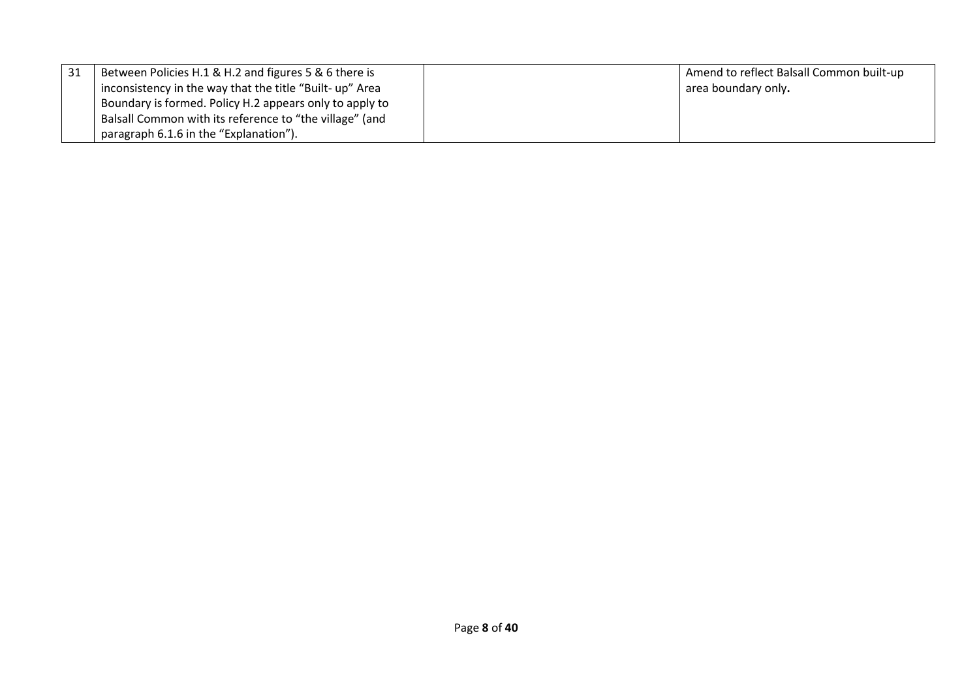| 31 | Between Policies H.1 & H.2 and figures 5 & 6 there is    | Amend to reflect Balsall Common built-up |  |
|----|----------------------------------------------------------|------------------------------------------|--|
|    | inconsistency in the way that the title "Built- up" Area | area boundary only.                      |  |
|    | Boundary is formed. Policy H.2 appears only to apply to  |                                          |  |
|    | Balsall Common with its reference to "the village" (and  |                                          |  |
|    | paragraph 6.1.6 in the "Explanation").                   |                                          |  |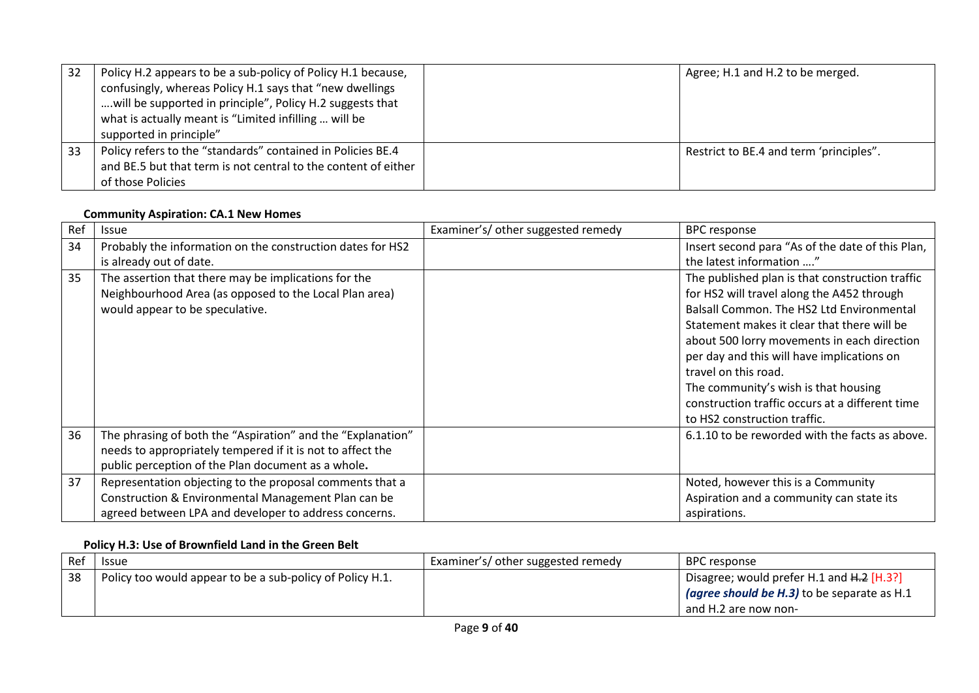| -32 | Policy H.2 appears to be a sub-policy of Policy H.1 because,<br>confusingly, whereas Policy H.1 says that "new dwellings<br>will be supported in principle", Policy H.2 suggests that<br>what is actually meant is "Limited infilling  will be<br>supported in principle" | Agree; H.1 and H.2 to be merged.        |
|-----|---------------------------------------------------------------------------------------------------------------------------------------------------------------------------------------------------------------------------------------------------------------------------|-----------------------------------------|
| -33 | Policy refers to the "standards" contained in Policies BE.4<br>and BE.5 but that term is not central to the content of either<br>of those Policies                                                                                                                        | Restrict to BE.4 and term 'principles". |

#### **Community Aspiration: CA.1 New Homes**

| Ref | <b>Issue</b>                                                                                                                                                                    | Examiner's/ other suggested remedy | <b>BPC response</b>                                                                                                                                                                                                                                                                                                                                                                                                                       |
|-----|---------------------------------------------------------------------------------------------------------------------------------------------------------------------------------|------------------------------------|-------------------------------------------------------------------------------------------------------------------------------------------------------------------------------------------------------------------------------------------------------------------------------------------------------------------------------------------------------------------------------------------------------------------------------------------|
| 34  | Probably the information on the construction dates for HS2<br>is already out of date.                                                                                           |                                    | Insert second para "As of the date of this Plan,<br>the latest information "                                                                                                                                                                                                                                                                                                                                                              |
| 35  | The assertion that there may be implications for the<br>Neighbourhood Area (as opposed to the Local Plan area)<br>would appear to be speculative.                               |                                    | The published plan is that construction traffic<br>for HS2 will travel along the A452 through<br>Balsall Common. The HS2 Ltd Environmental<br>Statement makes it clear that there will be<br>about 500 lorry movements in each direction<br>per day and this will have implications on<br>travel on this road.<br>The community's wish is that housing<br>construction traffic occurs at a different time<br>to HS2 construction traffic. |
| 36  | The phrasing of both the "Aspiration" and the "Explanation"<br>needs to appropriately tempered if it is not to affect the<br>public perception of the Plan document as a whole. |                                    | 6.1.10 to be reworded with the facts as above.                                                                                                                                                                                                                                                                                                                                                                                            |
| 37  | Representation objecting to the proposal comments that a<br>Construction & Environmental Management Plan can be<br>agreed between LPA and developer to address concerns.        |                                    | Noted, however this is a Community<br>Aspiration and a community can state its<br>aspirations.                                                                                                                                                                                                                                                                                                                                            |

# **Policy H.3: Use of Brownfield Land in the Green Belt**

| Ref | <b>Issue</b>                                              | Examiner's/ other suggested remedy | <b>BPC response</b>                                |
|-----|-----------------------------------------------------------|------------------------------------|----------------------------------------------------|
| 38  | Policy too would appear to be a sub-policy of Policy H.1. |                                    | Disagree; would prefer H.1 and H.2 [H.3?]          |
|     |                                                           |                                    | <i>(agree should be H.3)</i> to be separate as H.1 |
|     |                                                           |                                    | and H.2 are now non-                               |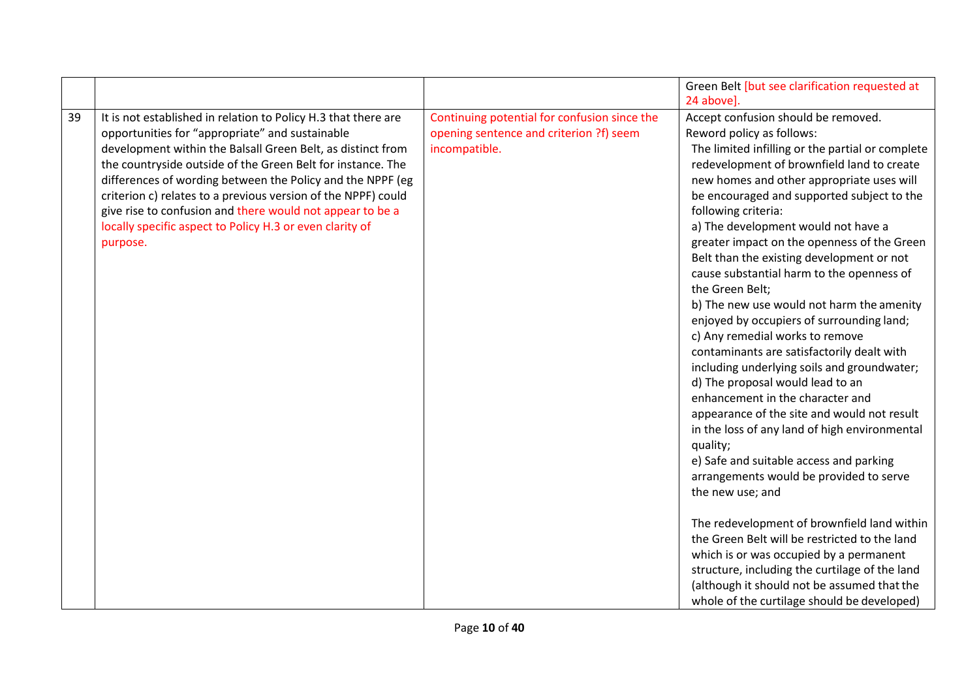|    |                                                                                                                                                                                                                                                                                                                                                                                                                                                                                                                     |                                                                                                          | Green Belt [but see clarification requested at                                                                                                                                                                                                                                                                                                                                                                                                                                                                                                                                                                                                                                                                                                                                                                                                                                                                                                                                                                                                                 |
|----|---------------------------------------------------------------------------------------------------------------------------------------------------------------------------------------------------------------------------------------------------------------------------------------------------------------------------------------------------------------------------------------------------------------------------------------------------------------------------------------------------------------------|----------------------------------------------------------------------------------------------------------|----------------------------------------------------------------------------------------------------------------------------------------------------------------------------------------------------------------------------------------------------------------------------------------------------------------------------------------------------------------------------------------------------------------------------------------------------------------------------------------------------------------------------------------------------------------------------------------------------------------------------------------------------------------------------------------------------------------------------------------------------------------------------------------------------------------------------------------------------------------------------------------------------------------------------------------------------------------------------------------------------------------------------------------------------------------|
|    |                                                                                                                                                                                                                                                                                                                                                                                                                                                                                                                     |                                                                                                          | 24 above].                                                                                                                                                                                                                                                                                                                                                                                                                                                                                                                                                                                                                                                                                                                                                                                                                                                                                                                                                                                                                                                     |
| 39 | It is not established in relation to Policy H.3 that there are<br>opportunities for "appropriate" and sustainable<br>development within the Balsall Green Belt, as distinct from<br>the countryside outside of the Green Belt for instance. The<br>differences of wording between the Policy and the NPPF (eg<br>criterion c) relates to a previous version of the NPPF) could<br>give rise to confusion and there would not appear to be a<br>locally specific aspect to Policy H.3 or even clarity of<br>purpose. | Continuing potential for confusion since the<br>opening sentence and criterion ?f) seem<br>incompatible. | Accept confusion should be removed.<br>Reword policy as follows:<br>The limited infilling or the partial or complete<br>redevelopment of brownfield land to create<br>new homes and other appropriate uses will<br>be encouraged and supported subject to the<br>following criteria:<br>a) The development would not have a<br>greater impact on the openness of the Green<br>Belt than the existing development or not<br>cause substantial harm to the openness of<br>the Green Belt;<br>b) The new use would not harm the amenity<br>enjoyed by occupiers of surrounding land;<br>c) Any remedial works to remove<br>contaminants are satisfactorily dealt with<br>including underlying soils and groundwater;<br>d) The proposal would lead to an<br>enhancement in the character and<br>appearance of the site and would not result<br>in the loss of any land of high environmental<br>quality;<br>e) Safe and suitable access and parking<br>arrangements would be provided to serve<br>the new use; and<br>The redevelopment of brownfield land within |
|    |                                                                                                                                                                                                                                                                                                                                                                                                                                                                                                                     |                                                                                                          | the Green Belt will be restricted to the land                                                                                                                                                                                                                                                                                                                                                                                                                                                                                                                                                                                                                                                                                                                                                                                                                                                                                                                                                                                                                  |
|    |                                                                                                                                                                                                                                                                                                                                                                                                                                                                                                                     |                                                                                                          | which is or was occupied by a permanent<br>structure, including the curtilage of the land                                                                                                                                                                                                                                                                                                                                                                                                                                                                                                                                                                                                                                                                                                                                                                                                                                                                                                                                                                      |
|    |                                                                                                                                                                                                                                                                                                                                                                                                                                                                                                                     |                                                                                                          | (although it should not be assumed that the                                                                                                                                                                                                                                                                                                                                                                                                                                                                                                                                                                                                                                                                                                                                                                                                                                                                                                                                                                                                                    |
|    |                                                                                                                                                                                                                                                                                                                                                                                                                                                                                                                     |                                                                                                          | whole of the curtilage should be developed)                                                                                                                                                                                                                                                                                                                                                                                                                                                                                                                                                                                                                                                                                                                                                                                                                                                                                                                                                                                                                    |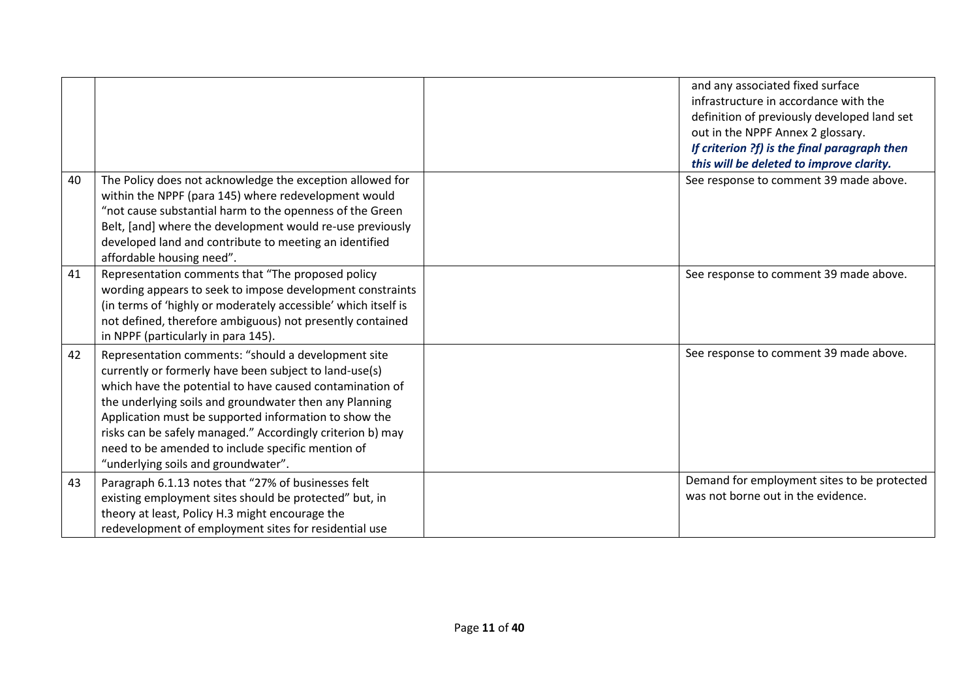|    |                                                                                                                                                                                                                                                                                                                                                                                                                                                        | and any associated fixed surface<br>infrastructure in accordance with the<br>definition of previously developed land set<br>out in the NPPF Annex 2 glossary.<br>If criterion ?f) is the final paragraph then<br>this will be deleted to improve clarity. |
|----|--------------------------------------------------------------------------------------------------------------------------------------------------------------------------------------------------------------------------------------------------------------------------------------------------------------------------------------------------------------------------------------------------------------------------------------------------------|-----------------------------------------------------------------------------------------------------------------------------------------------------------------------------------------------------------------------------------------------------------|
| 40 | The Policy does not acknowledge the exception allowed for<br>within the NPPF (para 145) where redevelopment would<br>"not cause substantial harm to the openness of the Green<br>Belt, [and] where the development would re-use previously<br>developed land and contribute to meeting an identified<br>affordable housing need".                                                                                                                      | See response to comment 39 made above.                                                                                                                                                                                                                    |
| 41 | Representation comments that "The proposed policy<br>wording appears to seek to impose development constraints<br>(in terms of 'highly or moderately accessible' which itself is<br>not defined, therefore ambiguous) not presently contained<br>in NPPF (particularly in para 145).                                                                                                                                                                   | See response to comment 39 made above.                                                                                                                                                                                                                    |
| 42 | Representation comments: "should a development site<br>currently or formerly have been subject to land-use(s)<br>which have the potential to have caused contamination of<br>the underlying soils and groundwater then any Planning<br>Application must be supported information to show the<br>risks can be safely managed." Accordingly criterion b) may<br>need to be amended to include specific mention of<br>"underlying soils and groundwater". | See response to comment 39 made above.                                                                                                                                                                                                                    |
| 43 | Paragraph 6.1.13 notes that "27% of businesses felt<br>existing employment sites should be protected" but, in<br>theory at least, Policy H.3 might encourage the<br>redevelopment of employment sites for residential use                                                                                                                                                                                                                              | Demand for employment sites to be protected<br>was not borne out in the evidence.                                                                                                                                                                         |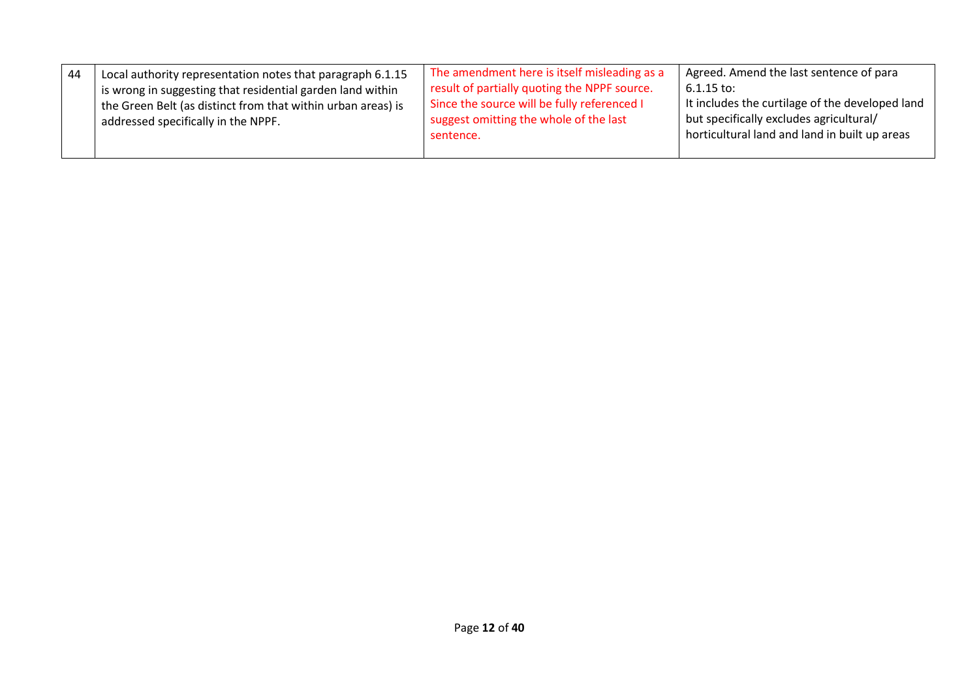| Local authority representation notes that paragraph 6.1.15   | The amendment here is itself misleading as a | Agreed. Amend the last sentence of para         |
|--------------------------------------------------------------|----------------------------------------------|-------------------------------------------------|
| 44                                                           | result of partially quoting the NPPF source. | $6.1.15$ to:                                    |
| is wrong in suggesting that residential garden land within   | Since the source will be fully referenced I  | It includes the curtilage of the developed land |
| the Green Belt (as distinct from that within urban areas) is | suggest omitting the whole of the last       | but specifically excludes agricultural/         |
| addressed specifically in the NPPF.                          | sentence.                                    | horticultural land and land in built up areas   |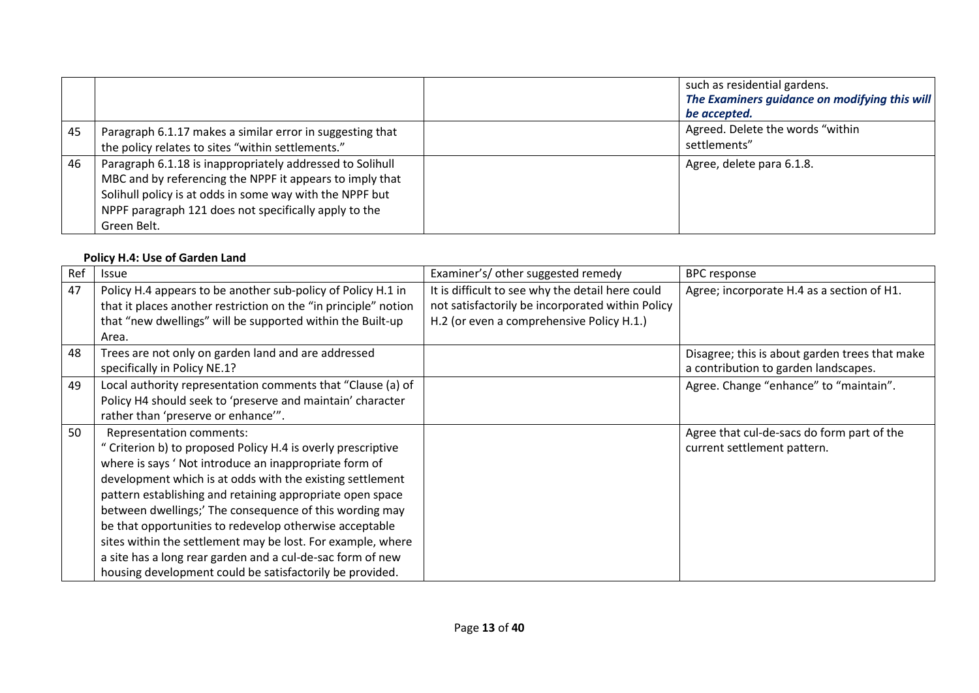|    |                                                                                                                                                                                                                                                           | such as residential gardens.<br>The Examiners guidance on modifying this will<br>be accepted. |  |
|----|-----------------------------------------------------------------------------------------------------------------------------------------------------------------------------------------------------------------------------------------------------------|-----------------------------------------------------------------------------------------------|--|
| 45 | Paragraph 6.1.17 makes a similar error in suggesting that<br>the policy relates to sites "within settlements."                                                                                                                                            | Agreed. Delete the words "within<br>settlements"                                              |  |
| 46 | Paragraph 6.1.18 is inappropriately addressed to Solihull<br>MBC and by referencing the NPPF it appears to imply that<br>Solihull policy is at odds in some way with the NPPF but<br>NPPF paragraph 121 does not specifically apply to the<br>Green Belt. | Agree, delete para 6.1.8.                                                                     |  |

#### **Policy H.4: Use of Garden Land**

| Ref | <b>Issue</b>                                                                                                                                                                                                                                                                                                                                                                                                                                                                                                                                                                               | Examiner's/ other suggested remedy                                                                                                                | <b>BPC</b> response                                                                    |
|-----|--------------------------------------------------------------------------------------------------------------------------------------------------------------------------------------------------------------------------------------------------------------------------------------------------------------------------------------------------------------------------------------------------------------------------------------------------------------------------------------------------------------------------------------------------------------------------------------------|---------------------------------------------------------------------------------------------------------------------------------------------------|----------------------------------------------------------------------------------------|
| 47  | Policy H.4 appears to be another sub-policy of Policy H.1 in<br>that it places another restriction on the "in principle" notion<br>that "new dwellings" will be supported within the Built-up<br>Area.                                                                                                                                                                                                                                                                                                                                                                                     | It is difficult to see why the detail here could<br>not satisfactorily be incorporated within Policy<br>H.2 (or even a comprehensive Policy H.1.) | Agree; incorporate H.4 as a section of H1.                                             |
| 48  | Trees are not only on garden land and are addressed<br>specifically in Policy NE.1?                                                                                                                                                                                                                                                                                                                                                                                                                                                                                                        |                                                                                                                                                   | Disagree; this is about garden trees that make<br>a contribution to garden landscapes. |
| 49  | Local authority representation comments that "Clause (a) of<br>Policy H4 should seek to 'preserve and maintain' character<br>rather than 'preserve or enhance'".                                                                                                                                                                                                                                                                                                                                                                                                                           |                                                                                                                                                   | Agree. Change "enhance" to "maintain".                                                 |
| 50  | Representation comments:<br>" Criterion b) to proposed Policy H.4 is overly prescriptive<br>where is says 'Not introduce an inappropriate form of<br>development which is at odds with the existing settlement<br>pattern establishing and retaining appropriate open space<br>between dwellings;' The consequence of this wording may<br>be that opportunities to redevelop otherwise acceptable<br>sites within the settlement may be lost. For example, where<br>a site has a long rear garden and a cul-de-sac form of new<br>housing development could be satisfactorily be provided. |                                                                                                                                                   | Agree that cul-de-sacs do form part of the<br>current settlement pattern.              |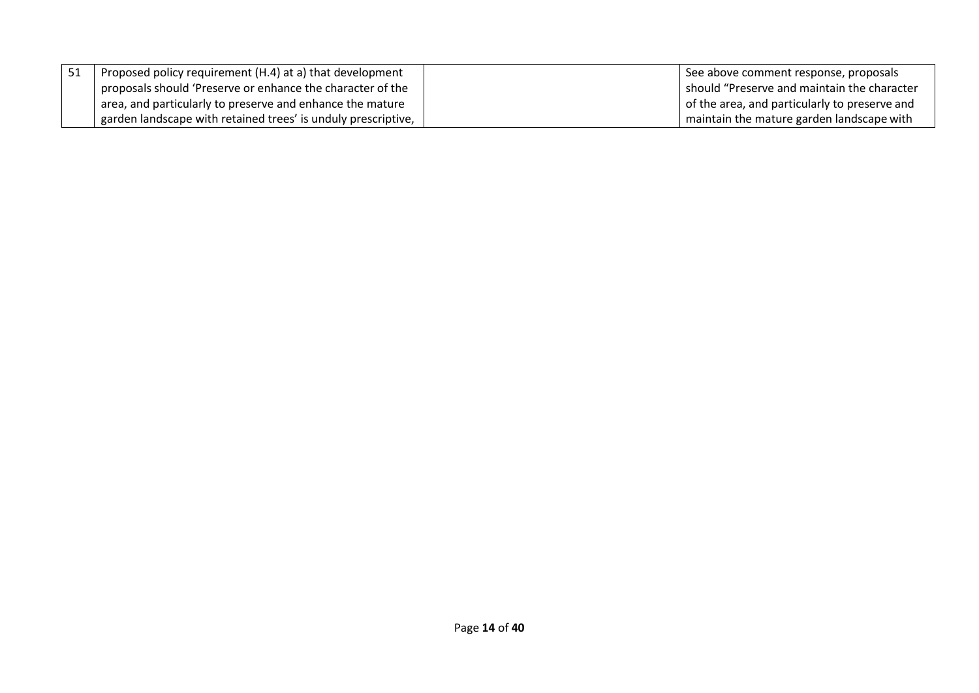| Proposed policy requirement (H.4) at a) that development      | See above comment response, proposals         |
|---------------------------------------------------------------|-----------------------------------------------|
| proposals should 'Preserve or enhance the character of the    | should "Preserve and maintain the character   |
| area, and particularly to preserve and enhance the mature     | of the area, and particularly to preserve and |
| garden landscape with retained trees' is unduly prescriptive, | maintain the mature garden landscape with     |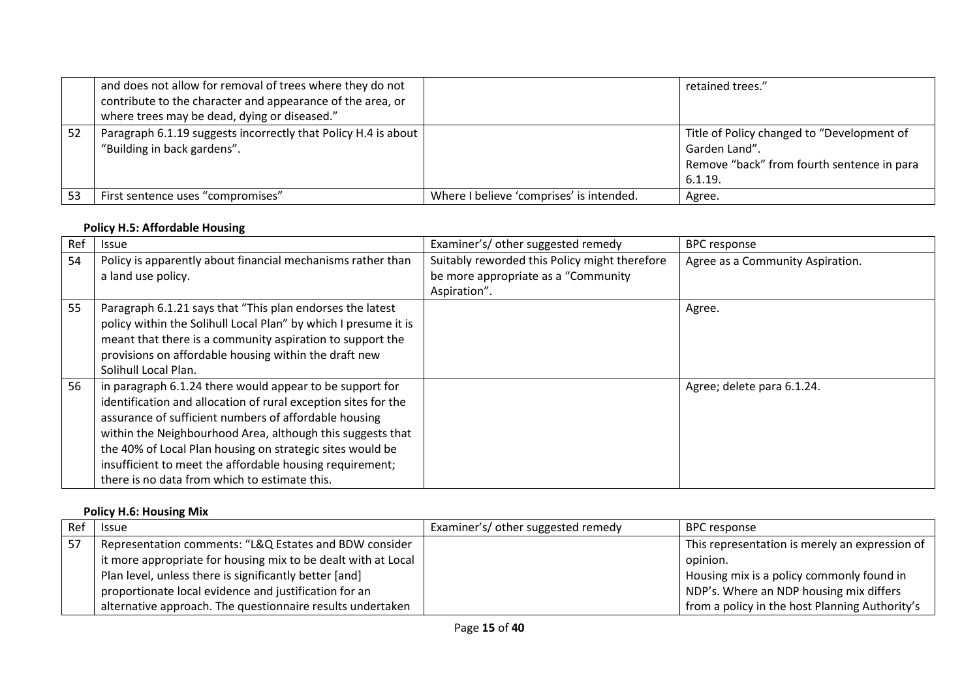|     | and does not allow for removal of trees where they do not<br>contribute to the character and appearance of the area, or<br>where trees may be dead, dying or diseased." |                                          | retained trees."                                                                                                     |
|-----|-------------------------------------------------------------------------------------------------------------------------------------------------------------------------|------------------------------------------|----------------------------------------------------------------------------------------------------------------------|
| -52 | Paragraph 6.1.19 suggests incorrectly that Policy H.4 is about<br>"Building in back gardens".                                                                           |                                          | Title of Policy changed to "Development of<br>Garden Land".<br>Remove "back" from fourth sentence in para<br>6.1.19. |
| -53 | First sentence uses "compromises"                                                                                                                                       | Where I believe 'comprises' is intended. | Agree.                                                                                                               |

#### **Policy H.5: Affordable Housing**

| Ref | <b>Issue</b>                                                    | Examiner's/ other suggested remedy            | <b>BPC</b> response              |
|-----|-----------------------------------------------------------------|-----------------------------------------------|----------------------------------|
| 54  | Policy is apparently about financial mechanisms rather than     | Suitably reworded this Policy might therefore | Agree as a Community Aspiration. |
|     | a land use policy.                                              | be more appropriate as a "Community           |                                  |
|     |                                                                 | Aspiration".                                  |                                  |
| 55  | Paragraph 6.1.21 says that "This plan endorses the latest       |                                               | Agree.                           |
|     | policy within the Solihull Local Plan" by which I presume it is |                                               |                                  |
|     | meant that there is a community aspiration to support the       |                                               |                                  |
|     | provisions on affordable housing within the draft new           |                                               |                                  |
|     | Solihull Local Plan.                                            |                                               |                                  |
| 56  | in paragraph 6.1.24 there would appear to be support for        |                                               | Agree; delete para 6.1.24.       |
|     | identification and allocation of rural exception sites for the  |                                               |                                  |
|     | assurance of sufficient numbers of affordable housing           |                                               |                                  |
|     | within the Neighbourhood Area, although this suggests that      |                                               |                                  |
|     | the 40% of Local Plan housing on strategic sites would be       |                                               |                                  |
|     | insufficient to meet the affordable housing requirement;        |                                               |                                  |
|     | there is no data from which to estimate this.                   |                                               |                                  |

#### **Policy H.6: Housing Mix**

| Ref  | <b>Issue</b>                                                  | Examiner's/ other suggested remedy | BPC response                                   |
|------|---------------------------------------------------------------|------------------------------------|------------------------------------------------|
| i 57 | Representation comments: "L&Q Estates and BDW consider        |                                    | This representation is merely an expression of |
|      | it more appropriate for housing mix to be dealt with at Local |                                    | opinion.                                       |
|      | Plan level, unless there is significantly better [and]        |                                    | Housing mix is a policy commonly found in      |
|      | proportionate local evidence and justification for an         |                                    | NDP's. Where an NDP housing mix differs        |
|      | alternative approach. The questionnaire results undertaken    |                                    | from a policy in the host Planning Authority's |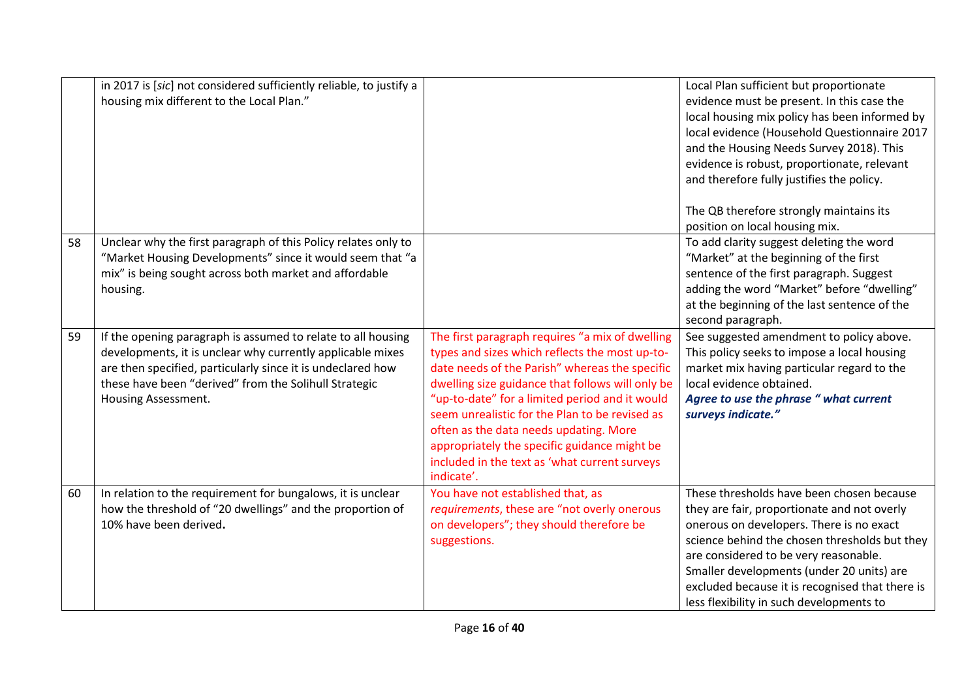|    | in 2017 is [sic] not considered sufficiently reliable, to justify a<br>housing mix different to the Local Plan."                                                                                                                                                          |                                                                                                                                                                                                                                                                                                                                                                                                                                                                      | Local Plan sufficient but proportionate<br>evidence must be present. In this case the<br>local housing mix policy has been informed by<br>local evidence (Household Questionnaire 2017<br>and the Housing Needs Survey 2018). This<br>evidence is robust, proportionate, relevant<br>and therefore fully justifies the policy.<br>The QB therefore strongly maintains its  |
|----|---------------------------------------------------------------------------------------------------------------------------------------------------------------------------------------------------------------------------------------------------------------------------|----------------------------------------------------------------------------------------------------------------------------------------------------------------------------------------------------------------------------------------------------------------------------------------------------------------------------------------------------------------------------------------------------------------------------------------------------------------------|----------------------------------------------------------------------------------------------------------------------------------------------------------------------------------------------------------------------------------------------------------------------------------------------------------------------------------------------------------------------------|
| 58 | Unclear why the first paragraph of this Policy relates only to<br>"Market Housing Developments" since it would seem that "a<br>mix" is being sought across both market and affordable<br>housing.                                                                         |                                                                                                                                                                                                                                                                                                                                                                                                                                                                      | position on local housing mix.<br>To add clarity suggest deleting the word<br>"Market" at the beginning of the first<br>sentence of the first paragraph. Suggest<br>adding the word "Market" before "dwelling"<br>at the beginning of the last sentence of the<br>second paragraph.                                                                                        |
| 59 | If the opening paragraph is assumed to relate to all housing<br>developments, it is unclear why currently applicable mixes<br>are then specified, particularly since it is undeclared how<br>these have been "derived" from the Solihull Strategic<br>Housing Assessment. | The first paragraph requires "a mix of dwelling<br>types and sizes which reflects the most up-to-<br>date needs of the Parish" whereas the specific<br>dwelling size guidance that follows will only be<br>"up-to-date" for a limited period and it would<br>seem unrealistic for the Plan to be revised as<br>often as the data needs updating. More<br>appropriately the specific guidance might be<br>included in the text as 'what current surveys<br>indicate'. | See suggested amendment to policy above.<br>This policy seeks to impose a local housing<br>market mix having particular regard to the<br>local evidence obtained.<br>Agree to use the phrase " what current<br>surveys indicate."                                                                                                                                          |
| 60 | In relation to the requirement for bungalows, it is unclear<br>how the threshold of "20 dwellings" and the proportion of<br>10% have been derived.                                                                                                                        | You have not established that, as<br>requirements, these are "not overly onerous<br>on developers"; they should therefore be<br>suggestions.                                                                                                                                                                                                                                                                                                                         | These thresholds have been chosen because<br>they are fair, proportionate and not overly<br>onerous on developers. There is no exact<br>science behind the chosen thresholds but they<br>are considered to be very reasonable.<br>Smaller developments (under 20 units) are<br>excluded because it is recognised that there is<br>less flexibility in such developments to |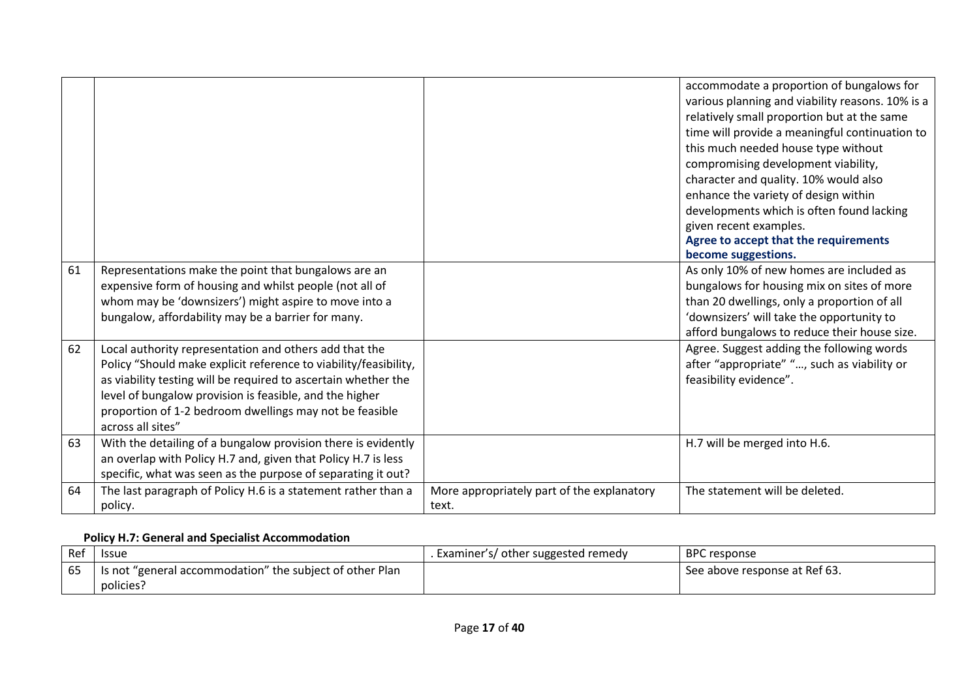|    |                                                                                                                 |                                            | accommodate a proportion of bungalows for<br>various planning and viability reasons. 10% is a<br>relatively small proportion but at the same<br>time will provide a meaningful continuation to<br>this much needed house type without<br>compromising development viability,<br>character and quality. 10% would also<br>enhance the variety of design within<br>developments which is often found lacking<br>given recent examples.<br>Agree to accept that the requirements<br>become suggestions. |
|----|-----------------------------------------------------------------------------------------------------------------|--------------------------------------------|------------------------------------------------------------------------------------------------------------------------------------------------------------------------------------------------------------------------------------------------------------------------------------------------------------------------------------------------------------------------------------------------------------------------------------------------------------------------------------------------------|
| 61 | Representations make the point that bungalows are an<br>expensive form of housing and whilst people (not all of |                                            | As only 10% of new homes are included as<br>bungalows for housing mix on sites of more                                                                                                                                                                                                                                                                                                                                                                                                               |
|    | whom may be 'downsizers') might aspire to move into a                                                           |                                            | than 20 dwellings, only a proportion of all                                                                                                                                                                                                                                                                                                                                                                                                                                                          |
|    | bungalow, affordability may be a barrier for many.                                                              |                                            | 'downsizers' will take the opportunity to                                                                                                                                                                                                                                                                                                                                                                                                                                                            |
|    |                                                                                                                 |                                            | afford bungalows to reduce their house size.                                                                                                                                                                                                                                                                                                                                                                                                                                                         |
| 62 | Local authority representation and others add that the                                                          |                                            | Agree. Suggest adding the following words                                                                                                                                                                                                                                                                                                                                                                                                                                                            |
|    | Policy "Should make explicit reference to viability/feasibility,                                                |                                            | after "appropriate" ", such as viability or                                                                                                                                                                                                                                                                                                                                                                                                                                                          |
|    | as viability testing will be required to ascertain whether the                                                  |                                            | feasibility evidence".                                                                                                                                                                                                                                                                                                                                                                                                                                                                               |
|    | level of bungalow provision is feasible, and the higher                                                         |                                            |                                                                                                                                                                                                                                                                                                                                                                                                                                                                                                      |
|    | proportion of 1-2 bedroom dwellings may not be feasible                                                         |                                            |                                                                                                                                                                                                                                                                                                                                                                                                                                                                                                      |
|    | across all sites"                                                                                               |                                            |                                                                                                                                                                                                                                                                                                                                                                                                                                                                                                      |
| 63 | With the detailing of a bungalow provision there is evidently                                                   |                                            | H.7 will be merged into H.6.                                                                                                                                                                                                                                                                                                                                                                                                                                                                         |
|    | an overlap with Policy H.7 and, given that Policy H.7 is less                                                   |                                            |                                                                                                                                                                                                                                                                                                                                                                                                                                                                                                      |
|    | specific, what was seen as the purpose of separating it out?                                                    |                                            |                                                                                                                                                                                                                                                                                                                                                                                                                                                                                                      |
| 64 | The last paragraph of Policy H.6 is a statement rather than a                                                   | More appropriately part of the explanatory | The statement will be deleted.                                                                                                                                                                                                                                                                                                                                                                                                                                                                       |
|    | policy.                                                                                                         | text.                                      |                                                                                                                                                                                                                                                                                                                                                                                                                                                                                                      |

# **Policy H.7: General and Specialist Accommodation**

| Ref | <b>Issue</b>                                             | . Examiner's/ other suggested remedy | <b>BPC</b> response           |
|-----|----------------------------------------------------------|--------------------------------------|-------------------------------|
| 65  | Is not "general accommodation" the subject of other Plan |                                      | See above response at Ref 63. |
|     | policies?                                                |                                      |                               |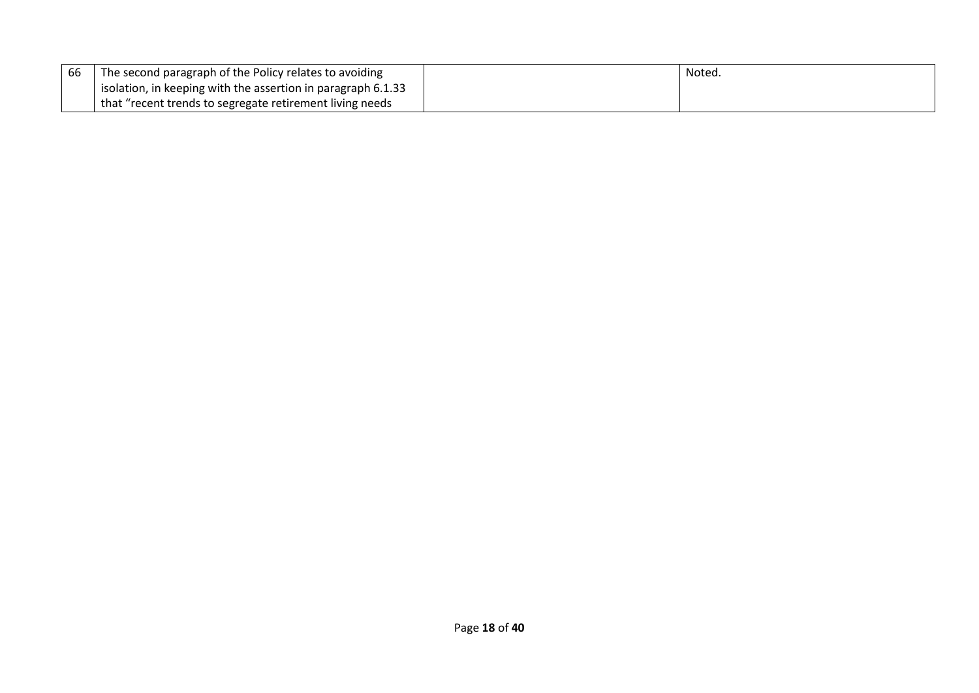| 66 | The second paragraph of the Policy relates to avoiding       | Notea. |
|----|--------------------------------------------------------------|--------|
|    | isolation, in keeping with the assertion in paragraph 6.1.33 |        |
|    | that "recent trends to segregate retirement living needs     |        |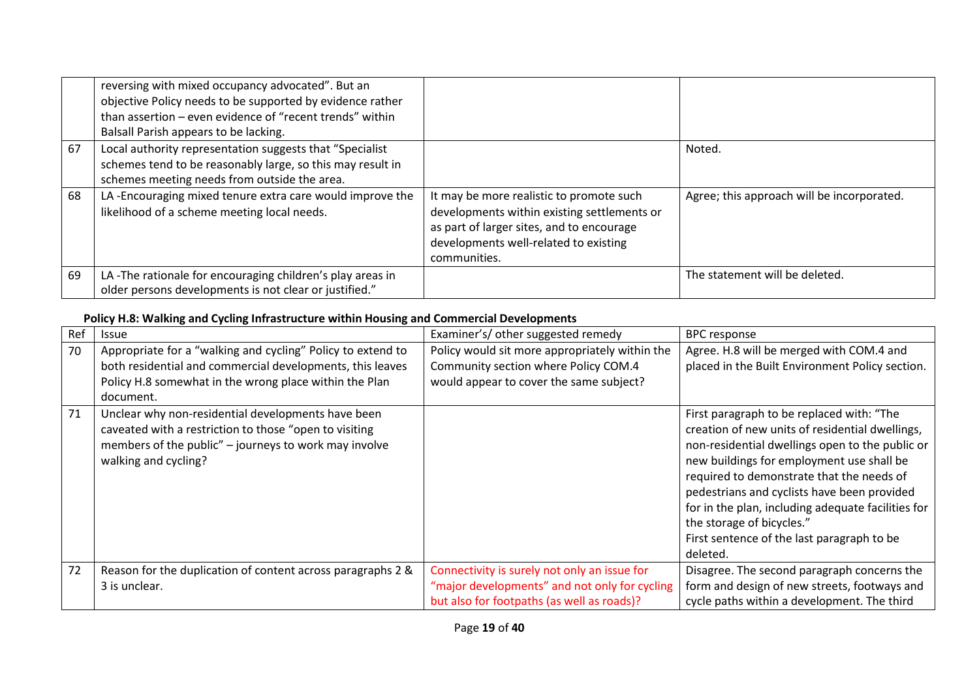|    | reversing with mixed occupancy advocated". But an<br>objective Policy needs to be supported by evidence rather<br>than assertion – even evidence of "recent trends" within<br>Balsall Parish appears to be lacking. |                                                                                                                                                                                               |                                            |
|----|---------------------------------------------------------------------------------------------------------------------------------------------------------------------------------------------------------------------|-----------------------------------------------------------------------------------------------------------------------------------------------------------------------------------------------|--------------------------------------------|
| 67 | Local authority representation suggests that "Specialist<br>schemes tend to be reasonably large, so this may result in<br>schemes meeting needs from outside the area.                                              |                                                                                                                                                                                               | Noted.                                     |
| 68 | LA-Encouraging mixed tenure extra care would improve the<br>likelihood of a scheme meeting local needs.                                                                                                             | It may be more realistic to promote such<br>developments within existing settlements or<br>as part of larger sites, and to encourage<br>developments well-related to existing<br>communities. | Agree; this approach will be incorporated. |
| 69 | LA-The rationale for encouraging children's play areas in<br>older persons developments is not clear or justified."                                                                                                 |                                                                                                                                                                                               | The statement will be deleted.             |

# **Policy H.8: Walking and Cycling Infrastructure within Housing and Commercial Developments**

| Ref | <b>Issue</b>                                                                                                                                                                                    | Examiner's/ other suggested remedy                                                                                                          | <b>BPC</b> response                                                                                                                                                                                                                                                                                                                                                                                                                   |
|-----|-------------------------------------------------------------------------------------------------------------------------------------------------------------------------------------------------|---------------------------------------------------------------------------------------------------------------------------------------------|---------------------------------------------------------------------------------------------------------------------------------------------------------------------------------------------------------------------------------------------------------------------------------------------------------------------------------------------------------------------------------------------------------------------------------------|
| 70  | Appropriate for a "walking and cycling" Policy to extend to<br>both residential and commercial developments, this leaves<br>Policy H.8 somewhat in the wrong place within the Plan<br>document. | Policy would sit more appropriately within the<br>Community section where Policy COM.4<br>would appear to cover the same subject?           | Agree. H.8 will be merged with COM.4 and<br>placed in the Built Environment Policy section.                                                                                                                                                                                                                                                                                                                                           |
| 71  | Unclear why non-residential developments have been<br>caveated with a restriction to those "open to visiting<br>members of the public" - journeys to work may involve<br>walking and cycling?   |                                                                                                                                             | First paragraph to be replaced with: "The<br>creation of new units of residential dwellings,<br>non-residential dwellings open to the public or<br>new buildings for employment use shall be<br>required to demonstrate that the needs of<br>pedestrians and cyclists have been provided<br>for in the plan, including adequate facilities for<br>the storage of bicycles."<br>First sentence of the last paragraph to be<br>deleted. |
| 72  | Reason for the duplication of content across paragraphs 2 &<br>3 is unclear.                                                                                                                    | Connectivity is surely not only an issue for<br>"major developments" and not only for cycling<br>but also for footpaths (as well as roads)? | Disagree. The second paragraph concerns the<br>form and design of new streets, footways and<br>cycle paths within a development. The third                                                                                                                                                                                                                                                                                            |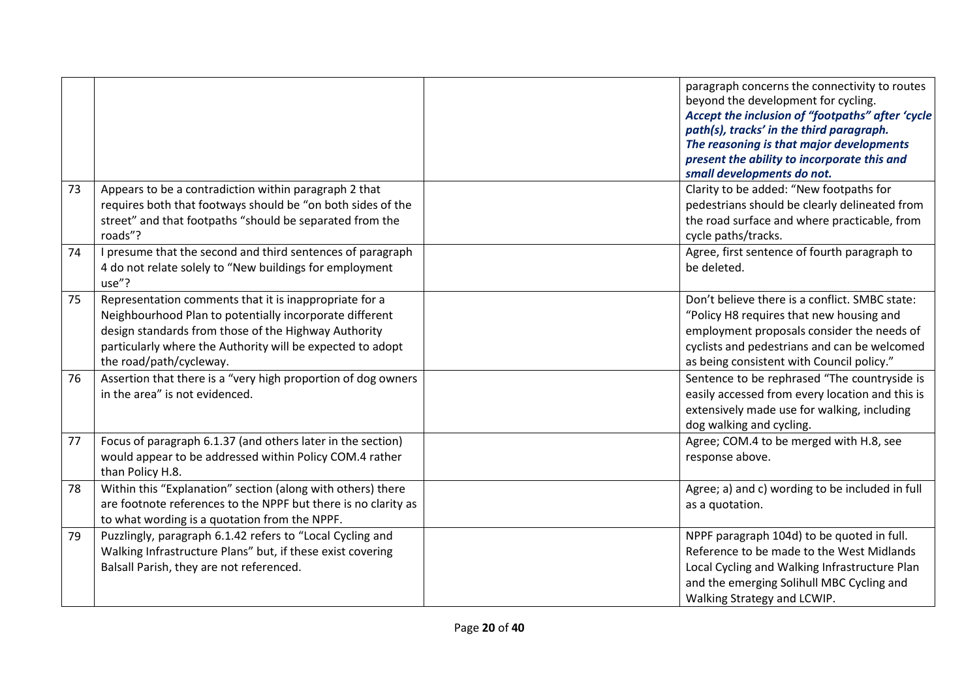|    |                                                                                                                                                                                                                                                                    | paragraph concerns the connectivity to routes<br>beyond the development for cycling.<br>Accept the inclusion of "footpaths" after 'cycle<br>path(s), tracks' in the third paragraph.<br>The reasoning is that major developments<br>present the ability to incorporate this and<br>small developments do not. |
|----|--------------------------------------------------------------------------------------------------------------------------------------------------------------------------------------------------------------------------------------------------------------------|---------------------------------------------------------------------------------------------------------------------------------------------------------------------------------------------------------------------------------------------------------------------------------------------------------------|
| 73 | Appears to be a contradiction within paragraph 2 that<br>requires both that footways should be "on both sides of the<br>street" and that footpaths "should be separated from the<br>roads"?                                                                        | Clarity to be added: "New footpaths for<br>pedestrians should be clearly delineated from<br>the road surface and where practicable, from<br>cycle paths/tracks.                                                                                                                                               |
| 74 | I presume that the second and third sentences of paragraph<br>4 do not relate solely to "New buildings for employment<br>use"?                                                                                                                                     | Agree, first sentence of fourth paragraph to<br>be deleted.                                                                                                                                                                                                                                                   |
| 75 | Representation comments that it is inappropriate for a<br>Neighbourhood Plan to potentially incorporate different<br>design standards from those of the Highway Authority<br>particularly where the Authority will be expected to adopt<br>the road/path/cycleway. | Don't believe there is a conflict. SMBC state:<br>"Policy H8 requires that new housing and<br>employment proposals consider the needs of<br>cyclists and pedestrians and can be welcomed<br>as being consistent with Council policy."                                                                         |
| 76 | Assertion that there is a "very high proportion of dog owners<br>in the area" is not evidenced.                                                                                                                                                                    | Sentence to be rephrased "The countryside is<br>easily accessed from every location and this is<br>extensively made use for walking, including<br>dog walking and cycling.                                                                                                                                    |
| 77 | Focus of paragraph 6.1.37 (and others later in the section)<br>would appear to be addressed within Policy COM.4 rather<br>than Policy H.8.                                                                                                                         | Agree; COM.4 to be merged with H.8, see<br>response above.                                                                                                                                                                                                                                                    |
| 78 | Within this "Explanation" section (along with others) there<br>are footnote references to the NPPF but there is no clarity as<br>to what wording is a quotation from the NPPF.                                                                                     | Agree; a) and c) wording to be included in full<br>as a quotation.                                                                                                                                                                                                                                            |
| 79 | Puzzlingly, paragraph 6.1.42 refers to "Local Cycling and<br>Walking Infrastructure Plans" but, if these exist covering<br>Balsall Parish, they are not referenced.                                                                                                | NPPF paragraph 104d) to be quoted in full.<br>Reference to be made to the West Midlands<br>Local Cycling and Walking Infrastructure Plan<br>and the emerging Solihull MBC Cycling and<br>Walking Strategy and LCWIP.                                                                                          |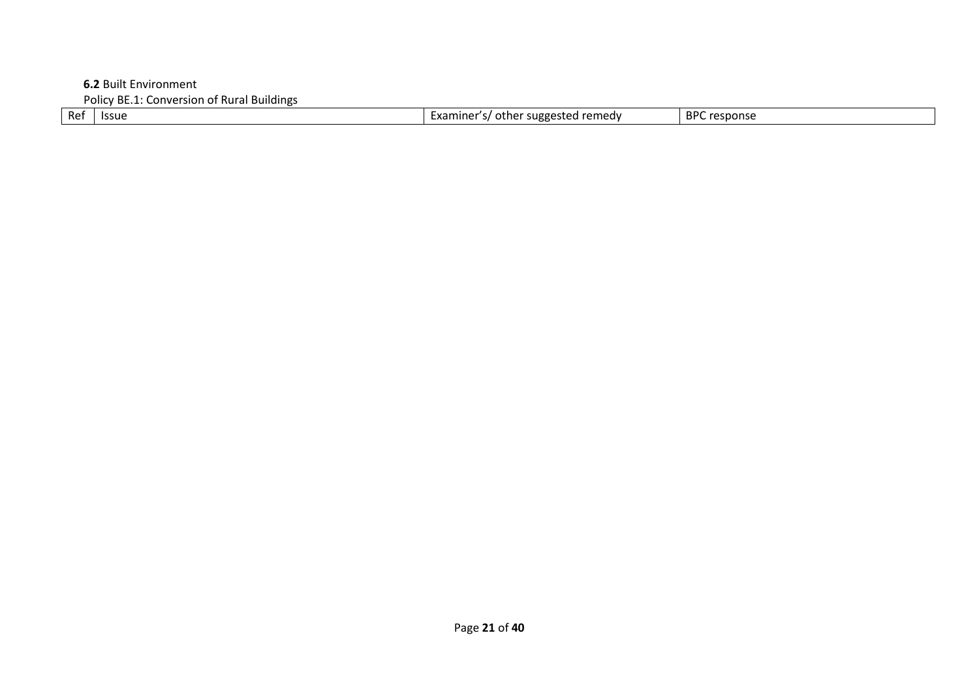**6.2** Built Environment

Policy BE.1: Conversion of Rural Buildings<br>Ref | Issue Examiner's/ other suggested remedy BPC response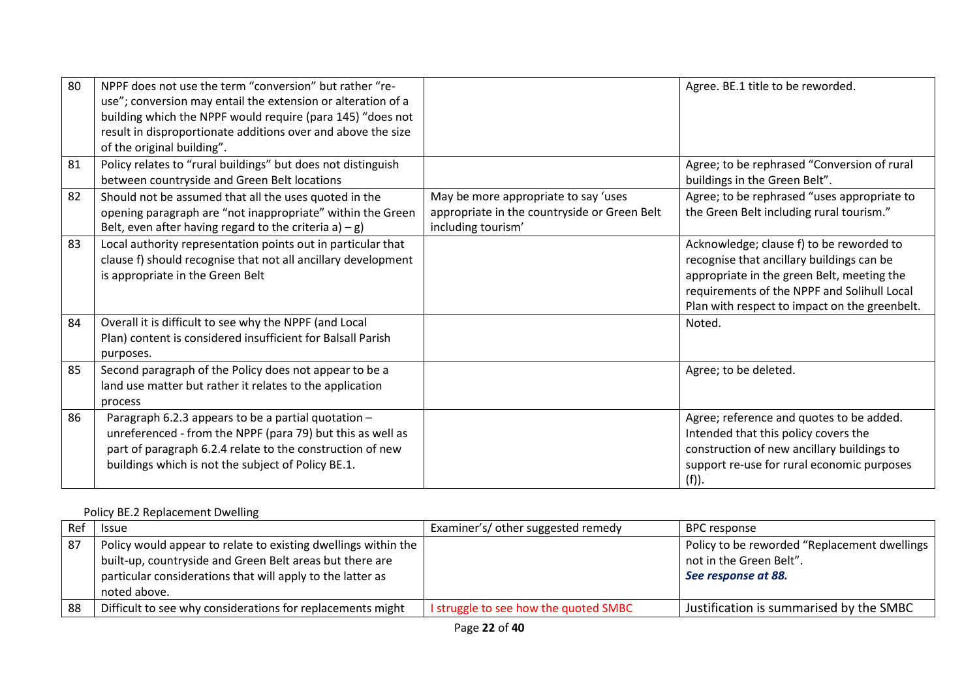| 80 | NPPF does not use the term "conversion" but rather "re-<br>use"; conversion may entail the extension or alteration of a<br>building which the NPPF would require (para 145) "does not<br>result in disproportionate additions over and above the size<br>of the original building". |                                                                                                            | Agree. BE.1 title to be reworded.                                                                                                                                                                                                   |
|----|-------------------------------------------------------------------------------------------------------------------------------------------------------------------------------------------------------------------------------------------------------------------------------------|------------------------------------------------------------------------------------------------------------|-------------------------------------------------------------------------------------------------------------------------------------------------------------------------------------------------------------------------------------|
| 81 | Policy relates to "rural buildings" but does not distinguish<br>between countryside and Green Belt locations                                                                                                                                                                        |                                                                                                            | Agree; to be rephrased "Conversion of rural<br>buildings in the Green Belt".                                                                                                                                                        |
| 82 | Should not be assumed that all the uses quoted in the<br>opening paragraph are "not inappropriate" within the Green<br>Belt, even after having regard to the criteria $a$ ) – g)                                                                                                    | May be more appropriate to say 'uses<br>appropriate in the countryside or Green Belt<br>including tourism' | Agree; to be rephrased "uses appropriate to<br>the Green Belt including rural tourism."                                                                                                                                             |
| 83 | Local authority representation points out in particular that<br>clause f) should recognise that not all ancillary development<br>is appropriate in the Green Belt                                                                                                                   |                                                                                                            | Acknowledge; clause f) to be reworded to<br>recognise that ancillary buildings can be<br>appropriate in the green Belt, meeting the<br>requirements of the NPPF and Solihull Local<br>Plan with respect to impact on the greenbelt. |
| 84 | Overall it is difficult to see why the NPPF (and Local<br>Plan) content is considered insufficient for Balsall Parish<br>purposes.                                                                                                                                                  |                                                                                                            | Noted.                                                                                                                                                                                                                              |
| 85 | Second paragraph of the Policy does not appear to be a<br>land use matter but rather it relates to the application<br>process                                                                                                                                                       |                                                                                                            | Agree; to be deleted.                                                                                                                                                                                                               |
| 86 | Paragraph 6.2.3 appears to be a partial quotation -<br>unreferenced - from the NPPF (para 79) but this as well as<br>part of paragraph 6.2.4 relate to the construction of new<br>buildings which is not the subject of Policy BE.1.                                                |                                                                                                            | Agree; reference and quotes to be added.<br>Intended that this policy covers the<br>construction of new ancillary buildings to<br>support re-use for rural economic purposes<br>(f)).                                               |

# Policy BE.2 Replacement Dwelling

| Ref | <b>Issue</b>                                                                                                                                                                                             | Examiner's/ other suggested remedy    | BPC response                                                                                   |
|-----|----------------------------------------------------------------------------------------------------------------------------------------------------------------------------------------------------------|---------------------------------------|------------------------------------------------------------------------------------------------|
| 87  | Policy would appear to relate to existing dwellings within the<br>built-up, countryside and Green Belt areas but there are<br>particular considerations that will apply to the latter as<br>noted above. |                                       | Policy to be reworded "Replacement dwellings<br>not in the Green Belt".<br>See response at 88. |
| 88  | Difficult to see why considerations for replacements might                                                                                                                                               | I struggle to see how the quoted SMBC | Justification is summarised by the SMBC                                                        |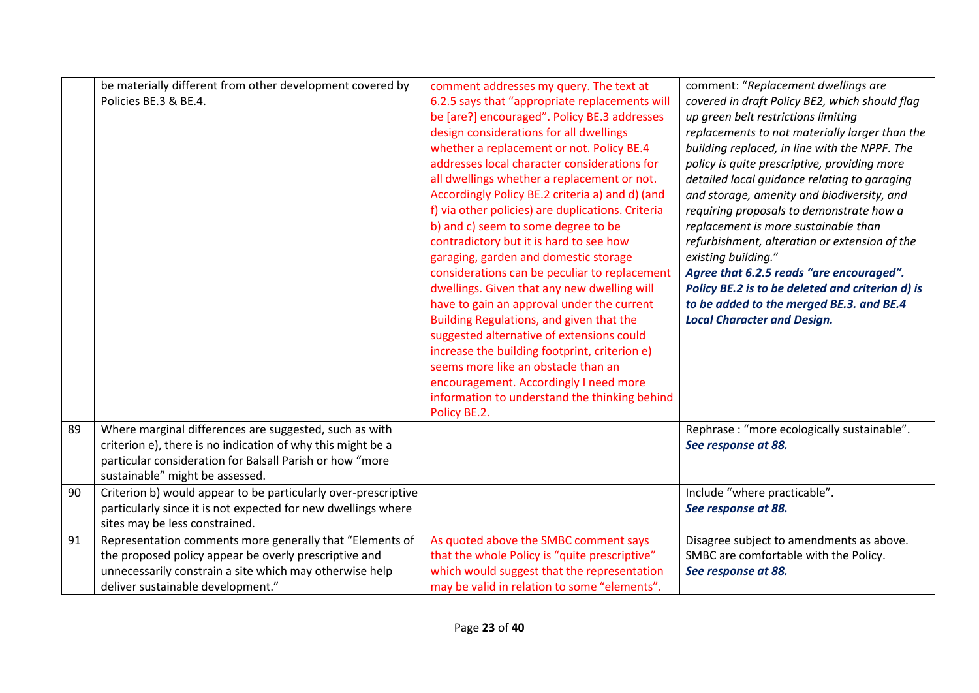|    | be materially different from other development covered by<br>Policies BE.3 & BE.4.                                                                                                                                   | comment addresses my query. The text at<br>6.2.5 says that "appropriate replacements will<br>be [are?] encouraged". Policy BE.3 addresses<br>design considerations for all dwellings<br>whether a replacement or not. Policy BE.4<br>addresses local character considerations for<br>all dwellings whether a replacement or not.<br>Accordingly Policy BE.2 criteria a) and d) (and<br>f) via other policies) are duplications. Criteria<br>b) and c) seem to some degree to be<br>contradictory but it is hard to see how<br>garaging, garden and domestic storage<br>considerations can be peculiar to replacement<br>dwellings. Given that any new dwelling will<br>have to gain an approval under the current<br>Building Regulations, and given that the<br>suggested alternative of extensions could<br>increase the building footprint, criterion e)<br>seems more like an obstacle than an<br>encouragement. Accordingly I need more<br>information to understand the thinking behind<br>Policy BE.2. | comment: "Replacement dwellings are<br>covered in draft Policy BE2, which should flag<br>up green belt restrictions limiting<br>replacements to not materially larger than the<br>building replaced, in line with the NPPF. The<br>policy is quite prescriptive, providing more<br>detailed local guidance relating to garaging<br>and storage, amenity and biodiversity, and<br>requiring proposals to demonstrate how a<br>replacement is more sustainable than<br>refurbishment, alteration or extension of the<br>existing building."<br>Agree that 6.2.5 reads "are encouraged".<br>Policy BE.2 is to be deleted and criterion d) is<br>to be added to the merged BE.3. and BE.4<br><b>Local Character and Design.</b> |
|----|----------------------------------------------------------------------------------------------------------------------------------------------------------------------------------------------------------------------|---------------------------------------------------------------------------------------------------------------------------------------------------------------------------------------------------------------------------------------------------------------------------------------------------------------------------------------------------------------------------------------------------------------------------------------------------------------------------------------------------------------------------------------------------------------------------------------------------------------------------------------------------------------------------------------------------------------------------------------------------------------------------------------------------------------------------------------------------------------------------------------------------------------------------------------------------------------------------------------------------------------|-----------------------------------------------------------------------------------------------------------------------------------------------------------------------------------------------------------------------------------------------------------------------------------------------------------------------------------------------------------------------------------------------------------------------------------------------------------------------------------------------------------------------------------------------------------------------------------------------------------------------------------------------------------------------------------------------------------------------------|
| 89 | Where marginal differences are suggested, such as with<br>criterion e), there is no indication of why this might be a<br>particular consideration for Balsall Parish or how "more<br>sustainable" might be assessed. |                                                                                                                                                                                                                                                                                                                                                                                                                                                                                                                                                                                                                                                                                                                                                                                                                                                                                                                                                                                                               | Rephrase : "more ecologically sustainable".<br>See response at 88.                                                                                                                                                                                                                                                                                                                                                                                                                                                                                                                                                                                                                                                          |
| 90 | Criterion b) would appear to be particularly over-prescriptive<br>particularly since it is not expected for new dwellings where<br>sites may be less constrained.                                                    |                                                                                                                                                                                                                                                                                                                                                                                                                                                                                                                                                                                                                                                                                                                                                                                                                                                                                                                                                                                                               | Include "where practicable".<br>See response at 88.                                                                                                                                                                                                                                                                                                                                                                                                                                                                                                                                                                                                                                                                         |
| 91 | Representation comments more generally that "Elements of<br>the proposed policy appear be overly prescriptive and<br>unnecessarily constrain a site which may otherwise help<br>deliver sustainable development."    | As quoted above the SMBC comment says<br>that the whole Policy is "quite prescriptive"<br>which would suggest that the representation<br>may be valid in relation to some "elements".                                                                                                                                                                                                                                                                                                                                                                                                                                                                                                                                                                                                                                                                                                                                                                                                                         | Disagree subject to amendments as above.<br>SMBC are comfortable with the Policy.<br>See response at 88.                                                                                                                                                                                                                                                                                                                                                                                                                                                                                                                                                                                                                    |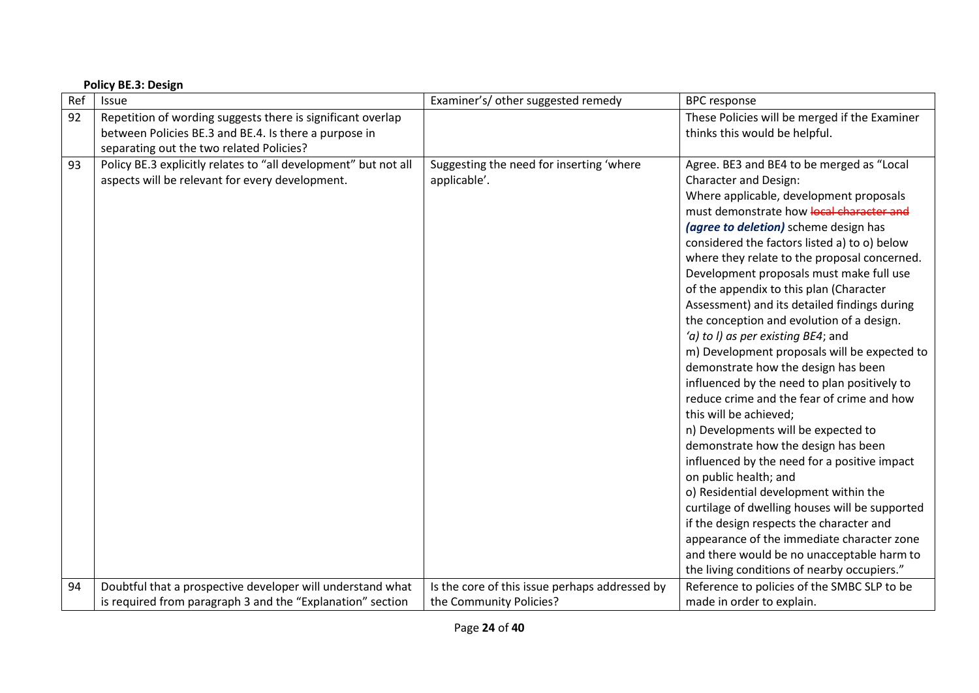|     | <b>Policy BE.3: Design</b>                                                                                                                                       |                                                          |                                                                                                                                                                                                                                                                                                                                                                                                                                                                                                                                                                                                                                                                                                                                                                                                                                                                                                                                                                                                                                                                                                                                                                                             |  |  |
|-----|------------------------------------------------------------------------------------------------------------------------------------------------------------------|----------------------------------------------------------|---------------------------------------------------------------------------------------------------------------------------------------------------------------------------------------------------------------------------------------------------------------------------------------------------------------------------------------------------------------------------------------------------------------------------------------------------------------------------------------------------------------------------------------------------------------------------------------------------------------------------------------------------------------------------------------------------------------------------------------------------------------------------------------------------------------------------------------------------------------------------------------------------------------------------------------------------------------------------------------------------------------------------------------------------------------------------------------------------------------------------------------------------------------------------------------------|--|--|
| Ref | Issue                                                                                                                                                            | Examiner's/ other suggested remedy                       | <b>BPC</b> response                                                                                                                                                                                                                                                                                                                                                                                                                                                                                                                                                                                                                                                                                                                                                                                                                                                                                                                                                                                                                                                                                                                                                                         |  |  |
| 92  | Repetition of wording suggests there is significant overlap<br>between Policies BE.3 and BE.4. Is there a purpose in<br>separating out the two related Policies? |                                                          | These Policies will be merged if the Examiner<br>thinks this would be helpful.                                                                                                                                                                                                                                                                                                                                                                                                                                                                                                                                                                                                                                                                                                                                                                                                                                                                                                                                                                                                                                                                                                              |  |  |
| 93  | Policy BE.3 explicitly relates to "all development" but not all<br>aspects will be relevant for every development.                                               | Suggesting the need for inserting 'where<br>applicable'. | Agree. BE3 and BE4 to be merged as "Local<br><b>Character and Design:</b><br>Where applicable, development proposals<br>must demonstrate how local character and<br>(agree to deletion) scheme design has<br>considered the factors listed a) to o) below<br>where they relate to the proposal concerned.<br>Development proposals must make full use<br>of the appendix to this plan (Character<br>Assessment) and its detailed findings during<br>the conception and evolution of a design.<br>'a) to I) as per existing BE4; and<br>m) Development proposals will be expected to<br>demonstrate how the design has been<br>influenced by the need to plan positively to<br>reduce crime and the fear of crime and how<br>this will be achieved;<br>n) Developments will be expected to<br>demonstrate how the design has been<br>influenced by the need for a positive impact<br>on public health; and<br>o) Residential development within the<br>curtilage of dwelling houses will be supported<br>if the design respects the character and<br>appearance of the immediate character zone<br>and there would be no unacceptable harm to<br>the living conditions of nearby occupiers." |  |  |
| 94  | Doubtful that a prospective developer will understand what                                                                                                       | Is the core of this issue perhaps addressed by           | Reference to policies of the SMBC SLP to be                                                                                                                                                                                                                                                                                                                                                                                                                                                                                                                                                                                                                                                                                                                                                                                                                                                                                                                                                                                                                                                                                                                                                 |  |  |
|     | is required from paragraph 3 and the "Explanation" section                                                                                                       | the Community Policies?                                  | made in order to explain.                                                                                                                                                                                                                                                                                                                                                                                                                                                                                                                                                                                                                                                                                                                                                                                                                                                                                                                                                                                                                                                                                                                                                                   |  |  |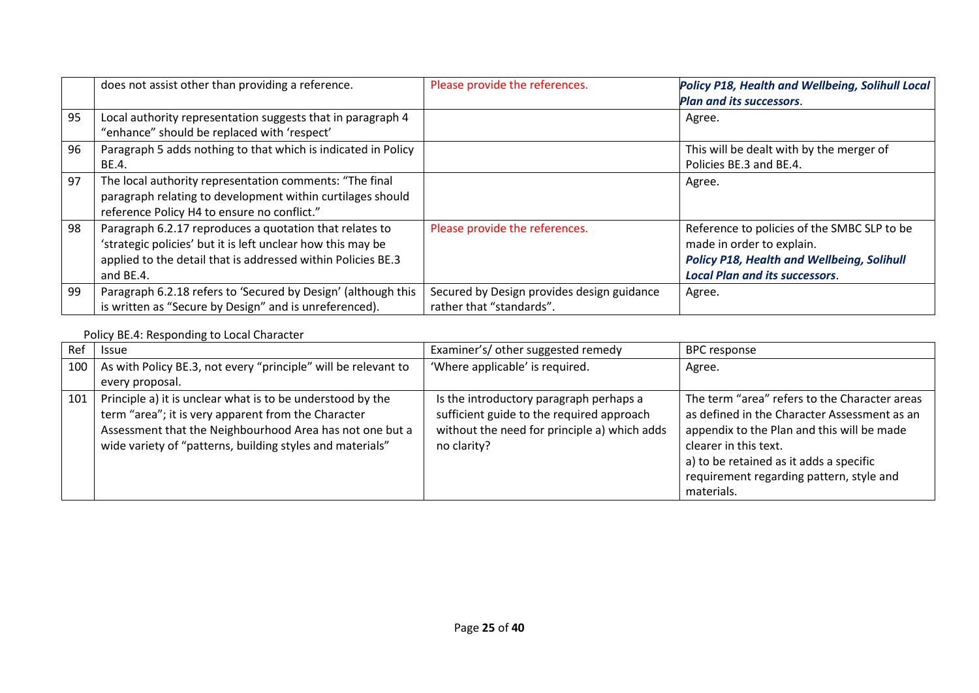|    | does not assist other than providing a reference.                                                                                                                                                   | Please provide the references.                                         | Policy P18, Health and Wellbeing, Solihull Local<br><b>Plan and its successors.</b>                                                                                    |
|----|-----------------------------------------------------------------------------------------------------------------------------------------------------------------------------------------------------|------------------------------------------------------------------------|------------------------------------------------------------------------------------------------------------------------------------------------------------------------|
| 95 | Local authority representation suggests that in paragraph 4<br>"enhance" should be replaced with 'respect'                                                                                          |                                                                        | Agree.                                                                                                                                                                 |
| 96 | Paragraph 5 adds nothing to that which is indicated in Policy<br>BE.4.                                                                                                                              |                                                                        | This will be dealt with by the merger of<br>Policies BE.3 and BE.4.                                                                                                    |
| 97 | The local authority representation comments: "The final<br>paragraph relating to development within curtilages should<br>reference Policy H4 to ensure no conflict."                                |                                                                        | Agree.                                                                                                                                                                 |
| 98 | Paragraph 6.2.17 reproduces a quotation that relates to<br>'strategic policies' but it is left unclear how this may be<br>applied to the detail that is addressed within Policies BE.3<br>and BE.4. | Please provide the references.                                         | Reference to policies of the SMBC SLP to be<br>made in order to explain.<br><b>Policy P18, Health and Wellbeing, Solihull</b><br><b>Local Plan and its successors.</b> |
| 99 | Paragraph 6.2.18 refers to 'Secured by Design' (although this<br>is written as "Secure by Design" and is unreferenced).                                                                             | Secured by Design provides design guidance<br>rather that "standards". | Agree.                                                                                                                                                                 |

# Policy BE.4: Responding to Local Character

| Ref | <b>Issue</b>                                                                                                                                                                                                                               | Examiner's/ other suggested remedy                                                                                                                  | <b>BPC</b> response                                                                                                                                                                                                                                                       |
|-----|--------------------------------------------------------------------------------------------------------------------------------------------------------------------------------------------------------------------------------------------|-----------------------------------------------------------------------------------------------------------------------------------------------------|---------------------------------------------------------------------------------------------------------------------------------------------------------------------------------------------------------------------------------------------------------------------------|
| 100 | As with Policy BE.3, not every "principle" will be relevant to<br>every proposal.                                                                                                                                                          | 'Where applicable' is required.                                                                                                                     | Agree.                                                                                                                                                                                                                                                                    |
| 101 | Principle a) it is unclear what is to be understood by the<br>term "area"; it is very apparent from the Character<br>Assessment that the Neighbourhood Area has not one but a<br>wide variety of "patterns, building styles and materials" | Is the introductory paragraph perhaps a<br>sufficient guide to the required approach<br>without the need for principle a) which adds<br>no clarity? | The term "area" refers to the Character areas<br>as defined in the Character Assessment as an<br>appendix to the Plan and this will be made<br>clearer in this text.<br>a) to be retained as it adds a specific<br>requirement regarding pattern, style and<br>materials. |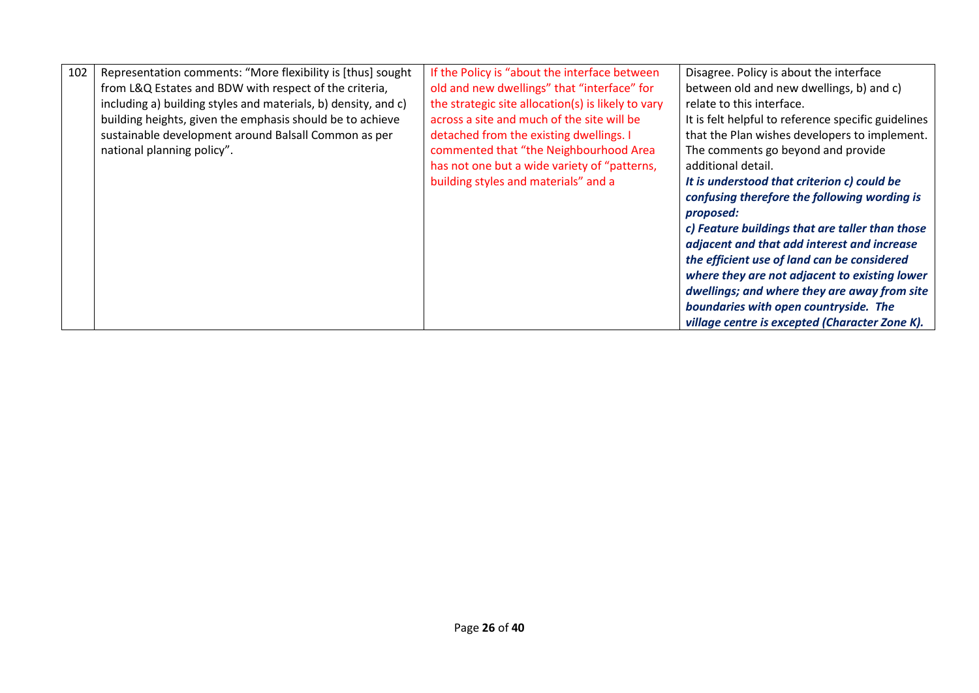| 102 | Representation comments: "More flexibility is [thus] sought    | If the Policy is "about the interface between      | Disagree. Policy is about the interface             |
|-----|----------------------------------------------------------------|----------------------------------------------------|-----------------------------------------------------|
|     | from L&Q Estates and BDW with respect of the criteria,         | old and new dwellings" that "interface" for        | between old and new dwellings, b) and c)            |
|     | including a) building styles and materials, b) density, and c) | the strategic site allocation(s) is likely to vary | relate to this interface.                           |
|     | building heights, given the emphasis should be to achieve      | across a site and much of the site will be         | It is felt helpful to reference specific guidelines |
|     | sustainable development around Balsall Common as per           | detached from the existing dwellings. I            | that the Plan wishes developers to implement.       |
|     | national planning policy".                                     | commented that "the Neighbourhood Area             | The comments go beyond and provide                  |
|     |                                                                | has not one but a wide variety of "patterns,       | additional detail.                                  |
|     |                                                                | building styles and materials" and a               | It is understood that criterion c) could be         |
|     |                                                                |                                                    | confusing therefore the following wording is        |
|     |                                                                |                                                    | proposed:                                           |
|     |                                                                |                                                    | c) Feature buildings that are taller than those     |
|     |                                                                |                                                    | adjacent and that add interest and increase         |
|     |                                                                |                                                    | the efficient use of land can be considered         |
|     |                                                                |                                                    | where they are not adjacent to existing lower       |
|     |                                                                |                                                    | dwellings; and where they are away from site        |
|     |                                                                |                                                    | boundaries with open countryside. The               |
|     |                                                                |                                                    | village centre is excepted (Character Zone K).      |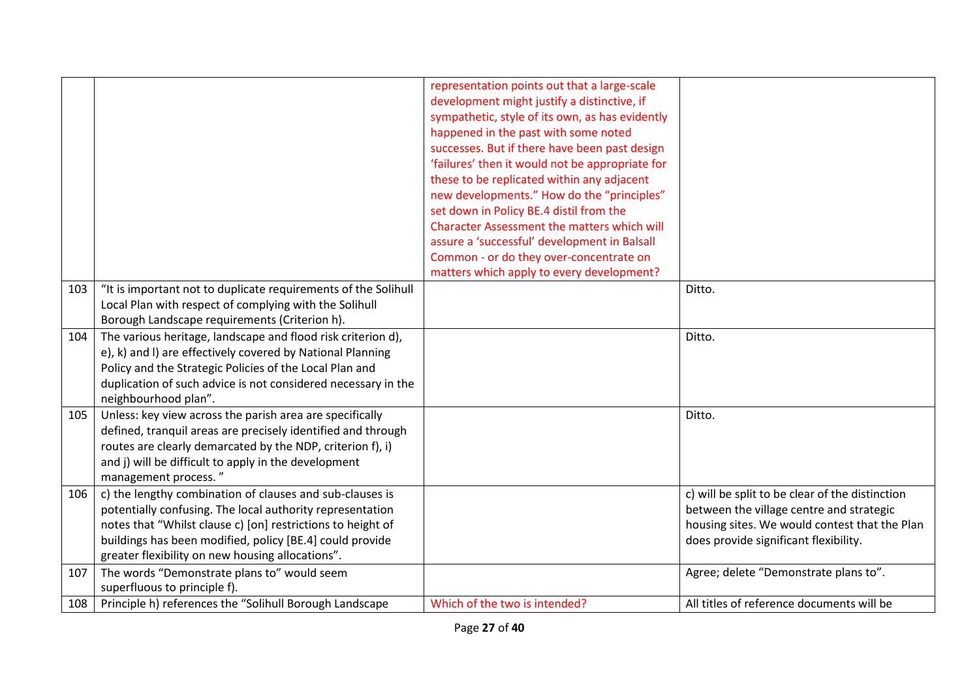|     |                                                                                                                                                                                                                                                                                                      | representation points out that a large-scale<br>development might justify a distinctive, if<br>sympathetic, style of its own, as has evidently<br>happened in the past with some noted<br>successes. But if there have been past design<br>'failures' then it would not be appropriate for<br>these to be replicated within any adjacent<br>new developments." How do the "principles"<br>set down in Policy BE.4 distil from the<br>Character Assessment the matters which will<br>assure a 'successful' development in Balsall<br>Common - or do they over-concentrate on<br>matters which apply to every development? |                                                                                                                                                                                       |
|-----|------------------------------------------------------------------------------------------------------------------------------------------------------------------------------------------------------------------------------------------------------------------------------------------------------|--------------------------------------------------------------------------------------------------------------------------------------------------------------------------------------------------------------------------------------------------------------------------------------------------------------------------------------------------------------------------------------------------------------------------------------------------------------------------------------------------------------------------------------------------------------------------------------------------------------------------|---------------------------------------------------------------------------------------------------------------------------------------------------------------------------------------|
| 103 | "It is important not to duplicate requirements of the Solihull<br>Local Plan with respect of complying with the Solihull<br>Borough Landscape requirements (Criterion h).                                                                                                                            |                                                                                                                                                                                                                                                                                                                                                                                                                                                                                                                                                                                                                          | Ditto.                                                                                                                                                                                |
| 104 | The various heritage, landscape and flood risk criterion d),<br>e), k) and I) are effectively covered by National Planning<br>Policy and the Strategic Policies of the Local Plan and<br>duplication of such advice is not considered necessary in the<br>neighbourhood plan".                       |                                                                                                                                                                                                                                                                                                                                                                                                                                                                                                                                                                                                                          | Ditto.                                                                                                                                                                                |
| 105 | Unless: key view across the parish area are specifically<br>defined, tranquil areas are precisely identified and through<br>routes are clearly demarcated by the NDP, criterion f), i)<br>and j) will be difficult to apply in the development<br>management process."                               |                                                                                                                                                                                                                                                                                                                                                                                                                                                                                                                                                                                                                          | Ditto.                                                                                                                                                                                |
| 106 | c) the lengthy combination of clauses and sub-clauses is<br>potentially confusing. The local authority representation<br>notes that "Whilst clause c) [on] restrictions to height of<br>buildings has been modified, policy [BE.4] could provide<br>greater flexibility on new housing allocations". |                                                                                                                                                                                                                                                                                                                                                                                                                                                                                                                                                                                                                          | c) will be split to be clear of the distinction<br>between the village centre and strategic<br>housing sites. We would contest that the Plan<br>does provide significant flexibility. |
| 107 | The words "Demonstrate plans to" would seem<br>superfluous to principle f).                                                                                                                                                                                                                          |                                                                                                                                                                                                                                                                                                                                                                                                                                                                                                                                                                                                                          | Agree; delete "Demonstrate plans to".                                                                                                                                                 |
| 108 | Principle h) references the "Solihull Borough Landscape                                                                                                                                                                                                                                              | Which of the two is intended?                                                                                                                                                                                                                                                                                                                                                                                                                                                                                                                                                                                            | All titles of reference documents will be                                                                                                                                             |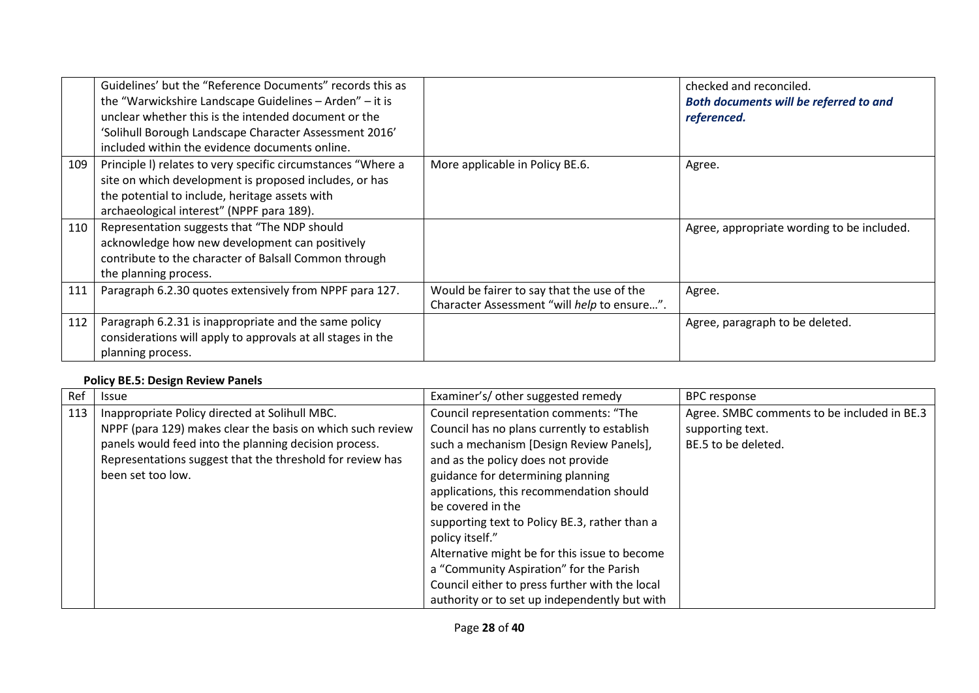|     | Guidelines' but the "Reference Documents" records this as<br>the "Warwickshire Landscape Guidelines - Arden" - it is<br>unclear whether this is the intended document or the<br>'Solihull Borough Landscape Character Assessment 2016'<br>included within the evidence documents online. |                                                                                           | checked and reconciled.<br>Both documents will be referred to and<br>referenced. |
|-----|------------------------------------------------------------------------------------------------------------------------------------------------------------------------------------------------------------------------------------------------------------------------------------------|-------------------------------------------------------------------------------------------|----------------------------------------------------------------------------------|
| 109 | Principle I) relates to very specific circumstances "Where a<br>site on which development is proposed includes, or has<br>the potential to include, heritage assets with<br>archaeological interest" (NPPF para 189).                                                                    | More applicable in Policy BE.6.                                                           | Agree.                                                                           |
| 110 | Representation suggests that "The NDP should<br>acknowledge how new development can positively<br>contribute to the character of Balsall Common through<br>the planning process.                                                                                                         |                                                                                           | Agree, appropriate wording to be included.                                       |
| 111 | Paragraph 6.2.30 quotes extensively from NPPF para 127.                                                                                                                                                                                                                                  | Would be fairer to say that the use of the<br>Character Assessment "will help to ensure". | Agree.                                                                           |
| 112 | Paragraph 6.2.31 is inappropriate and the same policy<br>considerations will apply to approvals at all stages in the<br>planning process.                                                                                                                                                |                                                                                           | Agree, paragraph to be deleted.                                                  |

#### **Policy BE.5: Design Review Panels**

| Ref | Issue                                                      | Examiner's/ other suggested remedy             | <b>BPC</b> response                         |
|-----|------------------------------------------------------------|------------------------------------------------|---------------------------------------------|
| 113 | Inappropriate Policy directed at Solihull MBC.             | Council representation comments: "The          | Agree. SMBC comments to be included in BE.3 |
|     | NPPF (para 129) makes clear the basis on which such review | Council has no plans currently to establish    | supporting text.                            |
|     | panels would feed into the planning decision process.      | such a mechanism [Design Review Panels],       | BE.5 to be deleted.                         |
|     | Representations suggest that the threshold for review has  | and as the policy does not provide             |                                             |
|     | been set too low.                                          | guidance for determining planning              |                                             |
|     |                                                            | applications, this recommendation should       |                                             |
|     |                                                            | be covered in the                              |                                             |
|     |                                                            | supporting text to Policy BE.3, rather than a  |                                             |
|     |                                                            | policy itself."                                |                                             |
|     |                                                            | Alternative might be for this issue to become  |                                             |
|     |                                                            | a "Community Aspiration" for the Parish        |                                             |
|     |                                                            | Council either to press further with the local |                                             |
|     |                                                            | authority or to set up independently but with  |                                             |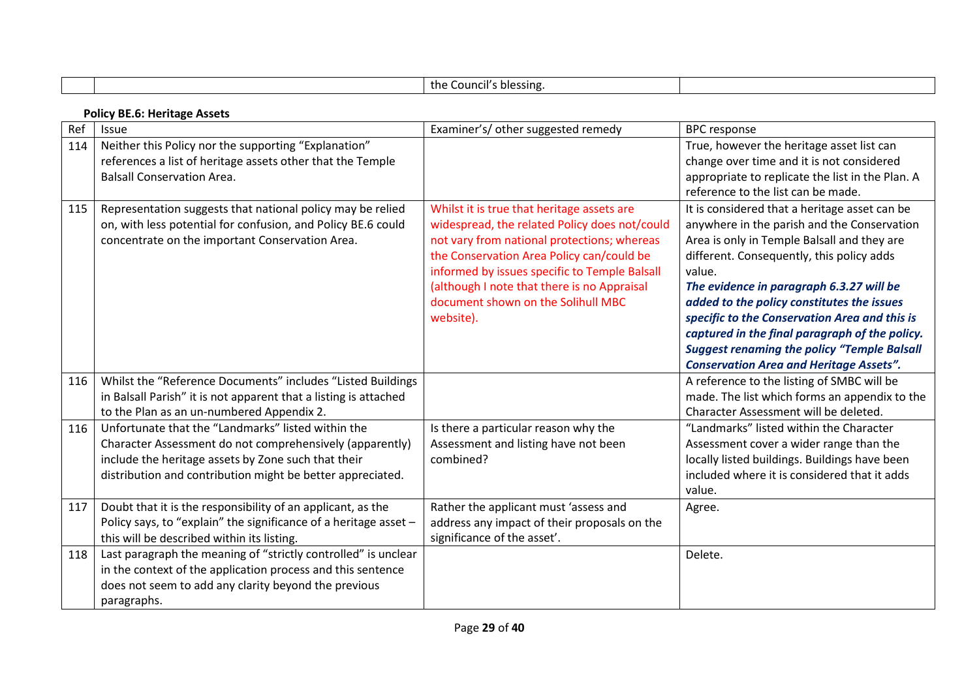|     |                                                                                                                                                                                                                                     | the Council's blessing.                                                                                                                                                                                                                                                                                                                    |                                                                                                                                                                                                                                                                                                                                                                                                                                                                                                         |  |  |
|-----|-------------------------------------------------------------------------------------------------------------------------------------------------------------------------------------------------------------------------------------|--------------------------------------------------------------------------------------------------------------------------------------------------------------------------------------------------------------------------------------------------------------------------------------------------------------------------------------------|---------------------------------------------------------------------------------------------------------------------------------------------------------------------------------------------------------------------------------------------------------------------------------------------------------------------------------------------------------------------------------------------------------------------------------------------------------------------------------------------------------|--|--|
|     | <b>Policy BE.6: Heritage Assets</b>                                                                                                                                                                                                 |                                                                                                                                                                                                                                                                                                                                            |                                                                                                                                                                                                                                                                                                                                                                                                                                                                                                         |  |  |
| Ref | Issue                                                                                                                                                                                                                               | Examiner's/ other suggested remedy                                                                                                                                                                                                                                                                                                         | <b>BPC</b> response                                                                                                                                                                                                                                                                                                                                                                                                                                                                                     |  |  |
| 114 | Neither this Policy nor the supporting "Explanation"<br>references a list of heritage assets other that the Temple<br><b>Balsall Conservation Area.</b>                                                                             |                                                                                                                                                                                                                                                                                                                                            | True, however the heritage asset list can<br>change over time and it is not considered<br>appropriate to replicate the list in the Plan. A<br>reference to the list can be made.                                                                                                                                                                                                                                                                                                                        |  |  |
| 115 | Representation suggests that national policy may be relied<br>on, with less potential for confusion, and Policy BE.6 could<br>concentrate on the important Conservation Area.                                                       | Whilst it is true that heritage assets are<br>widespread, the related Policy does not/could<br>not vary from national protections; whereas<br>the Conservation Area Policy can/could be<br>informed by issues specific to Temple Balsall<br>(although I note that there is no Appraisal<br>document shown on the Solihull MBC<br>website). | It is considered that a heritage asset can be<br>anywhere in the parish and the Conservation<br>Area is only in Temple Balsall and they are<br>different. Consequently, this policy adds<br>value.<br>The evidence in paragraph 6.3.27 will be<br>added to the policy constitutes the issues<br>specific to the Conservation Area and this is<br>captured in the final paragraph of the policy.<br><b>Suggest renaming the policy "Temple Balsall</b><br><b>Conservation Area and Heritage Assets".</b> |  |  |
| 116 | Whilst the "Reference Documents" includes "Listed Buildings<br>in Balsall Parish" it is not apparent that a listing is attached<br>to the Plan as an un-numbered Appendix 2.                                                        |                                                                                                                                                                                                                                                                                                                                            | A reference to the listing of SMBC will be<br>made. The list which forms an appendix to the<br>Character Assessment will be deleted.                                                                                                                                                                                                                                                                                                                                                                    |  |  |
| 116 | Unfortunate that the "Landmarks" listed within the<br>Character Assessment do not comprehensively (apparently)<br>include the heritage assets by Zone such that their<br>distribution and contribution might be better appreciated. | Is there a particular reason why the<br>Assessment and listing have not been<br>combined?                                                                                                                                                                                                                                                  | "Landmarks" listed within the Character<br>Assessment cover a wider range than the<br>locally listed buildings. Buildings have been<br>included where it is considered that it adds<br>value.                                                                                                                                                                                                                                                                                                           |  |  |
| 117 | Doubt that it is the responsibility of an applicant, as the<br>Policy says, to "explain" the significance of a heritage asset -<br>this will be described within its listing.                                                       | Rather the applicant must 'assess and<br>address any impact of their proposals on the<br>significance of the asset'.                                                                                                                                                                                                                       | Agree.                                                                                                                                                                                                                                                                                                                                                                                                                                                                                                  |  |  |
| 118 | Last paragraph the meaning of "strictly controlled" is unclear<br>in the context of the application process and this sentence<br>does not seem to add any clarity beyond the previous<br>paragraphs.                                |                                                                                                                                                                                                                                                                                                                                            | Delete.                                                                                                                                                                                                                                                                                                                                                                                                                                                                                                 |  |  |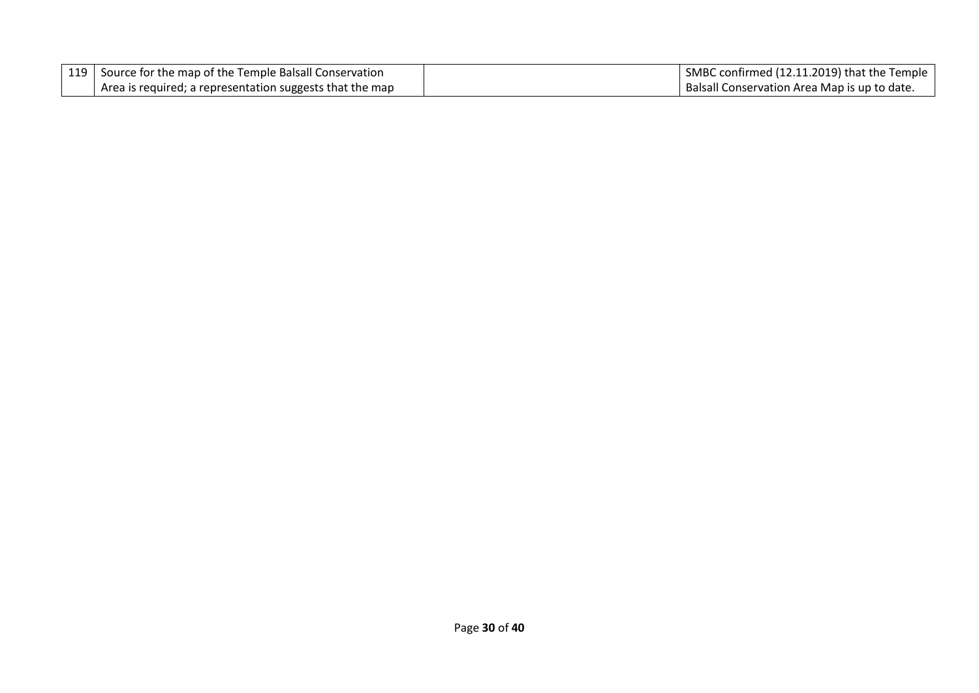| 119   Source for the map of the Temple Balsall Conservation | SMBC confirmed (12.11.2019) that the Temple  |
|-------------------------------------------------------------|----------------------------------------------|
| Area is required; a representation suggests that the map    | Balsall Conservation Area Map is up to date. |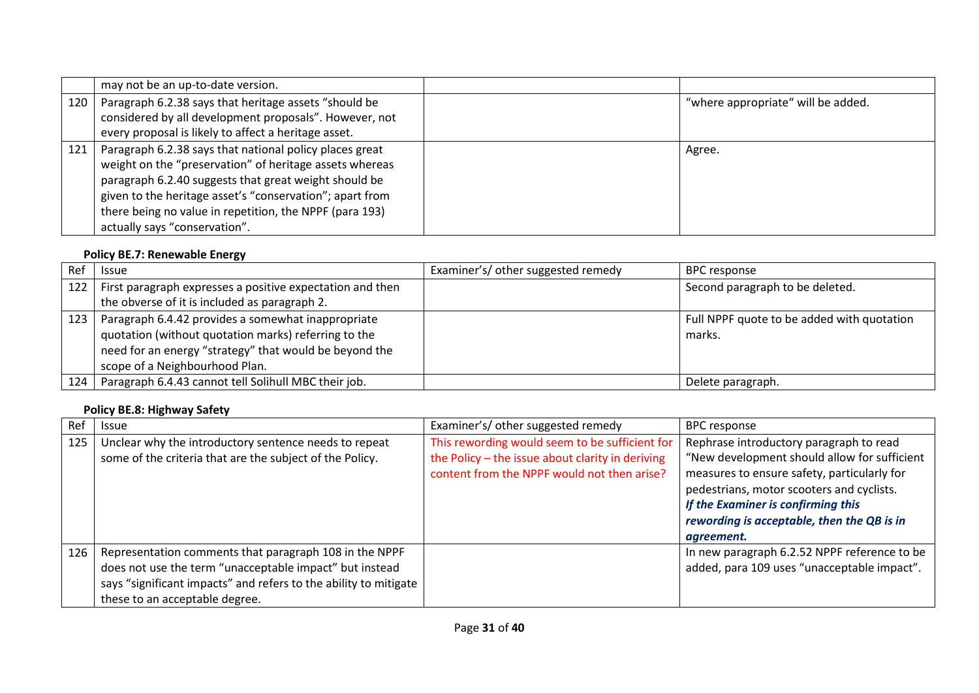|     | may not be an up-to-date version.                        |                                    |  |
|-----|----------------------------------------------------------|------------------------------------|--|
| 120 | Paragraph 6.2.38 says that heritage assets "should be    | "where appropriate" will be added. |  |
|     | considered by all development proposals". However, not   |                                    |  |
|     | every proposal is likely to affect a heritage asset.     |                                    |  |
| 121 | Paragraph 6.2.38 says that national policy places great  | Agree.                             |  |
|     | weight on the "preservation" of heritage assets whereas  |                                    |  |
|     | paragraph 6.2.40 suggests that great weight should be    |                                    |  |
|     | given to the heritage asset's "conservation"; apart from |                                    |  |
|     | there being no value in repetition, the NPPF (para 193)  |                                    |  |
|     | actually says "conservation".                            |                                    |  |

# **Policy BE.7: Renewable Energy**

| Ref | <b>Issue</b>                                                    | Examiner's/ other suggested remedy | <b>BPC</b> response                        |
|-----|-----------------------------------------------------------------|------------------------------------|--------------------------------------------|
|     | 122   First paragraph expresses a positive expectation and then |                                    | Second paragraph to be deleted.            |
|     | the obverse of it is included as paragraph 2.                   |                                    |                                            |
| 123 | Paragraph 6.4.42 provides a somewhat inappropriate              |                                    | Full NPPF quote to be added with quotation |
|     | quotation (without quotation marks) referring to the            |                                    | marks.                                     |
|     | need for an energy "strategy" that would be beyond the          |                                    |                                            |
|     | scope of a Neighbourhood Plan.                                  |                                    |                                            |
| 124 | Paragraph 6.4.43 cannot tell Solihull MBC their job.            |                                    | Delete paragraph.                          |

# **Policy BE.8: Highway Safety**

| Ref | Issue                                                                                                                                                                                                                   | Examiner's/ other suggested remedy                                                                                                                | <b>BPC</b> response                                                                                                                                                                                                                                                                   |
|-----|-------------------------------------------------------------------------------------------------------------------------------------------------------------------------------------------------------------------------|---------------------------------------------------------------------------------------------------------------------------------------------------|---------------------------------------------------------------------------------------------------------------------------------------------------------------------------------------------------------------------------------------------------------------------------------------|
| 125 | Unclear why the introductory sentence needs to repeat<br>some of the criteria that are the subject of the Policy.                                                                                                       | This rewording would seem to be sufficient for<br>the Policy - the issue about clarity in deriving<br>content from the NPPF would not then arise? | Rephrase introductory paragraph to read<br>"New development should allow for sufficient<br>measures to ensure safety, particularly for<br>pedestrians, motor scooters and cyclists.<br>If the Examiner is confirming this<br>rewording is acceptable, then the QB is in<br>agreement. |
| 126 | Representation comments that paragraph 108 in the NPPF<br>does not use the term "unacceptable impact" but instead<br>says "significant impacts" and refers to the ability to mitigate<br>these to an acceptable degree. |                                                                                                                                                   | In new paragraph 6.2.52 NPPF reference to be<br>added, para 109 uses "unacceptable impact".                                                                                                                                                                                           |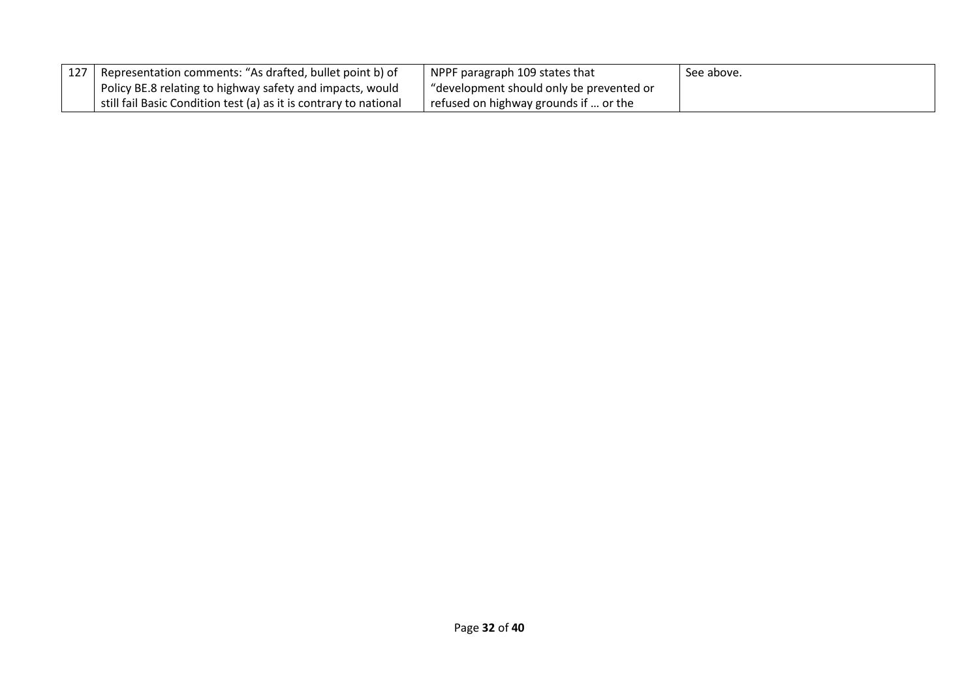| 127   Representation comments: "As drafted, bullet point b) of    | NPPF paragraph 109 states that           | See above. |
|-------------------------------------------------------------------|------------------------------------------|------------|
| Policy BE.8 relating to highway safety and impacts, would         | "development should only be prevented or |            |
| still fail Basic Condition test (a) as it is contrary to national | refused on highway grounds if  or the    |            |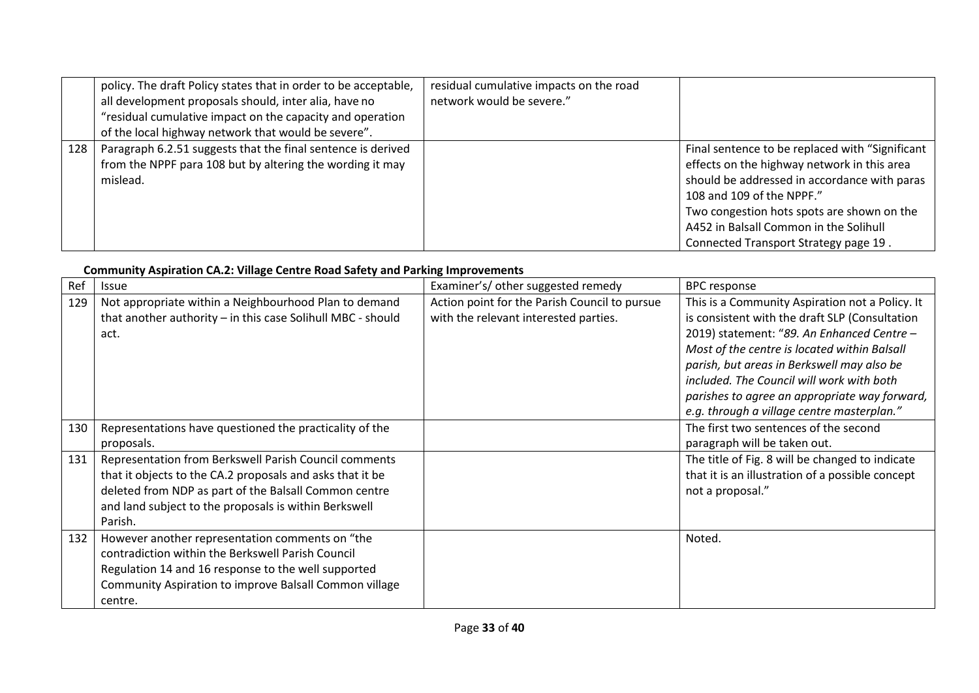|     | policy. The draft Policy states that in order to be acceptable,<br>all development proposals should, inter alia, have no<br>"residual cumulative impact on the capacity and operation<br>of the local highway network that would be severe". | residual cumulative impacts on the road<br>network would be severe." |                                                                                                                                                                                                                                                                                                               |
|-----|----------------------------------------------------------------------------------------------------------------------------------------------------------------------------------------------------------------------------------------------|----------------------------------------------------------------------|---------------------------------------------------------------------------------------------------------------------------------------------------------------------------------------------------------------------------------------------------------------------------------------------------------------|
| 128 | Paragraph 6.2.51 suggests that the final sentence is derived<br>from the NPPF para 108 but by altering the wording it may<br>mislead.                                                                                                        |                                                                      | Final sentence to be replaced with "Significant"<br>effects on the highway network in this area<br>should be addressed in accordance with paras<br>108 and 109 of the NPPF."<br>Two congestion hots spots are shown on the<br>A452 in Balsall Common in the Solihull<br>Connected Transport Strategy page 19. |

# **Community Aspiration CA.2: Village Centre Road Safety and Parking Improvements**

| Ref | <b>Issue</b>                                                                                                                                                                                                                                    | Examiner's/ other suggested remedy                                                     | <b>BPC</b> response                                                                                                                                                                                                                                                                                                                         |
|-----|-------------------------------------------------------------------------------------------------------------------------------------------------------------------------------------------------------------------------------------------------|----------------------------------------------------------------------------------------|---------------------------------------------------------------------------------------------------------------------------------------------------------------------------------------------------------------------------------------------------------------------------------------------------------------------------------------------|
| 129 | Not appropriate within a Neighbourhood Plan to demand<br>that another authority - in this case Solihull MBC - should<br>act.                                                                                                                    | Action point for the Parish Council to pursue<br>with the relevant interested parties. | This is a Community Aspiration not a Policy. It<br>is consistent with the draft SLP (Consultation<br>2019) statement: "89. An Enhanced Centre -<br>Most of the centre is located within Balsall<br>parish, but areas in Berkswell may also be<br>included. The Council will work with both<br>parishes to agree an appropriate way forward, |
| 130 | Representations have questioned the practicality of the<br>proposals.                                                                                                                                                                           |                                                                                        | e.g. through a village centre masterplan."<br>The first two sentences of the second<br>paragraph will be taken out.                                                                                                                                                                                                                         |
| 131 | Representation from Berkswell Parish Council comments<br>that it objects to the CA.2 proposals and asks that it be<br>deleted from NDP as part of the Balsall Common centre<br>and land subject to the proposals is within Berkswell<br>Parish. |                                                                                        | The title of Fig. 8 will be changed to indicate<br>that it is an illustration of a possible concept<br>not a proposal."                                                                                                                                                                                                                     |
| 132 | However another representation comments on "the<br>contradiction within the Berkswell Parish Council<br>Regulation 14 and 16 response to the well supported<br>Community Aspiration to improve Balsall Common village<br>centre.                |                                                                                        | Noted.                                                                                                                                                                                                                                                                                                                                      |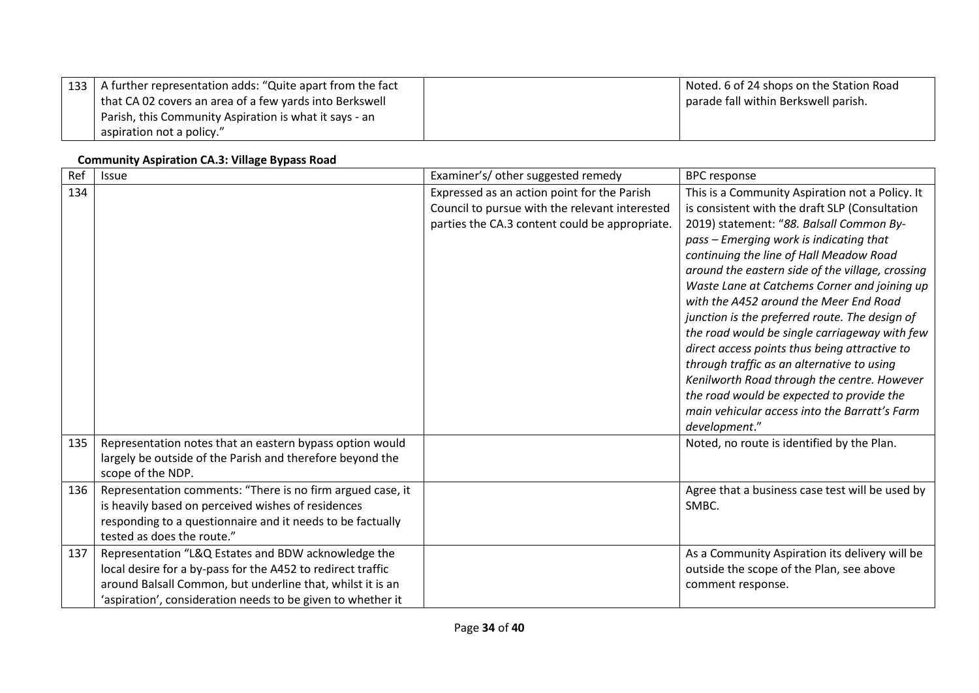| 133   A further representation adds: "Quite apart from the fact | Noted. 6 of 24 shops on the Station Road |
|-----------------------------------------------------------------|------------------------------------------|
| that CA 02 covers an area of a few yards into Berkswell         | parade fall within Berkswell parish.     |
| Parish, this Community Aspiration is what it says - an          |                                          |
| aspiration not a policy."                                       |                                          |

## **Community Aspiration CA.3: Village Bypass Road**

| Ref | Issue                                                       | Examiner's/ other suggested remedy             | <b>BPC</b> response                                                                        |
|-----|-------------------------------------------------------------|------------------------------------------------|--------------------------------------------------------------------------------------------|
| 134 |                                                             | Expressed as an action point for the Parish    | This is a Community Aspiration not a Policy. It                                            |
|     |                                                             | Council to pursue with the relevant interested | is consistent with the draft SLP (Consultation                                             |
|     |                                                             | parties the CA.3 content could be appropriate. | 2019) statement: "88. Balsall Common By-                                                   |
|     |                                                             |                                                | pass - Emerging work is indicating that                                                    |
|     |                                                             |                                                | continuing the line of Hall Meadow Road                                                    |
|     |                                                             |                                                | around the eastern side of the village, crossing                                           |
|     |                                                             |                                                | Waste Lane at Catchems Corner and joining up                                               |
|     |                                                             |                                                | with the A452 around the Meer End Road                                                     |
|     |                                                             |                                                | junction is the preferred route. The design of                                             |
|     |                                                             |                                                | the road would be single carriageway with few                                              |
|     |                                                             |                                                | direct access points thus being attractive to                                              |
|     |                                                             |                                                | through traffic as an alternative to using                                                 |
|     |                                                             |                                                | Kenilworth Road through the centre. However                                                |
|     |                                                             |                                                | the road would be expected to provide the<br>main vehicular access into the Barratt's Farm |
|     |                                                             |                                                | development."                                                                              |
| 135 | Representation notes that an eastern bypass option would    |                                                |                                                                                            |
|     | largely be outside of the Parish and therefore beyond the   |                                                | Noted, no route is identified by the Plan.                                                 |
|     | scope of the NDP.                                           |                                                |                                                                                            |
| 136 | Representation comments: "There is no firm argued case, it  |                                                | Agree that a business case test will be used by                                            |
|     | is heavily based on perceived wishes of residences          |                                                | SMBC.                                                                                      |
|     | responding to a questionnaire and it needs to be factually  |                                                |                                                                                            |
|     | tested as does the route."                                  |                                                |                                                                                            |
| 137 | Representation "L&Q Estates and BDW acknowledge the         |                                                | As a Community Aspiration its delivery will be                                             |
|     | local desire for a by-pass for the A452 to redirect traffic |                                                | outside the scope of the Plan, see above                                                   |
|     | around Balsall Common, but underline that, whilst it is an  |                                                | comment response.                                                                          |
|     | 'aspiration', consideration needs to be given to whether it |                                                |                                                                                            |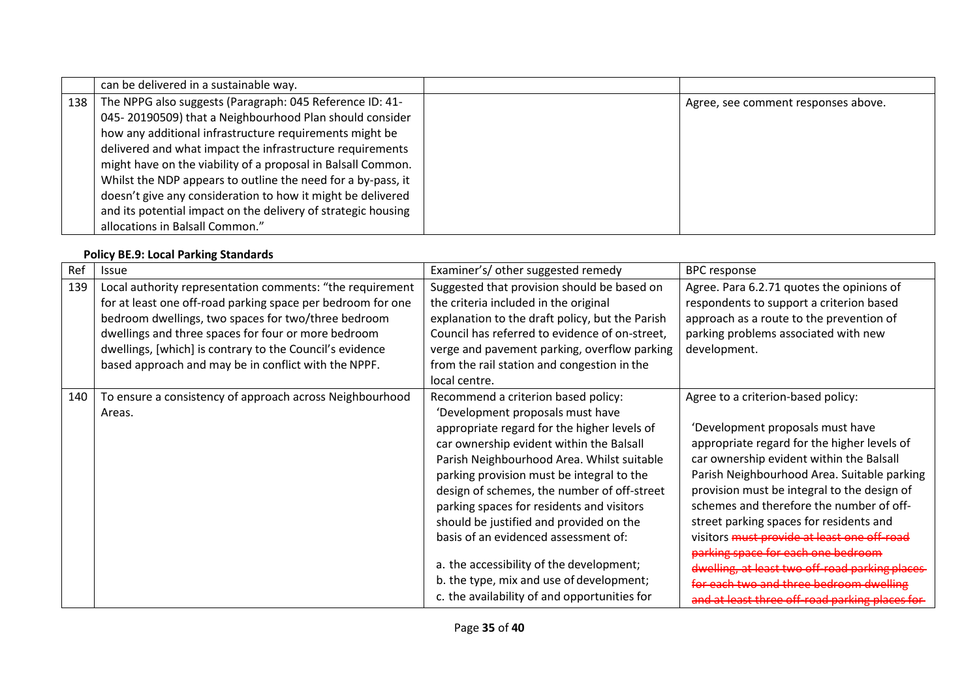|     | can be delivered in a sustainable way.                        |                                     |
|-----|---------------------------------------------------------------|-------------------------------------|
| 138 | The NPPG also suggests (Paragraph: 045 Reference ID: 41-      | Agree, see comment responses above. |
|     | 045-20190509) that a Neighbourhood Plan should consider       |                                     |
|     | how any additional infrastructure requirements might be       |                                     |
|     | delivered and what impact the infrastructure requirements     |                                     |
|     | might have on the viability of a proposal in Balsall Common.  |                                     |
|     | Whilst the NDP appears to outline the need for a by-pass, it  |                                     |
|     | doesn't give any consideration to how it might be delivered   |                                     |
|     | and its potential impact on the delivery of strategic housing |                                     |
|     | allocations in Balsall Common."                               |                                     |

## **Policy BE.9: Local Parking Standards**

| Ref | <b>Issue</b>                                                | Examiner's/ other suggested remedy              | <b>BPC</b> response                             |
|-----|-------------------------------------------------------------|-------------------------------------------------|-------------------------------------------------|
| 139 | Local authority representation comments: "the requirement   | Suggested that provision should be based on     | Agree. Para 6.2.71 quotes the opinions of       |
|     | for at least one off-road parking space per bedroom for one | the criteria included in the original           | respondents to support a criterion based        |
|     | bedroom dwellings, two spaces for two/three bedroom         | explanation to the draft policy, but the Parish | approach as a route to the prevention of        |
|     | dwellings and three spaces for four or more bedroom         | Council has referred to evidence of on-street,  | parking problems associated with new            |
|     | dwellings, [which] is contrary to the Council's evidence    | verge and pavement parking, overflow parking    | development.                                    |
|     | based approach and may be in conflict with the NPPF.        | from the rail station and congestion in the     |                                                 |
|     |                                                             | local centre.                                   |                                                 |
| 140 | To ensure a consistency of approach across Neighbourhood    | Recommend a criterion based policy:             | Agree to a criterion-based policy:              |
|     | Areas.                                                      | 'Development proposals must have                |                                                 |
|     |                                                             | appropriate regard for the higher levels of     | 'Development proposals must have                |
|     |                                                             | car ownership evident within the Balsall        | appropriate regard for the higher levels of     |
|     |                                                             | Parish Neighbourhood Area. Whilst suitable      | car ownership evident within the Balsall        |
|     |                                                             | parking provision must be integral to the       | Parish Neighbourhood Area. Suitable parking     |
|     |                                                             | design of schemes, the number of off-street     | provision must be integral to the design of     |
|     |                                                             | parking spaces for residents and visitors       | schemes and therefore the number of off-        |
|     |                                                             | should be justified and provided on the         | street parking spaces for residents and         |
|     |                                                             | basis of an evidenced assessment of:            | visitors must provide at least one off-road     |
|     |                                                             |                                                 | parking space for each one bedroom              |
|     |                                                             | a. the accessibility of the development;        | dwelling, at least two off-road parking places  |
|     |                                                             | b. the type, mix and use of development;        | for each two and three bedroom dwelling         |
|     |                                                             | c. the availability of and opportunities for    | and at least three off-road parking places for- |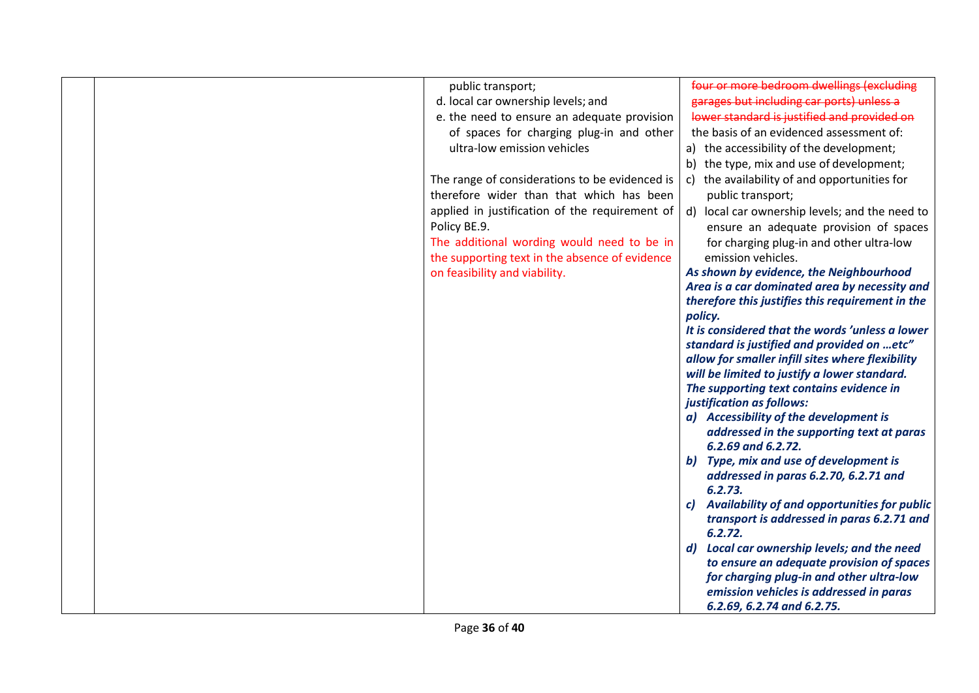|  | public transport;                              | four or more bedroom dwellings (excluding                                                     |
|--|------------------------------------------------|-----------------------------------------------------------------------------------------------|
|  | d. local car ownership levels; and             | garages but including car ports) unless a                                                     |
|  | e. the need to ensure an adequate provision    | lower standard is justified and provided on                                                   |
|  | of spaces for charging plug-in and other       | the basis of an evidenced assessment of:                                                      |
|  | ultra-low emission vehicles                    | a) the accessibility of the development;                                                      |
|  |                                                | b) the type, mix and use of development;                                                      |
|  | The range of considerations to be evidenced is | c) the availability of and opportunities for                                                  |
|  | therefore wider than that which has been       | public transport;                                                                             |
|  | applied in justification of the requirement of | d) local car ownership levels; and the need to                                                |
|  | Policy BE.9.                                   | ensure an adequate provision of spaces                                                        |
|  | The additional wording would need to be in     | for charging plug-in and other ultra-low                                                      |
|  | the supporting text in the absence of evidence | emission vehicles.                                                                            |
|  | on feasibility and viability.                  | As shown by evidence, the Neighbourhood                                                       |
|  |                                                | Area is a car dominated area by necessity and                                                 |
|  |                                                | therefore this justifies this requirement in the                                              |
|  |                                                | policy.                                                                                       |
|  |                                                | It is considered that the words 'unless a lower                                               |
|  |                                                | standard is justified and provided on etc"                                                    |
|  |                                                | allow for smaller infill sites where flexibility                                              |
|  |                                                | will be limited to justify a lower standard.                                                  |
|  |                                                | The supporting text contains evidence in                                                      |
|  |                                                | justification as follows:                                                                     |
|  |                                                | a) Accessibility of the development is                                                        |
|  |                                                | addressed in the supporting text at paras                                                     |
|  |                                                | 6.2.69 and 6.2.72.                                                                            |
|  |                                                | b) Type, mix and use of development is                                                        |
|  |                                                | addressed in paras 6.2.70, 6.2.71 and                                                         |
|  |                                                | 6.2.73.                                                                                       |
|  |                                                | c) Availability of and opportunities for public<br>transport is addressed in paras 6.2.71 and |
|  |                                                | 6.2.72.                                                                                       |
|  |                                                | d) Local car ownership levels; and the need                                                   |
|  |                                                | to ensure an adequate provision of spaces                                                     |
|  |                                                | for charging plug-in and other ultra-low                                                      |
|  |                                                | emission vehicles is addressed in paras                                                       |
|  |                                                | 6.2.69, 6.2.74 and 6.2.75.                                                                    |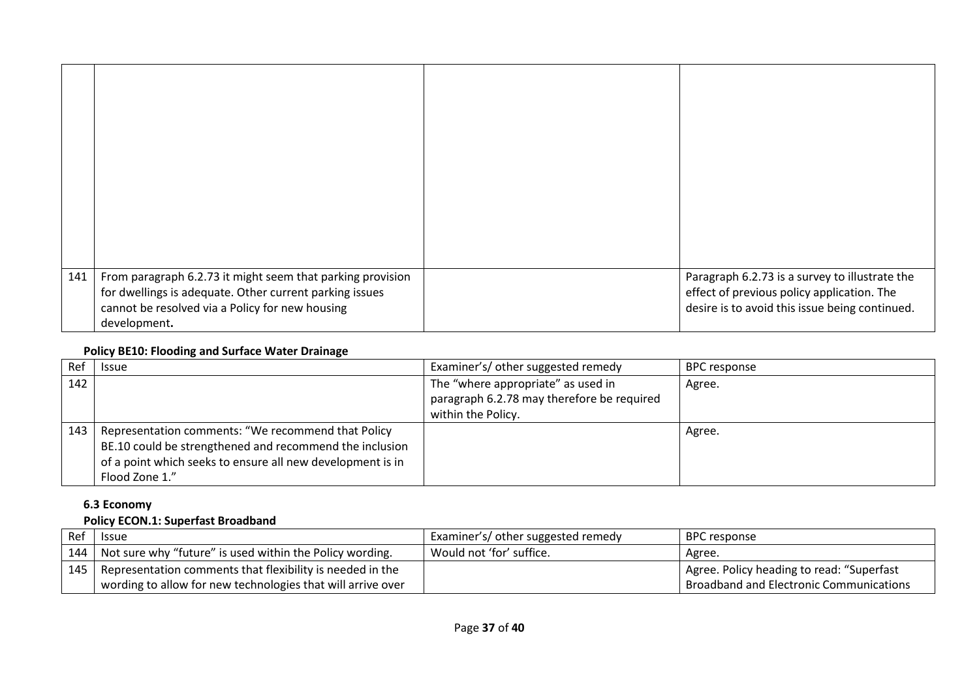| 141 | From paragraph 6.2.73 it might seem that parking provision<br>for dwellings is adequate. Other current parking issues<br>cannot be resolved via a Policy for new housing | Paragraph 6.2.73 is a survey to illustrate the<br>effect of previous policy application. The<br>desire is to avoid this issue being continued. |
|-----|--------------------------------------------------------------------------------------------------------------------------------------------------------------------------|------------------------------------------------------------------------------------------------------------------------------------------------|
|     | development.                                                                                                                                                             |                                                                                                                                                |

#### **Policy BE10: Flooding and Surface Water Drainage**

| Ref | <b>Issue</b>                                               | Examiner's/ other suggested remedy         | <b>BPC</b> response |
|-----|------------------------------------------------------------|--------------------------------------------|---------------------|
| 142 |                                                            | The "where appropriate" as used in         | Agree.              |
|     |                                                            | paragraph 6.2.78 may therefore be required |                     |
|     |                                                            | within the Policy.                         |                     |
| 143 | Representation comments: "We recommend that Policy         |                                            | Agree.              |
|     | BE.10 could be strengthened and recommend the inclusion    |                                            |                     |
|     | of a point which seeks to ensure all new development is in |                                            |                     |
|     | Flood Zone 1."                                             |                                            |                     |

# **6.3 Economy**

# **Policy ECON.1: Superfast Broadband**

| Ref | <b>Issue</b>                                                                                                                   | Examiner's/ other suggested remedy | l BPC response                                                                       |
|-----|--------------------------------------------------------------------------------------------------------------------------------|------------------------------------|--------------------------------------------------------------------------------------|
|     | 144   Not sure why "future" is used within the Policy wording.                                                                 | Would not 'for' suffice.           | Agree.                                                                               |
|     | 145   Representation comments that flexibility is needed in the<br>wording to allow for new technologies that will arrive over |                                    | Agree. Policy heading to read: "Superfast<br>Broadband and Electronic Communications |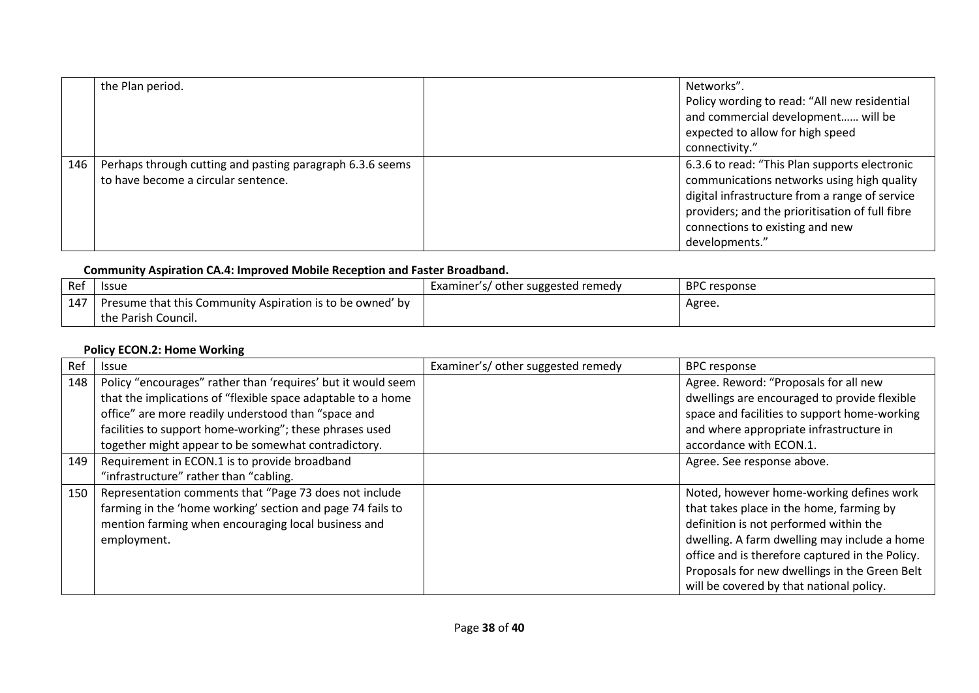|     | the Plan period.                                                                                 | Networks".<br>Policy wording to read: "All new residential<br>and commercial development will be<br>expected to allow for high speed<br>connectivity."                                                                                                |
|-----|--------------------------------------------------------------------------------------------------|-------------------------------------------------------------------------------------------------------------------------------------------------------------------------------------------------------------------------------------------------------|
| 146 | Perhaps through cutting and pasting paragraph 6.3.6 seems<br>to have become a circular sentence. | 6.3.6 to read: "This Plan supports electronic<br>communications networks using high quality<br>digital infrastructure from a range of service<br>providers; and the prioritisation of full fibre<br>connections to existing and new<br>developments." |

# **Community Aspiration CA.4: Improved Mobile Reception and Faster Broadband.**

| Ref | <b>Issue</b>                                                                     | Examiner's/ other suggested remedy | <b>BPC</b> response |
|-----|----------------------------------------------------------------------------------|------------------------------------|---------------------|
| 147 | Presume that this Community Aspiration is to be owned' by<br>the Parish Council. |                                    | Agree.              |

## **Policy ECON.2: Home Working**

| Ref | <b>Issue</b>                                                 | Examiner's/ other suggested remedy | <b>BPC response</b>                             |
|-----|--------------------------------------------------------------|------------------------------------|-------------------------------------------------|
| 148 | Policy "encourages" rather than 'requires' but it would seem |                                    | Agree. Reword: "Proposals for all new           |
|     | that the implications of "flexible space adaptable to a home |                                    | dwellings are encouraged to provide flexible    |
|     | office" are more readily understood than "space and          |                                    | space and facilities to support home-working    |
|     | facilities to support home-working"; these phrases used      |                                    | and where appropriate infrastructure in         |
|     | together might appear to be somewhat contradictory.          |                                    | accordance with ECON.1.                         |
| 149 | Requirement in ECON.1 is to provide broadband                |                                    | Agree. See response above.                      |
|     | "infrastructure" rather than "cabling.                       |                                    |                                                 |
| 150 | Representation comments that "Page 73 does not include       |                                    | Noted, however home-working defines work        |
|     | farming in the 'home working' section and page 74 fails to   |                                    | that takes place in the home, farming by        |
|     | mention farming when encouraging local business and          |                                    | definition is not performed within the          |
|     | employment.                                                  |                                    | dwelling. A farm dwelling may include a home    |
|     |                                                              |                                    | office and is therefore captured in the Policy. |
|     |                                                              |                                    | Proposals for new dwellings in the Green Belt   |
|     |                                                              |                                    | will be covered by that national policy.        |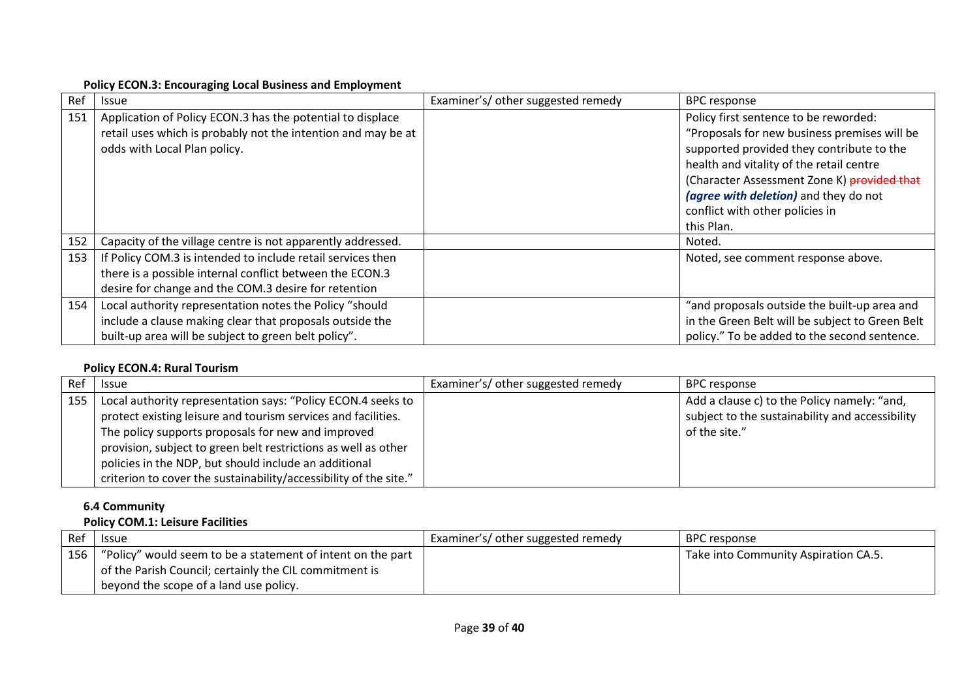#### **Policy ECON.3: Encouraging Local Business and Employment**

| Ref | <b>Issue</b>                                                                                                                                                                    | Examiner's/ other suggested remedy | <b>BPC response</b>                                                                                                                                                                                                                                                                                                     |
|-----|---------------------------------------------------------------------------------------------------------------------------------------------------------------------------------|------------------------------------|-------------------------------------------------------------------------------------------------------------------------------------------------------------------------------------------------------------------------------------------------------------------------------------------------------------------------|
| 151 | Application of Policy ECON.3 has the potential to displace<br>retail uses which is probably not the intention and may be at<br>odds with Local Plan policy.                     |                                    | Policy first sentence to be reworded:<br>"Proposals for new business premises will be<br>supported provided they contribute to the<br>health and vitality of the retail centre<br>(Character Assessment Zone K) provided that<br>(agree with deletion) and they do not<br>conflict with other policies in<br>this Plan. |
| 152 | Capacity of the village centre is not apparently addressed.                                                                                                                     |                                    | Noted.                                                                                                                                                                                                                                                                                                                  |
| 153 | If Policy COM.3 is intended to include retail services then<br>there is a possible internal conflict between the ECON.3<br>desire for change and the COM.3 desire for retention |                                    | Noted, see comment response above.                                                                                                                                                                                                                                                                                      |
| 154 | Local authority representation notes the Policy "should<br>include a clause making clear that proposals outside the<br>built-up area will be subject to green belt policy".     |                                    | "and proposals outside the built-up area and<br>in the Green Belt will be subject to Green Belt<br>policy." To be added to the second sentence.                                                                                                                                                                         |

## **Policy ECON.4: Rural Tourism**

| Ref | <b>Issue</b>                                                      | Examiner's/ other suggested remedy | <b>BPC</b> response                             |
|-----|-------------------------------------------------------------------|------------------------------------|-------------------------------------------------|
| 155 | Local authority representation says: "Policy ECON.4 seeks to      |                                    | Add a clause c) to the Policy namely: "and,     |
|     | protect existing leisure and tourism services and facilities.     |                                    | subject to the sustainability and accessibility |
|     | The policy supports proposals for new and improved                |                                    | of the site."                                   |
|     | provision, subject to green belt restrictions as well as other    |                                    |                                                 |
|     | policies in the NDP, but should include an additional             |                                    |                                                 |
|     | criterion to cover the sustainability/accessibility of the site." |                                    |                                                 |

# **6.4 Community**

# **Policy COM.1: Leisure Facilities**

| Ref | <b>Issue</b>                                                      | Examiner's/ other suggested remedy | BPC response                         |
|-----|-------------------------------------------------------------------|------------------------------------|--------------------------------------|
|     | 156   "Policy" would seem to be a statement of intent on the part |                                    | Take into Community Aspiration CA.5. |
|     | of the Parish Council; certainly the CIL commitment is            |                                    |                                      |
|     | beyond the scope of a land use policy.                            |                                    |                                      |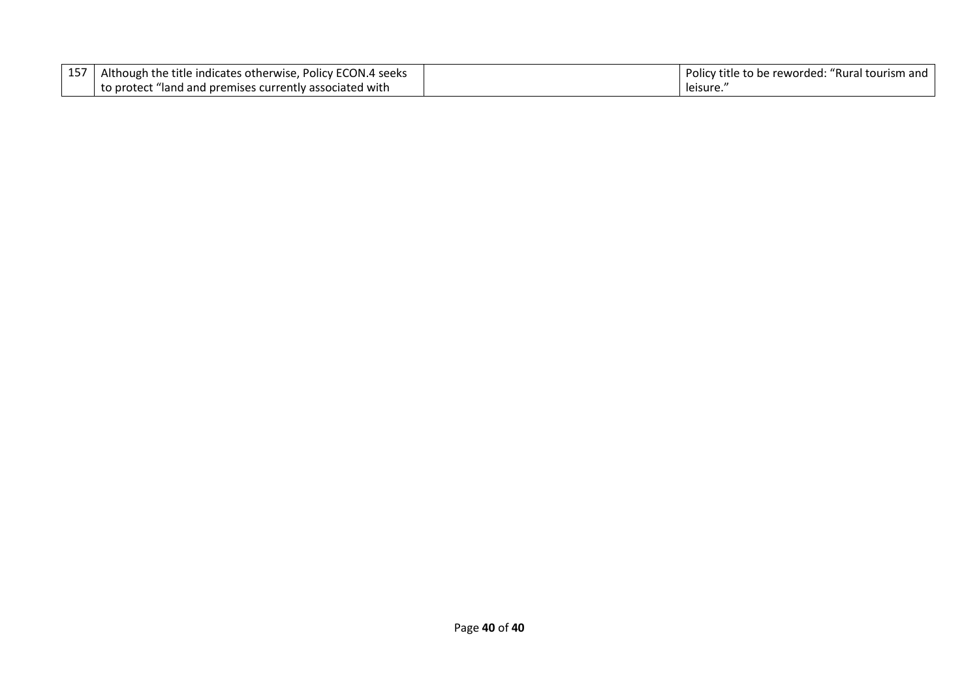| Although the title indicates otherwise, Policy ECON.4 seeks | Policy title to be reworded: "Rural tourism and |
|-------------------------------------------------------------|-------------------------------------------------|
| to protect "land and premises currently associated with     | leisure.                                        |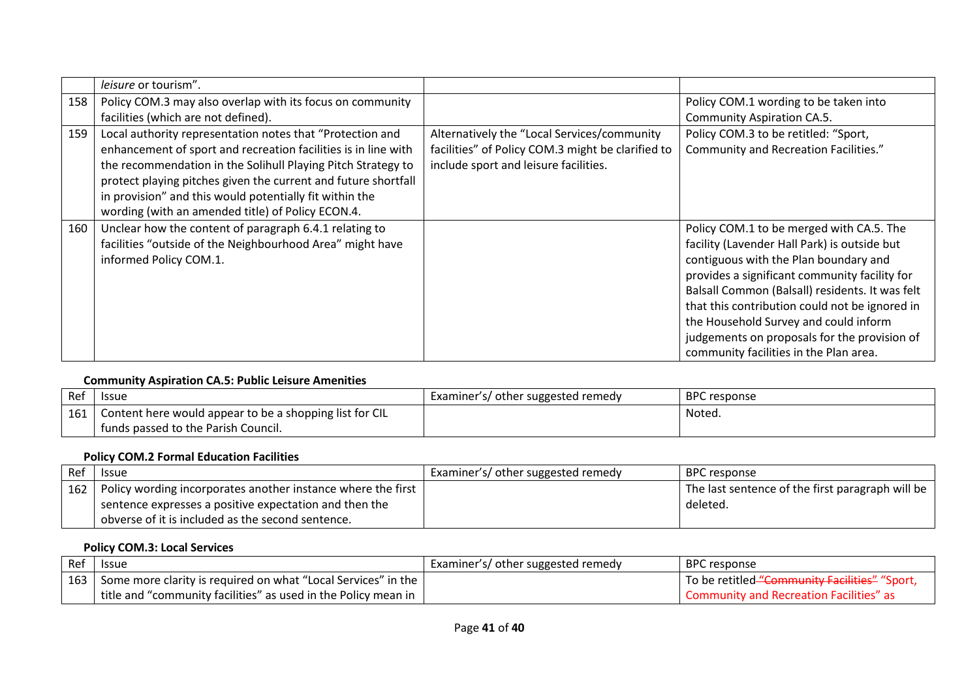|     | leisure or tourism".                                           |                                                   |                                                 |
|-----|----------------------------------------------------------------|---------------------------------------------------|-------------------------------------------------|
| 158 | Policy COM.3 may also overlap with its focus on community      |                                                   | Policy COM.1 wording to be taken into           |
|     | facilities (which are not defined).                            |                                                   | <b>Community Aspiration CA.5.</b>               |
| 159 | Local authority representation notes that "Protection and      | Alternatively the "Local Services/community       | Policy COM.3 to be retitled: "Sport,            |
|     | enhancement of sport and recreation facilities is in line with | facilities" of Policy COM.3 might be clarified to | Community and Recreation Facilities."           |
|     | the recommendation in the Solihull Playing Pitch Strategy to   | include sport and leisure facilities.             |                                                 |
|     | protect playing pitches given the current and future shortfall |                                                   |                                                 |
|     | in provision" and this would potentially fit within the        |                                                   |                                                 |
|     | wording (with an amended title) of Policy ECON.4.              |                                                   |                                                 |
| 160 | Unclear how the content of paragraph 6.4.1 relating to         |                                                   | Policy COM.1 to be merged with CA.5. The        |
|     | facilities "outside of the Neighbourhood Area" might have      |                                                   | facility (Lavender Hall Park) is outside but    |
|     | informed Policy COM.1.                                         |                                                   | contiguous with the Plan boundary and           |
|     |                                                                |                                                   | provides a significant community facility for   |
|     |                                                                |                                                   | Balsall Common (Balsall) residents. It was felt |
|     |                                                                |                                                   | that this contribution could not be ignored in  |
|     |                                                                |                                                   | the Household Survey and could inform           |
|     |                                                                |                                                   | judgements on proposals for the provision of    |
|     |                                                                |                                                   | community facilities in the Plan area.          |

#### **Community Aspiration CA.5: Public Leisure Amenities**

| Ref | <b>Issue</b>                                            | Examiner's/ other suggested remedy | <b>BPC</b> response |
|-----|---------------------------------------------------------|------------------------------------|---------------------|
| 161 | Content here would appear to be a shopping list for CIL |                                    | Noted.              |
|     | funds passed to the Parish Council.                     |                                    |                     |

## **Policy COM.2 Formal Education Facilities**

| Ref | <b>Issue</b>                                                       | Examiner's/ other suggested remedy | BPC response                                     |
|-----|--------------------------------------------------------------------|------------------------------------|--------------------------------------------------|
|     | 162   Policy wording incorporates another instance where the first |                                    | The last sentence of the first paragraph will be |
|     | sentence expresses a positive expectation and then the             |                                    | deleted.                                         |
|     | obverse of it is included as the second sentence.                  |                                    |                                                  |

# **Policy COM.3: Local Services**

| l Ref | <b>Issue</b>                                                               | Examiner's/ other suggested remedy | <b>BPC</b> response                           |
|-------|----------------------------------------------------------------------------|------------------------------------|-----------------------------------------------|
|       | 163   Some more clarity is required on what "Local Services" in the        |                                    | To be retitled "Community Facilities" "Sport, |
|       | $\pm$ title and "community facilities" as used in the Policy mean in $\pm$ |                                    | Community and Recreation Facilities" as       |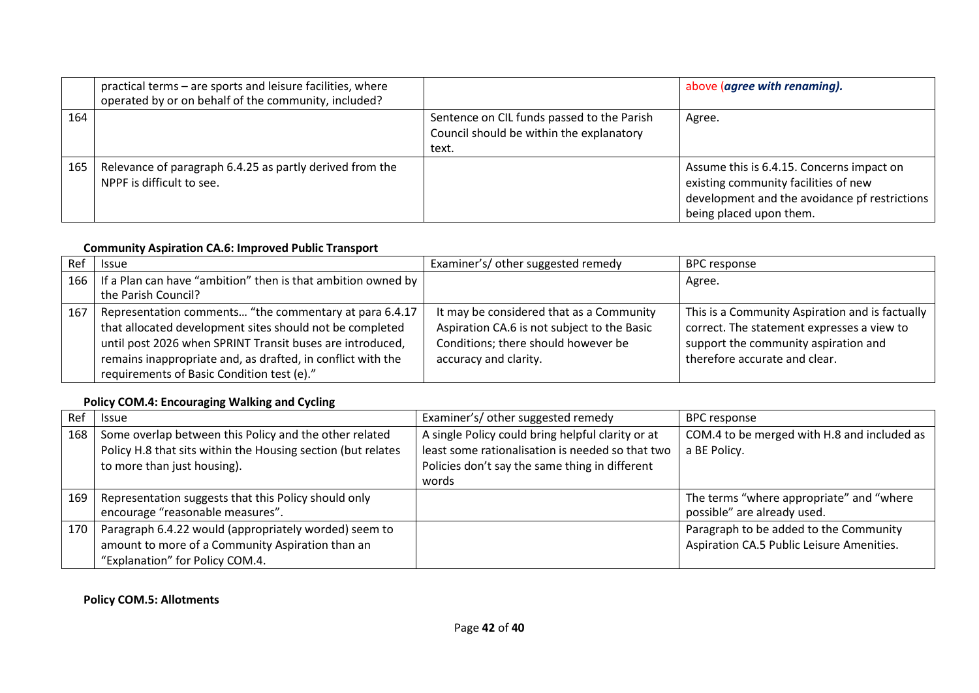|     | practical terms - are sports and leisure facilities, where<br>operated by or on behalf of the community, included? |                                                                                                 | above (agree with renaming).                                                                                                                                  |
|-----|--------------------------------------------------------------------------------------------------------------------|-------------------------------------------------------------------------------------------------|---------------------------------------------------------------------------------------------------------------------------------------------------------------|
| 164 |                                                                                                                    | Sentence on CIL funds passed to the Parish<br>Council should be within the explanatory<br>text. | Agree.                                                                                                                                                        |
| 165 | Relevance of paragraph 6.4.25 as partly derived from the<br>NPPF is difficult to see.                              |                                                                                                 | Assume this is 6.4.15. Concerns impact on<br>existing community facilities of new<br>development and the avoidance pf restrictions<br>being placed upon them. |

#### **Community Aspiration CA.6: Improved Public Transport**

| Ref | <b>Issue</b>                                                                                                                                                                                                                                                                                 | Examiner's/ other suggested remedy                                                                                                                      | <b>BPC response</b>                                                                                                                                                    |
|-----|----------------------------------------------------------------------------------------------------------------------------------------------------------------------------------------------------------------------------------------------------------------------------------------------|---------------------------------------------------------------------------------------------------------------------------------------------------------|------------------------------------------------------------------------------------------------------------------------------------------------------------------------|
|     | 166   If a Plan can have "ambition" then is that ambition owned by  <br>the Parish Council?                                                                                                                                                                                                  |                                                                                                                                                         | Agree.                                                                                                                                                                 |
| 167 | Representation comments "the commentary at para 6.4.17<br>that allocated development sites should not be completed<br>until post 2026 when SPRINT Transit buses are introduced,<br>remains inappropriate and, as drafted, in conflict with the<br>requirements of Basic Condition test (e)." | It may be considered that as a Community<br>Aspiration CA.6 is not subject to the Basic<br>Conditions; there should however be<br>accuracy and clarity. | This is a Community Aspiration and is factually<br>correct. The statement expresses a view to<br>support the community aspiration and<br>therefore accurate and clear. |

# **Policy COM.4: Encouraging Walking and Cycling**

| Ref | <b>Issue</b>                                                                                                                                          | Examiner's/other suggested remedy                                                                                                                                | <b>BPC response</b>                                                                 |
|-----|-------------------------------------------------------------------------------------------------------------------------------------------------------|------------------------------------------------------------------------------------------------------------------------------------------------------------------|-------------------------------------------------------------------------------------|
| 168 | Some overlap between this Policy and the other related<br>Policy H.8 that sits within the Housing section (but relates<br>to more than just housing). | A single Policy could bring helpful clarity or at<br>least some rationalisation is needed so that two<br>Policies don't say the same thing in different<br>words | COM.4 to be merged with H.8 and included as<br>a BE Policy.                         |
| 169 | Representation suggests that this Policy should only<br>encourage "reasonable measures".                                                              |                                                                                                                                                                  | The terms "where appropriate" and "where<br>possible" are already used.             |
| 170 | Paragraph 6.4.22 would (appropriately worded) seem to<br>amount to more of a Community Aspiration than an<br>"Explanation" for Policy COM.4.          |                                                                                                                                                                  | Paragraph to be added to the Community<br>Aspiration CA.5 Public Leisure Amenities. |

#### **Policy COM.5: Allotments**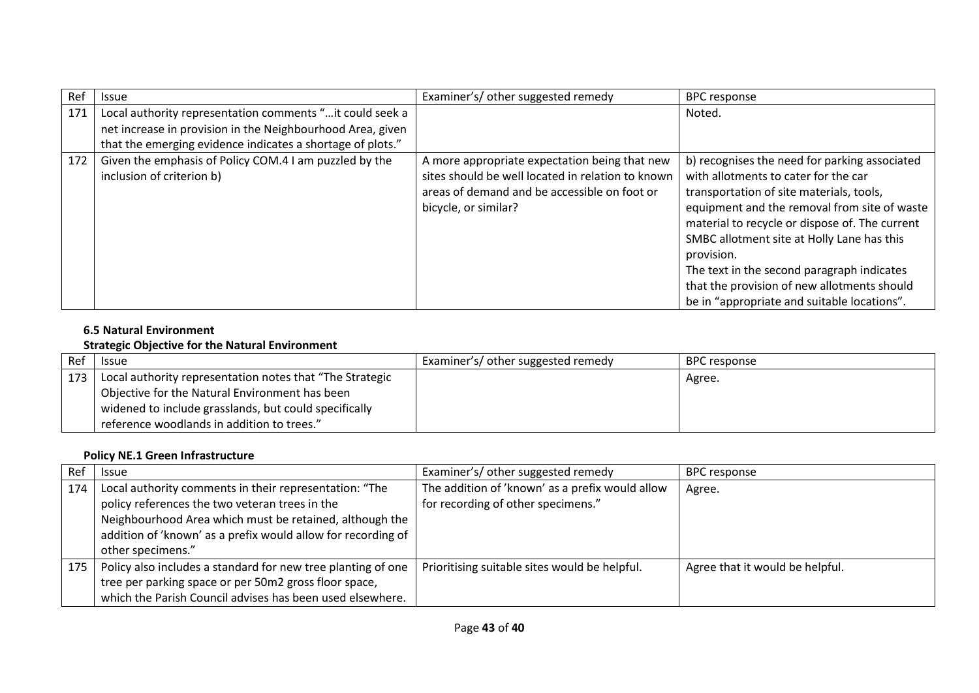| Ref | <b>Issue</b>                                                                                                                                                                          | Examiner's/other suggested remedy                                                                                                                                          | <b>BPC</b> response                                                                                                                                                                                                                                                                                                                                                                                                                         |
|-----|---------------------------------------------------------------------------------------------------------------------------------------------------------------------------------------|----------------------------------------------------------------------------------------------------------------------------------------------------------------------------|---------------------------------------------------------------------------------------------------------------------------------------------------------------------------------------------------------------------------------------------------------------------------------------------------------------------------------------------------------------------------------------------------------------------------------------------|
| 171 | Local authority representation comments " it could seek a<br>net increase in provision in the Neighbourhood Area, given<br>that the emerging evidence indicates a shortage of plots." |                                                                                                                                                                            | Noted.                                                                                                                                                                                                                                                                                                                                                                                                                                      |
| 172 | Given the emphasis of Policy COM.4 I am puzzled by the<br>inclusion of criterion b)                                                                                                   | A more appropriate expectation being that new<br>sites should be well located in relation to known<br>areas of demand and be accessible on foot or<br>bicycle, or similar? | b) recognises the need for parking associated<br>with allotments to cater for the car<br>transportation of site materials, tools,<br>equipment and the removal from site of waste<br>material to recycle or dispose of. The current<br>SMBC allotment site at Holly Lane has this<br>provision.<br>The text in the second paragraph indicates<br>that the provision of new allotments should<br>be in "appropriate and suitable locations". |

#### **6.5 Natural Environment**

#### **Strategic Objective for the Natural Environment**

| Ref | <b>Issue</b>                                             | Examiner's/ other suggested remedy | BPC response |
|-----|----------------------------------------------------------|------------------------------------|--------------|
| 173 | Local authority representation notes that "The Strategic |                                    | Agree.       |
|     | Objective for the Natural Environment has been           |                                    |              |
|     | widened to include grasslands, but could specifically    |                                    |              |
|     | reference woodlands in addition to trees."               |                                    |              |

# **Policy NE.1 Green Infrastructure**

| Ref | <b>Issue</b>                                                                                                                                                                                                                                             | Examiner's/ other suggested remedy                                                    | <b>BPC</b> response             |
|-----|----------------------------------------------------------------------------------------------------------------------------------------------------------------------------------------------------------------------------------------------------------|---------------------------------------------------------------------------------------|---------------------------------|
| 174 | Local authority comments in their representation: "The<br>policy references the two veteran trees in the<br>Neighbourhood Area which must be retained, although the<br>addition of 'known' as a prefix would allow for recording of<br>other specimens." | The addition of 'known' as a prefix would allow<br>for recording of other specimens." | Agree.                          |
| 175 | Policy also includes a standard for new tree planting of one<br>tree per parking space or per 50m2 gross floor space,<br>which the Parish Council advises has been used elsewhere.                                                                       | Prioritising suitable sites would be helpful.                                         | Agree that it would be helpful. |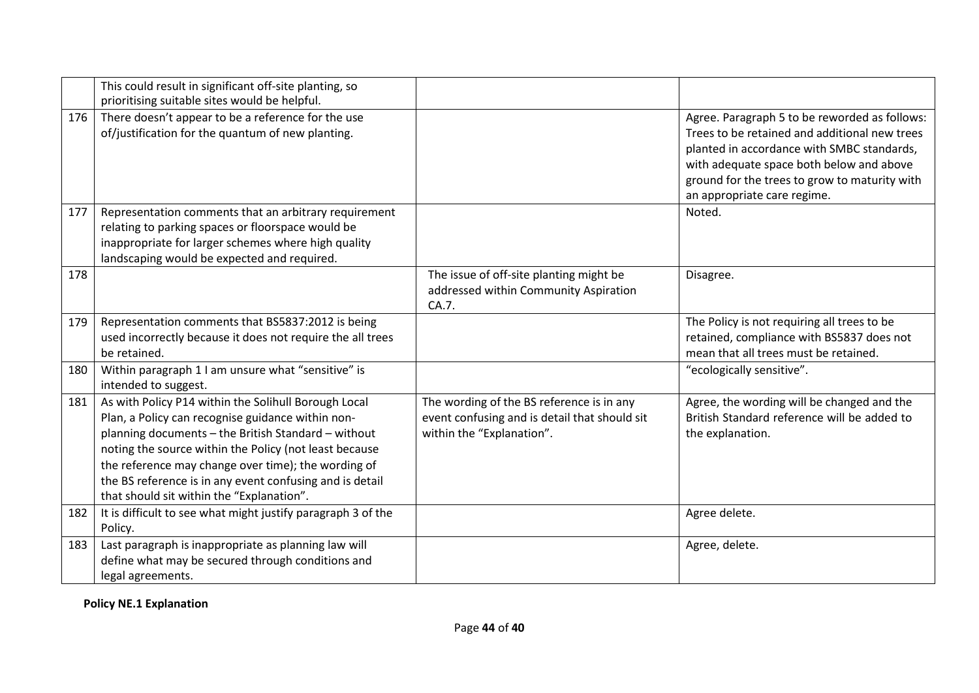|     | This could result in significant off-site planting, so<br>prioritising suitable sites would be helpful.                                                                                                                                                                                                                                                                                    |                                                                                                                         |                                                                                                                                                                                                                                                                          |
|-----|--------------------------------------------------------------------------------------------------------------------------------------------------------------------------------------------------------------------------------------------------------------------------------------------------------------------------------------------------------------------------------------------|-------------------------------------------------------------------------------------------------------------------------|--------------------------------------------------------------------------------------------------------------------------------------------------------------------------------------------------------------------------------------------------------------------------|
| 176 | There doesn't appear to be a reference for the use<br>of/justification for the quantum of new planting.                                                                                                                                                                                                                                                                                    |                                                                                                                         | Agree. Paragraph 5 to be reworded as follows:<br>Trees to be retained and additional new trees<br>planted in accordance with SMBC standards,<br>with adequate space both below and above<br>ground for the trees to grow to maturity with<br>an appropriate care regime. |
| 177 | Representation comments that an arbitrary requirement<br>relating to parking spaces or floorspace would be<br>inappropriate for larger schemes where high quality<br>landscaping would be expected and required.                                                                                                                                                                           |                                                                                                                         | Noted.                                                                                                                                                                                                                                                                   |
| 178 |                                                                                                                                                                                                                                                                                                                                                                                            | The issue of off-site planting might be<br>addressed within Community Aspiration<br>CA.7.                               | Disagree.                                                                                                                                                                                                                                                                |
| 179 | Representation comments that BS5837:2012 is being<br>used incorrectly because it does not require the all trees<br>be retained.                                                                                                                                                                                                                                                            |                                                                                                                         | The Policy is not requiring all trees to be<br>retained, compliance with BS5837 does not<br>mean that all trees must be retained.                                                                                                                                        |
| 180 | Within paragraph 1 I am unsure what "sensitive" is<br>intended to suggest.                                                                                                                                                                                                                                                                                                                 |                                                                                                                         | "ecologically sensitive".                                                                                                                                                                                                                                                |
| 181 | As with Policy P14 within the Solihull Borough Local<br>Plan, a Policy can recognise guidance within non-<br>planning documents - the British Standard - without<br>noting the source within the Policy (not least because<br>the reference may change over time); the wording of<br>the BS reference is in any event confusing and is detail<br>that should sit within the "Explanation". | The wording of the BS reference is in any<br>event confusing and is detail that should sit<br>within the "Explanation". | Agree, the wording will be changed and the<br>British Standard reference will be added to<br>the explanation.                                                                                                                                                            |
| 182 | It is difficult to see what might justify paragraph 3 of the<br>Policy.                                                                                                                                                                                                                                                                                                                    |                                                                                                                         | Agree delete.                                                                                                                                                                                                                                                            |
| 183 | Last paragraph is inappropriate as planning law will<br>define what may be secured through conditions and<br>legal agreements.                                                                                                                                                                                                                                                             |                                                                                                                         | Agree, delete.                                                                                                                                                                                                                                                           |

**Policy NE.1 Explanation**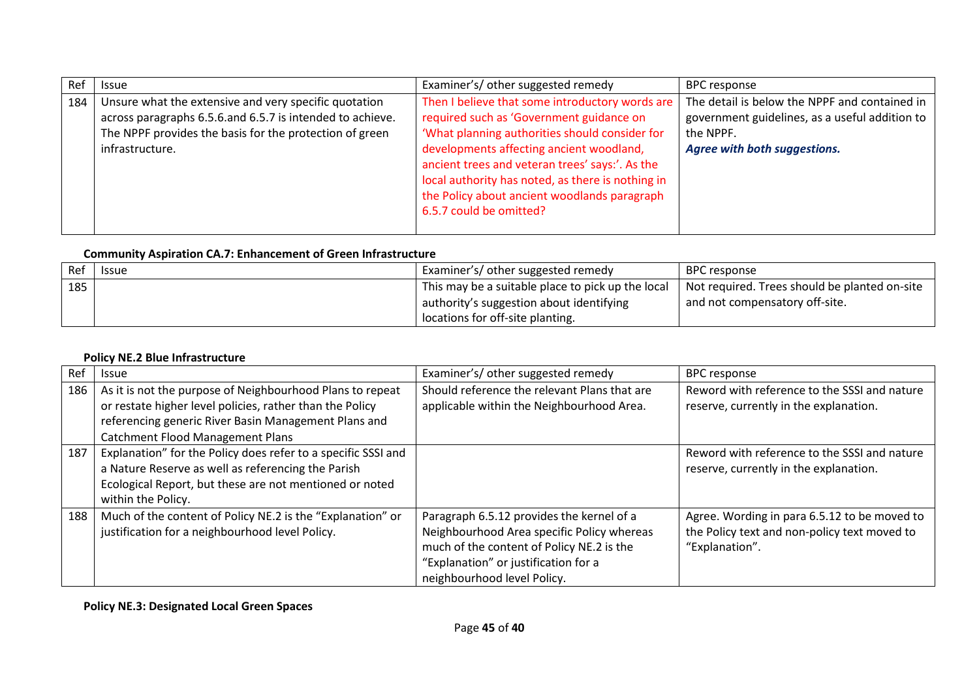| Ref | <b>Issue</b>                                                                                                                                                                                     | Examiner's/ other suggested remedy                                                                                                                                                                                                                                                                                                                                           | <b>BPC</b> response                                                                                                                                 |
|-----|--------------------------------------------------------------------------------------------------------------------------------------------------------------------------------------------------|------------------------------------------------------------------------------------------------------------------------------------------------------------------------------------------------------------------------------------------------------------------------------------------------------------------------------------------------------------------------------|-----------------------------------------------------------------------------------------------------------------------------------------------------|
| 184 | Unsure what the extensive and very specific quotation<br>across paragraphs 6.5.6.and 6.5.7 is intended to achieve.<br>The NPPF provides the basis for the protection of green<br>infrastructure. | Then I believe that some introductory words are<br>required such as 'Government guidance on<br>'What planning authorities should consider for<br>developments affecting ancient woodland,<br>ancient trees and veteran trees' says:'. As the<br>local authority has noted, as there is nothing in<br>the Policy about ancient woodlands paragraph<br>6.5.7 could be omitted? | The detail is below the NPPF and contained in<br>government guidelines, as a useful addition to<br>the NPPF.<br><b>Agree with both suggestions.</b> |

# **Community Aspiration CA.7: Enhancement of Green Infrastructure**

| REf | <b>Issue</b> | Examiner's/ other suggested remedy                | BPC response                                    |
|-----|--------------|---------------------------------------------------|-------------------------------------------------|
| 185 |              | This may be a suitable place to pick up the local | I Not required. Trees should be planted on-site |
|     |              | authority's suggestion about identifying          | and not compensatory off-site.                  |
|     |              | locations for off-site planting.                  |                                                 |

#### **Policy NE.2 Blue Infrastructure**

| Ref | <b>Issue</b>                                                  | Examiner's/ other suggested remedy           | <b>BPC</b> response                          |
|-----|---------------------------------------------------------------|----------------------------------------------|----------------------------------------------|
| 186 | As it is not the purpose of Neighbourhood Plans to repeat     | Should reference the relevant Plans that are | Reword with reference to the SSSI and nature |
|     | or restate higher level policies, rather than the Policy      | applicable within the Neighbourhood Area.    | reserve, currently in the explanation.       |
|     | referencing generic River Basin Management Plans and          |                                              |                                              |
|     | <b>Catchment Flood Management Plans</b>                       |                                              |                                              |
| 187 | Explanation" for the Policy does refer to a specific SSSI and |                                              | Reword with reference to the SSSI and nature |
|     | a Nature Reserve as well as referencing the Parish            |                                              | reserve, currently in the explanation.       |
|     | Ecological Report, but these are not mentioned or noted       |                                              |                                              |
|     | within the Policy.                                            |                                              |                                              |
| 188 | Much of the content of Policy NE.2 is the "Explanation" or    | Paragraph 6.5.12 provides the kernel of a    | Agree. Wording in para 6.5.12 to be moved to |
|     | justification for a neighbourhood level Policy.               | Neighbourhood Area specific Policy whereas   | the Policy text and non-policy text moved to |
|     |                                                               | much of the content of Policy NE.2 is the    | "Explanation".                               |
|     |                                                               | "Explanation" or justification for a         |                                              |
|     |                                                               | neighbourhood level Policy.                  |                                              |

**Policy NE.3: Designated Local Green Spaces**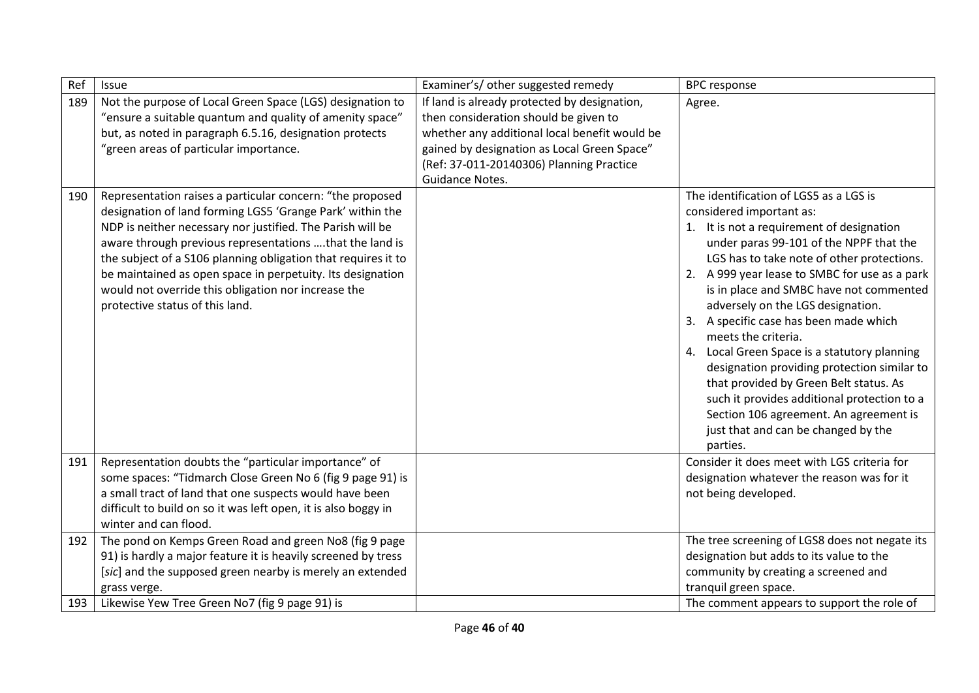| Ref        | Issue                                                                                                                                                                                                                                                                                                                                                                                                                                                                    | Examiner's/other suggested remedy                                                                                                                                                                                                                    | <b>BPC</b> response                                                                                                                                                                                                                                                                                                                                                                                                                                                                                                                                                                                                                                                                             |
|------------|--------------------------------------------------------------------------------------------------------------------------------------------------------------------------------------------------------------------------------------------------------------------------------------------------------------------------------------------------------------------------------------------------------------------------------------------------------------------------|------------------------------------------------------------------------------------------------------------------------------------------------------------------------------------------------------------------------------------------------------|-------------------------------------------------------------------------------------------------------------------------------------------------------------------------------------------------------------------------------------------------------------------------------------------------------------------------------------------------------------------------------------------------------------------------------------------------------------------------------------------------------------------------------------------------------------------------------------------------------------------------------------------------------------------------------------------------|
| 189        | Not the purpose of Local Green Space (LGS) designation to<br>"ensure a suitable quantum and quality of amenity space"<br>but, as noted in paragraph 6.5.16, designation protects<br>"green areas of particular importance.                                                                                                                                                                                                                                               | If land is already protected by designation,<br>then consideration should be given to<br>whether any additional local benefit would be<br>gained by designation as Local Green Space"<br>(Ref: 37-011-20140306) Planning Practice<br>Guidance Notes. | Agree.                                                                                                                                                                                                                                                                                                                                                                                                                                                                                                                                                                                                                                                                                          |
| 190        | Representation raises a particular concern: "the proposed<br>designation of land forming LGS5 'Grange Park' within the<br>NDP is neither necessary nor justified. The Parish will be<br>aware through previous representations that the land is<br>the subject of a S106 planning obligation that requires it to<br>be maintained as open space in perpetuity. Its designation<br>would not override this obligation nor increase the<br>protective status of this land. |                                                                                                                                                                                                                                                      | The identification of LGS5 as a LGS is<br>considered important as:<br>1. It is not a requirement of designation<br>under paras 99-101 of the NPPF that the<br>LGS has to take note of other protections.<br>2. A 999 year lease to SMBC for use as a park<br>is in place and SMBC have not commented<br>adversely on the LGS designation.<br>3. A specific case has been made which<br>meets the criteria.<br>4. Local Green Space is a statutory planning<br>designation providing protection similar to<br>that provided by Green Belt status. As<br>such it provides additional protection to a<br>Section 106 agreement. An agreement is<br>just that and can be changed by the<br>parties. |
| 191        | Representation doubts the "particular importance" of<br>some spaces: "Tidmarch Close Green No 6 (fig 9 page 91) is<br>a small tract of land that one suspects would have been<br>difficult to build on so it was left open, it is also boggy in<br>winter and can flood.                                                                                                                                                                                                 |                                                                                                                                                                                                                                                      | Consider it does meet with LGS criteria for<br>designation whatever the reason was for it<br>not being developed.                                                                                                                                                                                                                                                                                                                                                                                                                                                                                                                                                                               |
| 192<br>193 | The pond on Kemps Green Road and green No8 (fig 9 page<br>91) is hardly a major feature it is heavily screened by tress<br>[sic] and the supposed green nearby is merely an extended<br>grass verge.<br>Likewise Yew Tree Green No7 (fig 9 page 91) is                                                                                                                                                                                                                   |                                                                                                                                                                                                                                                      | The tree screening of LGS8 does not negate its<br>designation but adds to its value to the<br>community by creating a screened and<br>tranquil green space.<br>The comment appears to support the role of                                                                                                                                                                                                                                                                                                                                                                                                                                                                                       |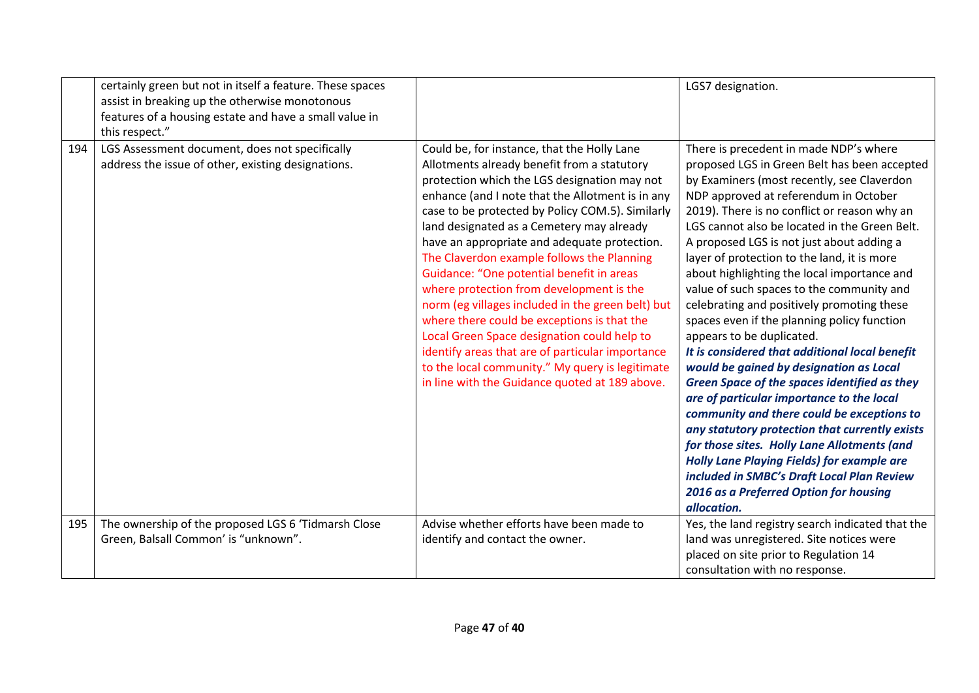|     | certainly green but not in itself a feature. These spaces<br>assist in breaking up the otherwise monotonous<br>features of a housing estate and have a small value in<br>this respect." |                                                                                                                                                                                                                                                                                                                                                                                                                                                                                                                                                                                                                                                                                                                                                                                                    | LGS7 designation.                                                                                                                                                                                                                                                                                                                                                                                                                                                                                                                                                                                                                                                                                                                                                                                                                                                                                                                                                                                                                                                                                            |
|-----|-----------------------------------------------------------------------------------------------------------------------------------------------------------------------------------------|----------------------------------------------------------------------------------------------------------------------------------------------------------------------------------------------------------------------------------------------------------------------------------------------------------------------------------------------------------------------------------------------------------------------------------------------------------------------------------------------------------------------------------------------------------------------------------------------------------------------------------------------------------------------------------------------------------------------------------------------------------------------------------------------------|--------------------------------------------------------------------------------------------------------------------------------------------------------------------------------------------------------------------------------------------------------------------------------------------------------------------------------------------------------------------------------------------------------------------------------------------------------------------------------------------------------------------------------------------------------------------------------------------------------------------------------------------------------------------------------------------------------------------------------------------------------------------------------------------------------------------------------------------------------------------------------------------------------------------------------------------------------------------------------------------------------------------------------------------------------------------------------------------------------------|
| 194 | LGS Assessment document, does not specifically<br>address the issue of other, existing designations.                                                                                    | Could be, for instance, that the Holly Lane<br>Allotments already benefit from a statutory<br>protection which the LGS designation may not<br>enhance (and I note that the Allotment is in any<br>case to be protected by Policy COM.5). Similarly<br>land designated as a Cemetery may already<br>have an appropriate and adequate protection.<br>The Claverdon example follows the Planning<br>Guidance: "One potential benefit in areas<br>where protection from development is the<br>norm (eg villages included in the green belt) but<br>where there could be exceptions is that the<br>Local Green Space designation could help to<br>identify areas that are of particular importance<br>to the local community." My query is legitimate<br>in line with the Guidance quoted at 189 above. | There is precedent in made NDP's where<br>proposed LGS in Green Belt has been accepted<br>by Examiners (most recently, see Claverdon<br>NDP approved at referendum in October<br>2019). There is no conflict or reason why an<br>LGS cannot also be located in the Green Belt.<br>A proposed LGS is not just about adding a<br>layer of protection to the land, it is more<br>about highlighting the local importance and<br>value of such spaces to the community and<br>celebrating and positively promoting these<br>spaces even if the planning policy function<br>appears to be duplicated.<br>It is considered that additional local benefit<br>would be gained by designation as Local<br><b>Green Space of the spaces identified as they</b><br>are of particular importance to the local<br>community and there could be exceptions to<br>any statutory protection that currently exists<br>for those sites. Holly Lane Allotments (and<br><b>Holly Lane Playing Fields) for example are</b><br>included in SMBC's Draft Local Plan Review<br>2016 as a Preferred Option for housing<br>allocation. |
| 195 | The ownership of the proposed LGS 6 'Tidmarsh Close<br>Green, Balsall Common' is "unknown".                                                                                             | Advise whether efforts have been made to<br>identify and contact the owner.                                                                                                                                                                                                                                                                                                                                                                                                                                                                                                                                                                                                                                                                                                                        | Yes, the land registry search indicated that the<br>land was unregistered. Site notices were<br>placed on site prior to Regulation 14<br>consultation with no response.                                                                                                                                                                                                                                                                                                                                                                                                                                                                                                                                                                                                                                                                                                                                                                                                                                                                                                                                      |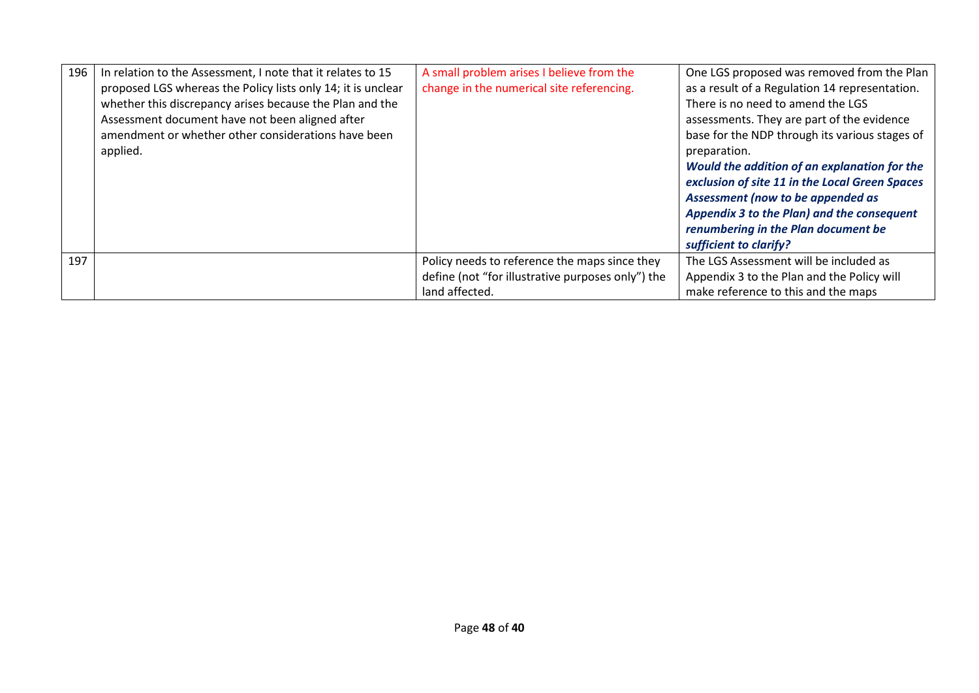| 196 | In relation to the Assessment, I note that it relates to 15<br>proposed LGS whereas the Policy lists only 14; it is unclear<br>whether this discrepancy arises because the Plan and the<br>Assessment document have not been aligned after<br>amendment or whether other considerations have been<br>applied. | A small problem arises I believe from the<br>change in the numerical site referencing. | One LGS proposed was removed from the Plan<br>as a result of a Regulation 14 representation.<br>There is no need to amend the LGS<br>assessments. They are part of the evidence<br>base for the NDP through its various stages of<br>preparation.<br>Would the addition of an explanation for the<br>exclusion of site 11 in the Local Green Spaces<br>Assessment (now to be appended as<br>Appendix 3 to the Plan) and the consequent |
|-----|---------------------------------------------------------------------------------------------------------------------------------------------------------------------------------------------------------------------------------------------------------------------------------------------------------------|----------------------------------------------------------------------------------------|----------------------------------------------------------------------------------------------------------------------------------------------------------------------------------------------------------------------------------------------------------------------------------------------------------------------------------------------------------------------------------------------------------------------------------------|
|     |                                                                                                                                                                                                                                                                                                               |                                                                                        | renumbering in the Plan document be<br>sufficient to clarify?                                                                                                                                                                                                                                                                                                                                                                          |
| 197 |                                                                                                                                                                                                                                                                                                               | Policy needs to reference the maps since they                                          | The LGS Assessment will be included as                                                                                                                                                                                                                                                                                                                                                                                                 |
|     |                                                                                                                                                                                                                                                                                                               | define (not "for illustrative purposes only") the<br>land affected.                    | Appendix 3 to the Plan and the Policy will<br>make reference to this and the maps                                                                                                                                                                                                                                                                                                                                                      |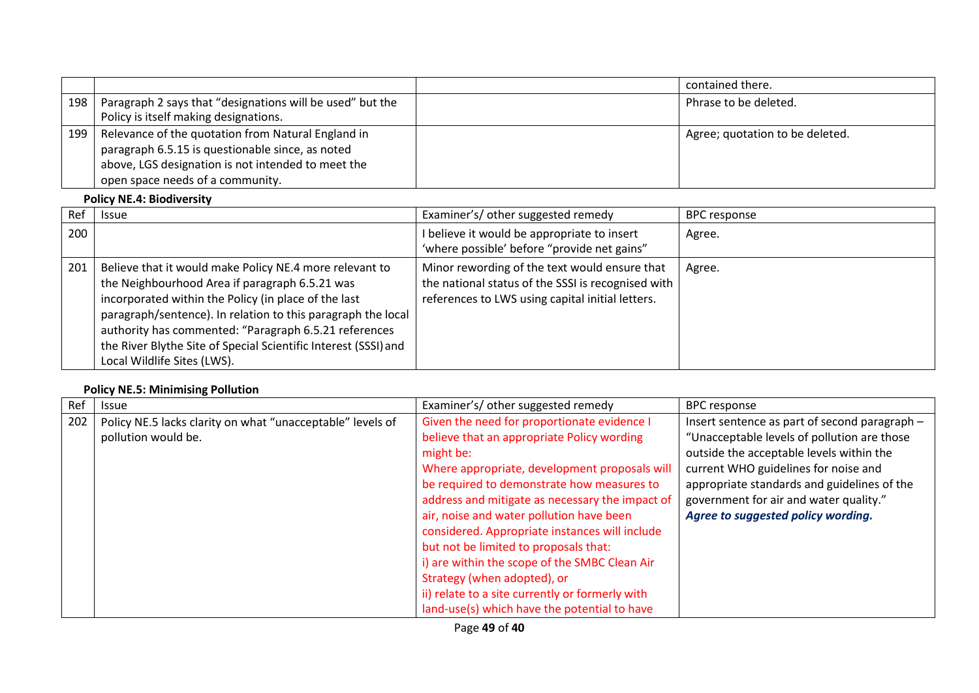|     |                                                                                                                                                                                                  | contained there.                |
|-----|--------------------------------------------------------------------------------------------------------------------------------------------------------------------------------------------------|---------------------------------|
| 198 | Paragraph 2 says that "designations will be used" but the<br>Policy is itself making designations.                                                                                               | Phrase to be deleted.           |
| 199 | Relevance of the quotation from Natural England in<br>paragraph 6.5.15 is questionable since, as noted<br>above, LGS designation is not intended to meet the<br>open space needs of a community. | Agree; quotation to be deleted. |

# **Policy NE.4: Biodiversity**

| Ref | <b>Issue</b>                                                                                                                                                                                                                                                                                                                                                                                 | Examiner's/ other suggested remedy                                                                                                                      | <b>BPC response</b> |
|-----|----------------------------------------------------------------------------------------------------------------------------------------------------------------------------------------------------------------------------------------------------------------------------------------------------------------------------------------------------------------------------------------------|---------------------------------------------------------------------------------------------------------------------------------------------------------|---------------------|
| 200 |                                                                                                                                                                                                                                                                                                                                                                                              | I believe it would be appropriate to insert<br>'where possible' before "provide net gains"                                                              | Agree.              |
| 201 | Believe that it would make Policy NE.4 more relevant to<br>the Neighbourhood Area if paragraph 6.5.21 was<br>incorporated within the Policy (in place of the last<br>paragraph/sentence). In relation to this paragraph the local<br>authority has commented: "Paragraph 6.5.21 references<br>the River Blythe Site of Special Scientific Interest (SSSI) and<br>Local Wildlife Sites (LWS). | Minor rewording of the text would ensure that<br>the national status of the SSSI is recognised with<br>references to LWS using capital initial letters. | Agree.              |

# **Policy NE.5: Minimising Pollution**

| Ref | <b>Issue</b>                                               | Examiner's/other suggested remedy               | <b>BPC</b> response                           |
|-----|------------------------------------------------------------|-------------------------------------------------|-----------------------------------------------|
| 202 | Policy NE.5 lacks clarity on what "unacceptable" levels of | Given the need for proportionate evidence I     | Insert sentence as part of second paragraph - |
|     | pollution would be.                                        | believe that an appropriate Policy wording      | "Unacceptable levels of pollution are those   |
|     |                                                            | might be:                                       | outside the acceptable levels within the      |
|     |                                                            | Where appropriate, development proposals will   | current WHO guidelines for noise and          |
|     |                                                            | be required to demonstrate how measures to      | appropriate standards and guidelines of the   |
|     |                                                            | address and mitigate as necessary the impact of | government for air and water quality."        |
|     |                                                            | air, noise and water pollution have been        | Agree to suggested policy wording.            |
|     |                                                            | considered. Appropriate instances will include  |                                               |
|     |                                                            | but not be limited to proposals that:           |                                               |
|     |                                                            | i) are within the scope of the SMBC Clean Air   |                                               |
|     |                                                            | Strategy (when adopted), or                     |                                               |
|     |                                                            | ii) relate to a site currently or formerly with |                                               |
|     |                                                            | land-use(s) which have the potential to have    |                                               |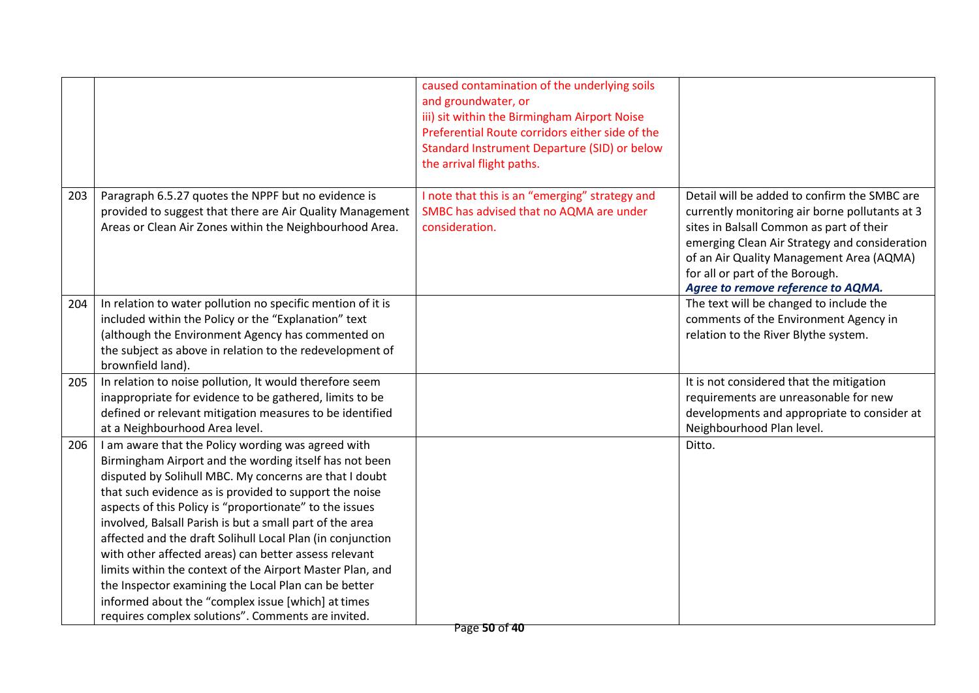|     |                                                                                                                                                                                                                                                                                                                                                                                                                                                                                                                                                                                                                                                                                                                 | caused contamination of the underlying soils<br>and groundwater, or<br>iii) sit within the Birmingham Airport Noise<br>Preferential Route corridors either side of the<br>Standard Instrument Departure (SID) or below<br>the arrival flight paths. |                                                                                                                                                                                                                                                                                                                  |
|-----|-----------------------------------------------------------------------------------------------------------------------------------------------------------------------------------------------------------------------------------------------------------------------------------------------------------------------------------------------------------------------------------------------------------------------------------------------------------------------------------------------------------------------------------------------------------------------------------------------------------------------------------------------------------------------------------------------------------------|-----------------------------------------------------------------------------------------------------------------------------------------------------------------------------------------------------------------------------------------------------|------------------------------------------------------------------------------------------------------------------------------------------------------------------------------------------------------------------------------------------------------------------------------------------------------------------|
| 203 | Paragraph 6.5.27 quotes the NPPF but no evidence is<br>provided to suggest that there are Air Quality Management<br>Areas or Clean Air Zones within the Neighbourhood Area.                                                                                                                                                                                                                                                                                                                                                                                                                                                                                                                                     | I note that this is an "emerging" strategy and<br>SMBC has advised that no AQMA are under<br>consideration.                                                                                                                                         | Detail will be added to confirm the SMBC are<br>currently monitoring air borne pollutants at 3<br>sites in Balsall Common as part of their<br>emerging Clean Air Strategy and consideration<br>of an Air Quality Management Area (AQMA)<br>for all or part of the Borough.<br>Agree to remove reference to AQMA. |
| 204 | In relation to water pollution no specific mention of it is<br>included within the Policy or the "Explanation" text<br>(although the Environment Agency has commented on                                                                                                                                                                                                                                                                                                                                                                                                                                                                                                                                        |                                                                                                                                                                                                                                                     | The text will be changed to include the<br>comments of the Environment Agency in<br>relation to the River Blythe system.                                                                                                                                                                                         |
|     | the subject as above in relation to the redevelopment of<br>brownfield land).                                                                                                                                                                                                                                                                                                                                                                                                                                                                                                                                                                                                                                   |                                                                                                                                                                                                                                                     |                                                                                                                                                                                                                                                                                                                  |
| 205 | In relation to noise pollution, It would therefore seem<br>inappropriate for evidence to be gathered, limits to be<br>defined or relevant mitigation measures to be identified<br>at a Neighbourhood Area level.                                                                                                                                                                                                                                                                                                                                                                                                                                                                                                |                                                                                                                                                                                                                                                     | It is not considered that the mitigation<br>requirements are unreasonable for new<br>developments and appropriate to consider at<br>Neighbourhood Plan level.                                                                                                                                                    |
| 206 | I am aware that the Policy wording was agreed with<br>Birmingham Airport and the wording itself has not been<br>disputed by Solihull MBC. My concerns are that I doubt<br>that such evidence as is provided to support the noise<br>aspects of this Policy is "proportionate" to the issues<br>involved, Balsall Parish is but a small part of the area<br>affected and the draft Solihull Local Plan (in conjunction<br>with other affected areas) can better assess relevant<br>limits within the context of the Airport Master Plan, and<br>the Inspector examining the Local Plan can be better<br>informed about the "complex issue [which] at times<br>requires complex solutions". Comments are invited. |                                                                                                                                                                                                                                                     | Ditto.                                                                                                                                                                                                                                                                                                           |
|     |                                                                                                                                                                                                                                                                                                                                                                                                                                                                                                                                                                                                                                                                                                                 | Page 50 of 40                                                                                                                                                                                                                                       |                                                                                                                                                                                                                                                                                                                  |